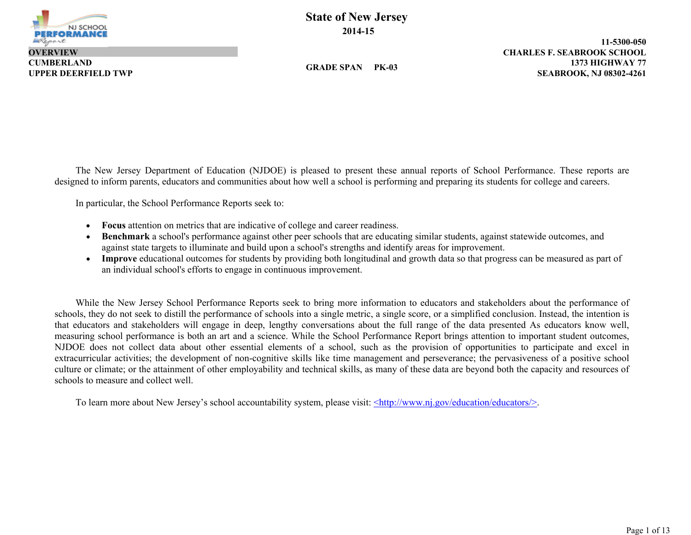

**CUMBERLAND OVERVIEW**

**GRADE SPAN PK-03**

**1373 HIGHWAY 77 11-5300-050 UPPER DEERFIELD TWP SEABROOK, NJ 08302-4261 CHARLES F. SEABROOK SCHOOL**

The New Jersey Department of Education (NJDOE) is pleased to present these annual reports of School Performance. These reports are designed to inform parents, educators and communities about how well a school is performing and preparing its students for college and careers.

In particular, the School Performance Reports seek to:

- **Focus** attention on metrics that are indicative of college and career readiness.
- **Benchmark** a school's performance against other peer schools that are educating similar students, against statewide outcomes, and against state targets to illuminate and build upon a school's strengths and identify areas for improvement.
- **Improve** educational outcomes for students by providing both longitudinal and growth data so that progress can be measured as part of an individual school's efforts to engage in continuous improvement.

While the New Jersey School Performance Reports seek to bring more information to educators and stakeholders about the performance of schools, they do not seek to distill the performance of schools into a single metric, a single score, or a simplified conclusion. Instead, the intention is that educators and stakeholders will engage in deep, lengthy conversations about the full range of the data presented As educators know well, measuring school performance is both an art and a science. While the School Performance Report brings attention to important student outcomes, NJDOE does not collect data about other essential elements of a school, such as the provision of opportunities to participate and excel in extracurricular activities; the development of non-cognitive skills like time management and perseverance; the pervasiveness of a positive school culture or climate; or the attainment of other employability and technical skills, as many of these data are beyond both the capacity and resources of schools to measure and collect well.

To learn more about New Jersey's school accountability system, please visit: <http://www.nj.gov/education/educators/>.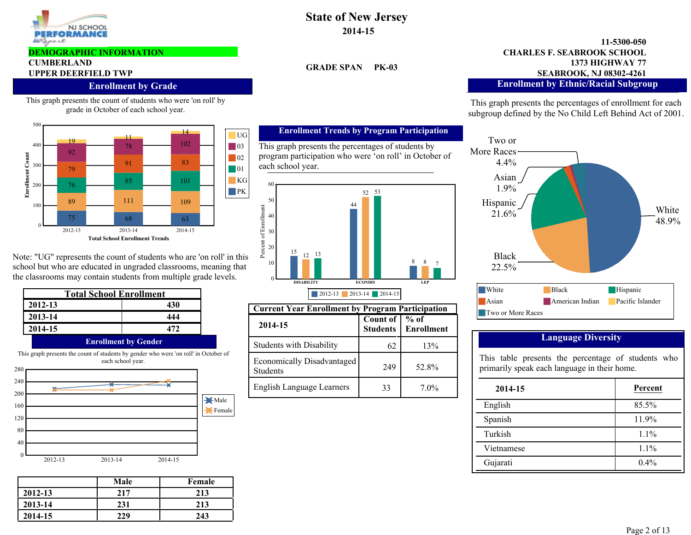

#### **DEMOGRAPHIC INFORMATION**

# **CUMBERLAND**

#### **Enrollment by Grade**

This graph presents the count of students who were 'on roll' by grade in October of each school year.



Note: "UG" represents the count of students who are 'on roll' in this school but who are educated in ungraded classrooms, meaning that the classrooms may contain students from multiple grade levels.

| <b>Total School Enrollment</b>                                                       |                             |  |
|--------------------------------------------------------------------------------------|-----------------------------|--|
| 2012-13                                                                              | 430                         |  |
| 2013-14                                                                              | 444                         |  |
| 2014-15                                                                              | 172                         |  |
|                                                                                      | <b>Enrollment by Gender</b> |  |
| This graph presents the count of students by gender who were 'on roll' in October of |                             |  |

2012-13 2013-14 2014-15 0 40 80 120 160 200 240 280 Male Female each school year.

|         | Male | Female |
|---------|------|--------|
| 2012-13 | 217  | 213    |
| 2013-14 | 231  | 213    |
| 2014-15 | 229  | 243    |

# **State of New Jersey 2014-15**

**GRADE SPAN PK-03**

#### **1373 HIGHWAY 77 11-5300-050 UPPER DEERFIELD TWP SEABROOK, NJ 08302-4261 CHARLES F. SEABROOK SCHOOL Enrollment by Ethnic/Racial Subgroup**

This graph presents the percentages of enrollment for each subgroup defined by the No Child Left Behind Act of 2001.



### **Language Diversity**

This table presents the percentage of students who primarily speak each language in their home.

| 2014-15    | Percent |
|------------|---------|
| English    | 85.5%   |
| Spanish    | 11.9%   |
| Turkish    | $1.1\%$ |
| Vietnamese | 1.1%    |
| Gujarati   | $0.4\%$ |

#### **Enrollment Trends by Program Participation**

This graph presents the percentages of students by program participation who were 'on roll' in October of each school year.



| <b>Current Year Enrollment by Program Participation</b> |                             |                                       |
|---------------------------------------------------------|-----------------------------|---------------------------------------|
| 2014-15                                                 | Count of<br><b>Students</b> | $\frac{9}{6}$ of<br><b>Enrollment</b> |
| <b>Students with Disability</b>                         | 62                          | 13%                                   |
| Economically Disadvantaged<br><b>Students</b>           | 249                         | 52.8%                                 |
| <b>English Language Learners</b>                        | 33                          | $7.0\%$                               |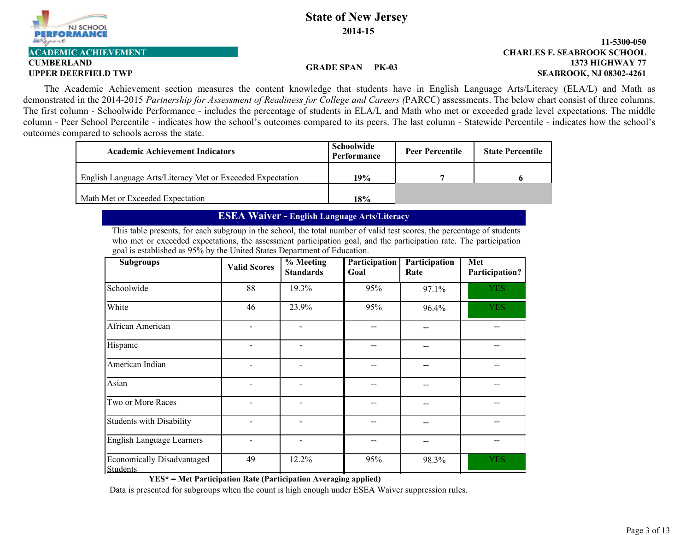

# **CUMBERLAND**

#### **1373 HIGHWAY 77 11-5300-050 UPPER DEERFIELD TWP SEABROOK, NJ 08302-4261 ACADEMIC ACHIEVEMENT CHARLES F. SEABROOK SCHOOL**

#### **GRADE SPAN PK-03**

The Academic Achievement section measures the content knowledge that students have in English Language Arts/Literacy (ELA/L) and Math as demonstrated in the 2014-2015 *Partnership for Assessment of Readiness for College and Careers (*PARCC) assessments. The below chart consist of three columns. The first column - Schoolwide Performance - includes the percentage of students in ELA/L and Math who met or exceeded grade level expectations. The middle column - Peer School Percentile - indicates how the school's outcomes compared to its peers. The last column - Statewide Percentile - indicates how the school's outcomes compared to schools across the state.

| <b>Academic Achievement Indicators</b>                     | Schoolwide<br>Performance | <b>Peer Percentile</b> | <b>State Percentile</b> |
|------------------------------------------------------------|---------------------------|------------------------|-------------------------|
| English Language Arts/Literacy Met or Exceeded Expectation | 19%                       |                        |                         |
| Math Met or Exceeded Expectation                           | 18%                       |                        |                         |

## **ESEA Waiver - English Language Arts/Literacy**

This table presents, for each subgroup in the school, the total number of valid test scores, the percentage of students who met or exceeded expectations, the assessment participation goal, and the participation rate. The participation goal is established as 95% by the United States Department of Education.

| <b>Subgroups</b>                              | <b>Valid Scores</b> | % Meeting<br><b>Standards</b> | Participation<br>Goal | Participation<br>Rate | Met<br>Participation? |
|-----------------------------------------------|---------------------|-------------------------------|-----------------------|-----------------------|-----------------------|
| Schoolwide                                    | 88                  | 19.3%                         | 95%                   | 97.1%                 | <b>YES</b>            |
| White                                         | 46                  | 23.9%                         | 95%                   | 96.4%                 | <b>YES</b>            |
| African American                              |                     |                               |                       |                       |                       |
| Hispanic                                      |                     |                               |                       |                       |                       |
| American Indian                               |                     |                               |                       |                       |                       |
| Asian                                         |                     |                               |                       |                       |                       |
| Two or More Races                             |                     |                               |                       |                       |                       |
| <b>Students with Disability</b>               |                     |                               |                       |                       |                       |
| English Language Learners                     |                     |                               |                       |                       |                       |
| Economically Disadvantaged<br><b>Students</b> | 49                  | 12.2%                         | 95%                   | 98.3%                 | <b>YES</b>            |

**YES\* = Met Participation Rate (Participation Averaging applied)**

Data is presented for subgroups when the count is high enough under ESEA Waiver suppression rules.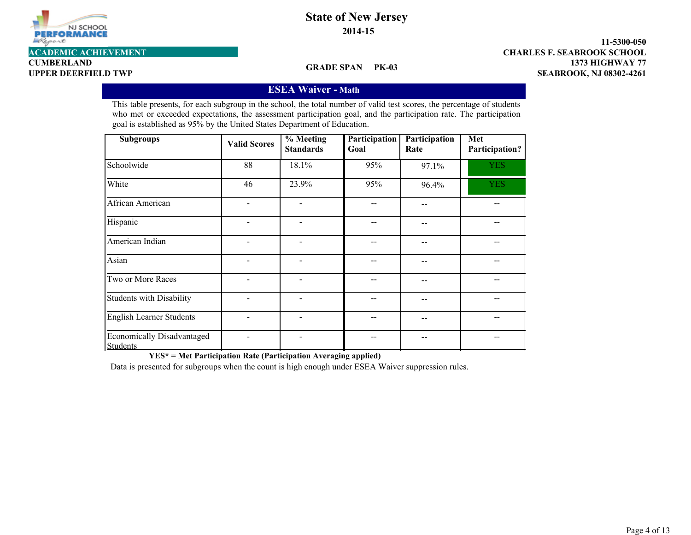

**CUMBERLAND**

**GRADE SPAN PK-03**

**1373 HIGHWAY 77 11-5300-050 UPPER DEERFIELD TWP SEABROOK, NJ 08302-4261 ACADEMIC ACHIEVEMENT CHARLES F. SEABROOK SCHOOL**

## **ESEA Waiver - Math**

This table presents, for each subgroup in the school, the total number of valid test scores, the percentage of students who met or exceeded expectations, the assessment participation goal, and the participation rate. The participation goal is established as 95% by the United States Department of Education.

| <b>Subgroups</b>                                     | <b>Valid Scores</b> | $%$ Meeting<br><b>Standards</b> | Participation<br>Goal | Participation<br>Rate | Met<br>Participation? |
|------------------------------------------------------|---------------------|---------------------------------|-----------------------|-----------------------|-----------------------|
| Schoolwide                                           | 88                  | 18.1%                           | 95%                   | 97.1%                 | <b>YES</b>            |
| White                                                | 46                  | 23.9%                           | 95%                   | 96.4%                 | <b>YES</b>            |
| African American                                     |                     |                                 |                       |                       |                       |
| Hispanic                                             |                     | $\overline{\phantom{0}}$        |                       | --                    |                       |
| American Indian                                      |                     | $\overline{\phantom{a}}$        |                       | --                    |                       |
| Asian                                                |                     |                                 |                       | --                    |                       |
| Two or More Races                                    |                     | $\overline{a}$                  |                       | --                    |                       |
| <b>Students with Disability</b>                      |                     | -                               |                       | --                    |                       |
| <b>English Learner Students</b>                      |                     | -                               |                       | --                    |                       |
| <b>Economically Disadvantaged</b><br><b>Students</b> |                     |                                 |                       | --                    |                       |

**YES\* = Met Participation Rate (Participation Averaging applied)**

Data is presented for subgroups when the count is high enough under ESEA Waiver suppression rules.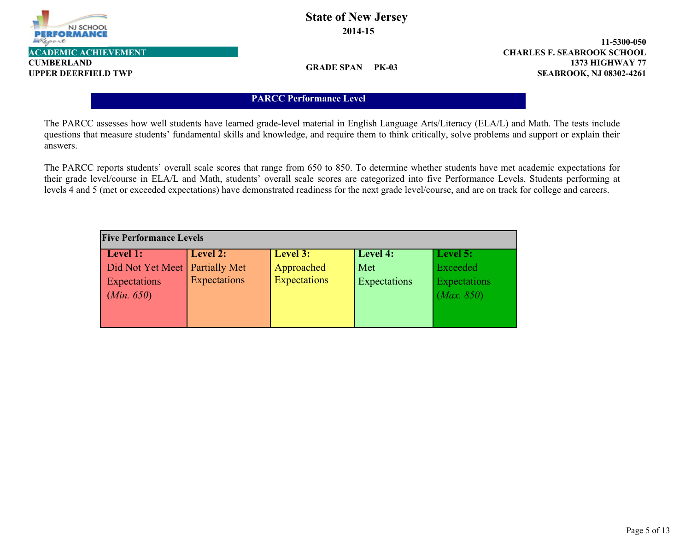

**CUMBERLAND**

**GRADE SPAN PK-03**

**1373 HIGHWAY 77 11-5300-050 UPPER DEERFIELD TWP SEABROOK, NJ 08302-4261 ACADEMIC ACHIEVEMENT CHARLES F. SEABROOK SCHOOL**

## **PARCC Performance Level**

The PARCC assesses how well students have learned grade-level material in English Language Arts/Literacy (ELA/L) and Math. The tests include questions that measure students' fundamental skills and knowledge, and require them to think critically, solve problems and support or explain their answers.

The PARCC reports students' overall scale scores that range from 650 to 850. To determine whether students have met academic expectations for their grade level/course in ELA/L and Math, students' overall scale scores are categorized into five Performance Levels. Students performing at levels 4 and 5 (met or exceeded expectations) have demonstrated readiness for the next grade level/course, and are on track for college and careers.

| <b>Five Performance Levels</b>   |              |                     |              |              |
|----------------------------------|--------------|---------------------|--------------|--------------|
| Level 1:                         | Level 2:     | Level 3:            | Level 4:     | Level 5:     |
| Did Not Yet Meet   Partially Met |              | Approached          | Met          | Exceeded     |
| Expectations                     | Expectations | <b>Expectations</b> | Expectations | Expectations |
| (Min. 650)                       |              |                     |              | (Max. 850)   |
|                                  |              |                     |              |              |
|                                  |              |                     |              |              |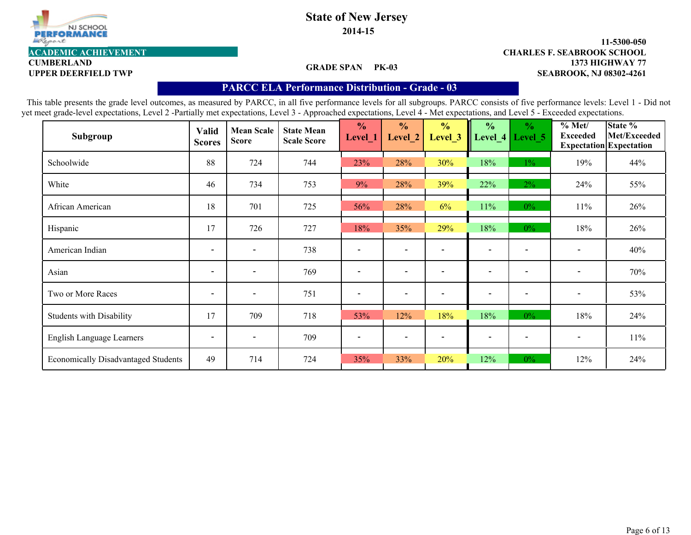

**2014-15**

#### **1373 HIGHWAY 77 11-5300-050 UPPER DEERFIELD TWP SEABROOK, NJ 08302-4261 ACADEMIC ACHIEVEMENT CHARLES F. SEABROOK SCHOOL**

**CUMBERLAND**

### **GRADE SPAN PK-03**

## **PARCC ELA Performance Distribution - Grade - 03**

| Subgroup                                   | Valid<br><b>Scores</b>   | <b>Mean Scale</b><br><b>Score</b> | <b>State Mean</b><br><b>Scale Score</b> | $\frac{0}{0}$<br>Level_1 | $\frac{0}{0}$<br>Level <sub>2</sub> | $\frac{0}{0}$<br>Level <sub>_3</sub> | $\frac{0}{0}$<br>Level_4     | $\frac{0}{0}$<br>Level 5 | % Met/<br><b>Exceeded</b> | State %<br>Met/Exceeded<br><b>Expectation</b> Expectation |
|--------------------------------------------|--------------------------|-----------------------------------|-----------------------------------------|--------------------------|-------------------------------------|--------------------------------------|------------------------------|--------------------------|---------------------------|-----------------------------------------------------------|
| Schoolwide                                 | 88                       | 724                               | 744                                     | 23%                      | 28%                                 | 30%                                  | 18%                          | $1\%$                    | 19%                       | 44%                                                       |
| White                                      | 46                       | 734                               | 753                                     | 9%                       | 28%                                 | 39%                                  | 22%                          | 2%                       | 24%                       | 55%                                                       |
| African American                           | 18                       | 701                               | 725                                     | 56%                      | 28%                                 | 6%                                   | 11%                          | $0\%$                    | 11%                       | 26%                                                       |
| Hispanic                                   | 17                       | 726                               | 727                                     | 18%                      | 35%                                 | 29%                                  | 18%                          | $0\%$                    | 18%                       | 26%                                                       |
| American Indian                            | $\overline{\phantom{a}}$ | $\overline{\phantom{0}}$          | 738                                     |                          | $\overline{\phantom{0}}$            |                                      | $\overline{\phantom{0}}$     |                          | $\overline{\phantom{a}}$  | 40%                                                       |
| Asian                                      | $\overline{\phantom{0}}$ | $\overline{\phantom{0}}$          | 769                                     | $\overline{\phantom{a}}$ | $\overline{\phantom{0}}$            |                                      | $\blacksquare$               |                          | $\overline{\phantom{a}}$  | 70%                                                       |
| Two or More Races                          | $\overline{\phantom{a}}$ | $\overline{\phantom{a}}$          | 751                                     | $\overline{\phantom{a}}$ | $\overline{\phantom{a}}$            |                                      | $\qquad \qquad \blacksquare$ | $\overline{\phantom{a}}$ | $\overline{\phantom{a}}$  | 53%                                                       |
| <b>Students with Disability</b>            | 17                       | 709                               | 718                                     | 53%                      | 12%                                 | 18%                                  | 18%                          | $0\%$                    | 18%                       | 24%                                                       |
| English Language Learners                  | $\overline{\phantom{a}}$ | $\overline{\phantom{a}}$          | 709                                     |                          | $\overline{\phantom{a}}$            |                                      | $\overline{\phantom{a}}$     |                          | $\overline{\phantom{a}}$  | $11\%$                                                    |
| <b>Economically Disadvantaged Students</b> | 49                       | 714                               | 724                                     | 35%                      | 33%                                 | 20%                                  | 12%                          | $0\%$                    | 12%                       | 24%                                                       |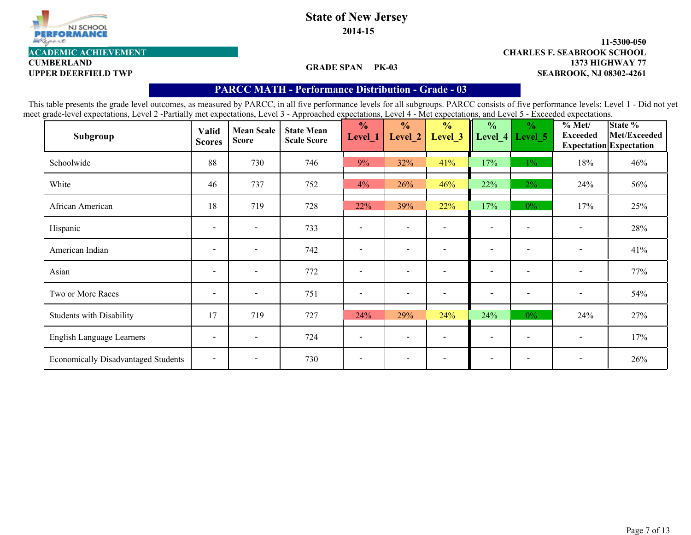

**2014-15**

# **CUMBERLAND**

### **GRADE SPAN PK-03**

#### **1373 HIGHWAY 77 11-5300-050 UPPER DEERFIELD TWP SEABROOK, NJ 08302-4261 ACADEMIC ACHIEVEMENT CHARLES F. SEABROOK SCHOOL**

## **PARCC MATH - Performance Distribution- Grade - 03**

| Subgroup                                   | <b>Valid</b><br><b>Scores</b> | <b>Mean Scale</b><br><b>Score</b> | <b>State Mean</b><br><b>Scale Score</b> | $\frac{0}{0}$<br>Level_1     | $\frac{0}{0}$<br>Level_2 | $\frac{0}{0}$<br>Level 3 | $\frac{0}{0}$            | $\frac{0}{0}$<br>Level_4   Level_5 | $\sqrt[9]{\frac{6}{1}}$ Met/<br><b>Exceeded</b> | State %<br>Met/Exceeded<br><b>Expectation Expectation</b> |
|--------------------------------------------|-------------------------------|-----------------------------------|-----------------------------------------|------------------------------|--------------------------|--------------------------|--------------------------|------------------------------------|-------------------------------------------------|-----------------------------------------------------------|
| Schoolwide                                 | 88                            | 730                               | 746                                     | 9%                           | 32%                      | 41%                      | 17%                      | $1\%$                              | 18%                                             | 46%                                                       |
| White                                      | 46                            | 737                               | 752                                     | 4%                           | 26%                      | 46%                      | 22%                      | $2\%$                              | 24%                                             | 56%                                                       |
| African American                           | 18                            | 719                               | 728                                     | 22%                          | 39%                      | 22%                      | 17%                      | $0\%$                              | 17%                                             | 25%                                                       |
| Hispanic                                   | $\overline{\phantom{a}}$      | $\overline{\phantom{a}}$          | 733                                     |                              | $\overline{\phantom{a}}$ |                          | $\overline{\phantom{0}}$ |                                    |                                                 | 28%                                                       |
| American Indian                            | $\overline{\phantom{a}}$      | $\blacksquare$                    | 742                                     |                              | $\overline{\phantom{0}}$ |                          | $\overline{\phantom{0}}$ |                                    | $\qquad \qquad \blacksquare$                    | 41%                                                       |
| Asian                                      | $\overline{\phantom{a}}$      | $\blacksquare$                    | 772                                     | $\qquad \qquad \blacksquare$ | $\overline{\phantom{a}}$ |                          | $\overline{\phantom{a}}$ | $\qquad \qquad \blacksquare$       | $\overline{\phantom{0}}$                        | 77%                                                       |
| Two or More Races                          | $\overline{\phantom{a}}$      | $\blacksquare$                    | 751                                     |                              | $\overline{\phantom{a}}$ |                          | $\overline{\phantom{0}}$ | $\overline{\phantom{a}}$           | $\overline{\phantom{a}}$                        | 54%                                                       |
| <b>Students with Disability</b>            | 17                            | 719                               | 727                                     | 24%                          | 29%                      | 24%                      | 24%                      | $0\%$                              | 24%                                             | 27%                                                       |
| English Language Learners                  | $\overline{\phantom{a}}$      | $\overline{\phantom{0}}$          | 724                                     |                              | $\overline{\phantom{a}}$ |                          | $\overline{\phantom{a}}$ |                                    | $\qquad \qquad \blacksquare$                    | 17%                                                       |
| <b>Economically Disadvantaged Students</b> | $\overline{\phantom{a}}$      | $\overline{\phantom{a}}$          | 730                                     |                              | $\overline{\phantom{a}}$ |                          | $\overline{\phantom{0}}$ |                                    | $\overline{\phantom{a}}$                        | 26%                                                       |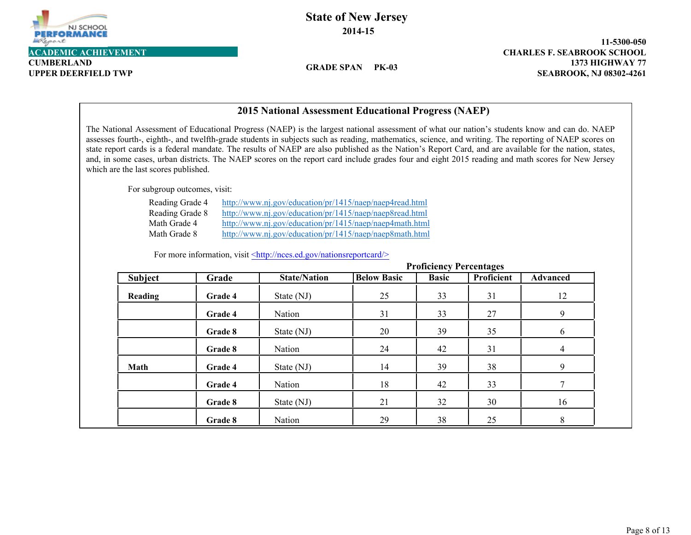

**CUMBERLAND**

**State of New Jersey 2014-15**

**GRADE SPAN PK-03**

**1373 HIGHWAY 77 11-5300-050 UPPER DEERFIELD TWP SEABROOK, NJ 08302-4261**

|                                                                    |         | 2015 National Assessment Educational Progress (NAEP)                                                                                                                                                                                                                                                                                                                                                                                                                                                                                                                                                                  |                    |                                |                   |                 |
|--------------------------------------------------------------------|---------|-----------------------------------------------------------------------------------------------------------------------------------------------------------------------------------------------------------------------------------------------------------------------------------------------------------------------------------------------------------------------------------------------------------------------------------------------------------------------------------------------------------------------------------------------------------------------------------------------------------------------|--------------------|--------------------------------|-------------------|-----------------|
| which are the last scores published.                               |         | The National Assessment of Educational Progress (NAEP) is the largest national assessment of what our nation's students know and can do. NAEP<br>assesses fourth-, eighth-, and twelfth-grade students in subjects such as reading, mathematics, science, and writing. The reporting of NAEP scores on<br>state report cards is a federal mandate. The results of NAEP are also published as the Nation's Report Card, and are available for the nation, states,<br>and, in some cases, urban districts. The NAEP scores on the report card include grades four and eight 2015 reading and math scores for New Jersey |                    |                                |                   |                 |
| For subgroup outcomes, visit:                                      |         |                                                                                                                                                                                                                                                                                                                                                                                                                                                                                                                                                                                                                       |                    |                                |                   |                 |
| Reading Grade 4<br>Reading Grade 8<br>Math Grade 4<br>Math Grade 8 |         | http://www.nj.gov/education/pr/1415/naep/naep4read.html<br>http://www.nj.gov/education/pr/1415/naep/naep8read.html<br>http://www.nj.gov/education/pr/1415/naep/naep4math.html<br>http://www.nj.gov/education/pr/1415/naep/naep8math.html<br>For more information, visit <http: nationsreportcard="" nces.ed.gov=""></http:>                                                                                                                                                                                                                                                                                           |                    |                                |                   |                 |
|                                                                    |         |                                                                                                                                                                                                                                                                                                                                                                                                                                                                                                                                                                                                                       |                    | <b>Proficiency Percentages</b> |                   |                 |
| <b>Subject</b>                                                     | Grade   | <b>State/Nation</b>                                                                                                                                                                                                                                                                                                                                                                                                                                                                                                                                                                                                   | <b>Below Basic</b> | <b>Basic</b>                   | <b>Proficient</b> | <b>Advanced</b> |
| Reading                                                            | Grade 4 | State (NJ)                                                                                                                                                                                                                                                                                                                                                                                                                                                                                                                                                                                                            | 25                 | 33                             | 31                | 12              |
|                                                                    |         |                                                                                                                                                                                                                                                                                                                                                                                                                                                                                                                                                                                                                       |                    |                                |                   |                 |
|                                                                    | Grade 4 | Nation                                                                                                                                                                                                                                                                                                                                                                                                                                                                                                                                                                                                                | 31                 | 33                             | 27                | 9               |
|                                                                    | Grade 8 | State (NJ)                                                                                                                                                                                                                                                                                                                                                                                                                                                                                                                                                                                                            | 20                 | 39                             | 35                | 6               |
|                                                                    | Grade 8 | Nation                                                                                                                                                                                                                                                                                                                                                                                                                                                                                                                                                                                                                | 24                 | 42                             | 31                | 4               |
| Math                                                               | Grade 4 | State (NJ)                                                                                                                                                                                                                                                                                                                                                                                                                                                                                                                                                                                                            | 14                 | 39                             | 38                | 9               |
|                                                                    | Grade 4 | Nation                                                                                                                                                                                                                                                                                                                                                                                                                                                                                                                                                                                                                | 18                 | 42                             | 33                | 7               |
|                                                                    | Grade 8 | State (NJ)                                                                                                                                                                                                                                                                                                                                                                                                                                                                                                                                                                                                            | 21                 | 32                             | 30                | 16              |

### **2015 National Assessment Educational Progress (NAEP)**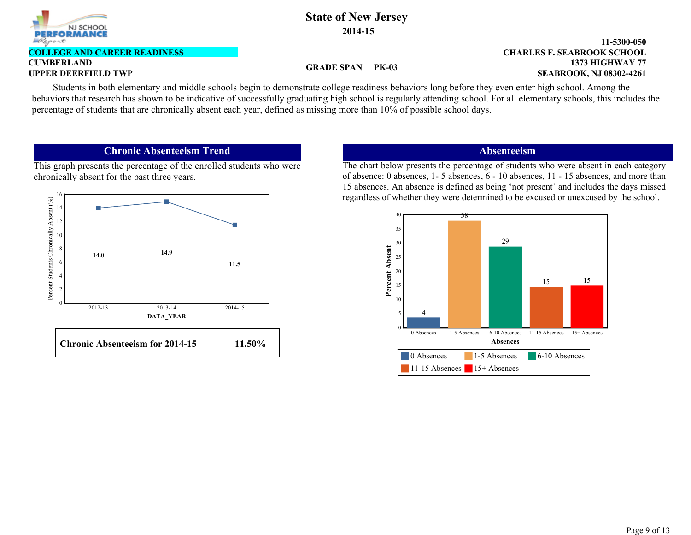

#### **CUMBERLAND COLLEGE AND CAREER READINESS**

### **GRADE SPAN PK-03**

#### **1373 HIGHWAY 77 11-5300-050 UPPER DEERFIELD TWP SEABROOK, NJ 08302-4261 CHARLES F. SEABROOK SCHOOL**

Students in both elementary and middle schools begin to demonstrate college readiness behaviors long before they even enter high school. Among the behaviors that research has shown to be indicative of successfully graduating high school is regularly attending school. For all elementary schools, this includes the percentage of students that are chronically absent each year, defined as missing more than 10% of possible school days.

## **Chronic Absenteeism Trend**

This graph presents the percentage of the enrolled students who were chronically absent for the past three years.



## **Absenteeism**

The chart below presents the percentage of students who were absent in each category of absence: 0 absences, 1- 5 absences, 6 - 10 absences, 11 - 15 absences, and more than 15 absences. An absence is defined as being 'not present' and includes the days missed regardless of whether they were determined to be excused or unexcused by the school.

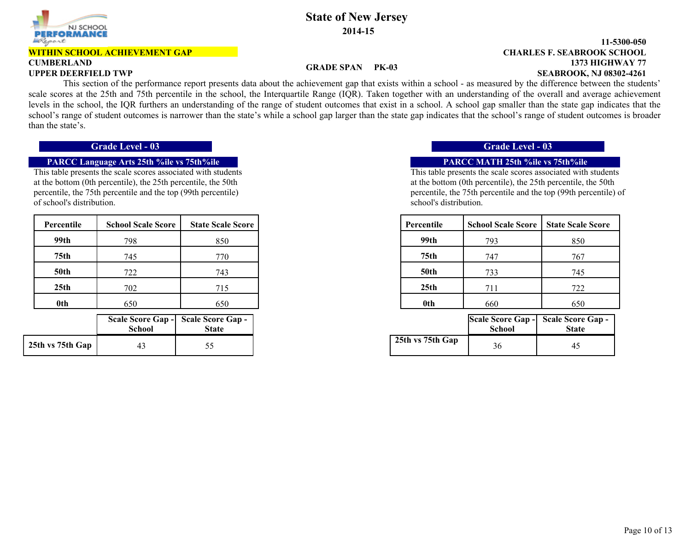

#### **WITHIN SCHOOL ACHIEVEMENT GAP**

# **CUMBERLAND**

## **State of New Jersey 2014-15**

#### **1373 HIGHWAY 77 11-5300-050 UPPER DEERFIELD TWP SEABROOK, NJ 08302-4261 CHARLES F. SEABROOK SCHOOL**

#### **GRADE SPAN PK-03**

 This section of the performance report presents data about the achievement gap that exists within a school - as measured by the difference between the students' scale scores at the 25th and 75th percentile in the school, the Interquartile Range (IQR). Taken together with an understanding of the overall and average achievement levels in the school, the IQR furthers an understanding of the range of student outcomes that exist in a school. A school gap smaller than the state gap indicates that the school's range of student outcomes is narrower than the state's while a school gap larger than the state gap indicates that the school's range of student outcomes is broader than the state's.

### **PARCC Language Arts 25th %ile vs 75th%ile PARCC MATH 25th %ile vs 75th%ile**

This table presents the scale scores associated with students at the bottom (0th percentile), the 25th percentile, the 50th percentile, the 75th percentile and the top (99th percentile) of school's distribution.

| Percentile       | <b>School Scale Score</b> | <b>State Scale Score</b> |
|------------------|---------------------------|--------------------------|
| 99th             | 798                       | 850                      |
| 75 <sub>th</sub> | 745                       | 770                      |
| <b>50th</b>      | 722                       | 743                      |
| 25 <sub>th</sub> | 702                       | 715                      |
| 0th              | 650                       | 650                      |

|                  | <b>School</b> | Scale Score Gap - Scale Score Gap -<br><b>State</b> |
|------------------|---------------|-----------------------------------------------------|
| 25th vs 75th Gap | 43            | 55                                                  |

### **Grade Level - 03 Grade Level - 03**

This table presents the scale scores associated with students at the bottom (0th percentile), the 25th percentile, the 50th percentile, the 75th percentile and the top (99th percentile) of school's distribution.

| Percentile       | <b>School Scale Score</b> | <b>State Scale Score</b> | Percentile       | <b>School Scale Score</b> | <b>State Scale Score</b> |
|------------------|---------------------------|--------------------------|------------------|---------------------------|--------------------------|
| 99th             | 798                       | 850                      | 99th             | 793                       | 850                      |
| 75 <sub>th</sub> | 745                       | 770                      | 75th             | 747                       | 767                      |
| <b>50th</b>      | 722                       | 743                      | <b>50th</b>      | 733                       | 745                      |
| 25 <sub>th</sub> | 702                       | 715                      | 25 <sub>th</sub> | 711                       | 722                      |
| 0th              | 650                       | 650                      | 0th              | 660                       | 650                      |

| hool | <b>core Gap -   Scale Score Gap -  </b><br><b>State</b> |                        | School | Scale Score Gap - Scale Score Gap -<br><b>State</b> |
|------|---------------------------------------------------------|------------------------|--------|-----------------------------------------------------|
|      |                                                         | 25th vs 75th Gap<br>36 |        | 45                                                  |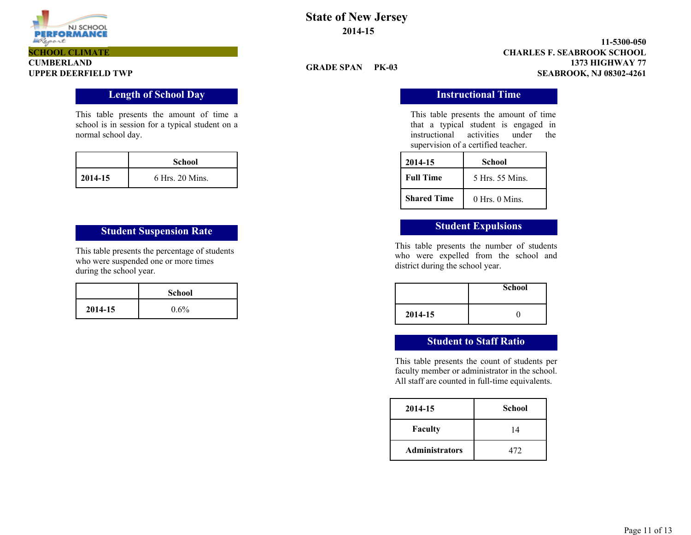

#### **1373 HIGHWAY 77 11-5300-050 UPPER DEERFIELD TWP SEABROOK, NJ 08302-4261 CHARLES F. SEABROOK SCHOOL**

### **GRADE SPAN PK-03**

This table presents the amount of time that a typical student is engaged in instructional activities under the supervision of a certified teacher.

| 2014-15            | School          |
|--------------------|-----------------|
| <b>Full Time</b>   | 5 Hrs. 55 Mins. |
| <b>Shared Time</b> | 0 Hrs 0 Mins    |

This table presents the number of students who were expelled from the school and district during the school year.

|         | <b>School</b> |
|---------|---------------|
| 2014-15 |               |

# **Student to Staff Ratio**

This table presents the count of students per faculty member or administrator in the school. All staff are counted in full-time equivalents.

| 2014-15               | <b>School</b> |
|-----------------------|---------------|
| <b>Faculty</b>        | 14            |
| <b>Administrators</b> | 472           |

# **CUMBERLAND SCHOOL CLIMATE**

### **Length of School Day Instructional Time**

This table presents the amount of time a school is in session for a typical student on a normal school day.

|         | <b>School</b>   |  |
|---------|-----------------|--|
| 2014-15 | 6 Hrs. 20 Mins. |  |

# **Student Suspension Rate Student Expulsions**

This table presents the percentage of students who were suspended one or more times during the school year.

|         | <b>School</b> |
|---------|---------------|
| 2014-15 | $0.6\%$       |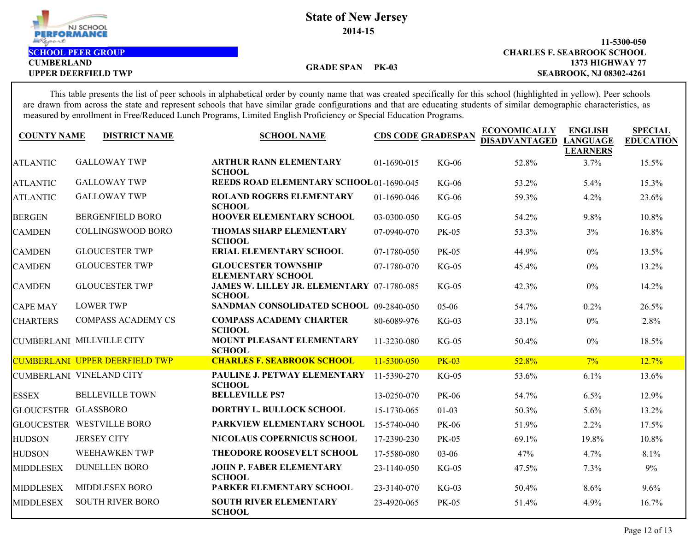

**CUMBERLAND**

#### **1373 HIGHWAY 77 11-5300-050 UPPER DEERFIELD TWP SEABROOK, NJ 08302-4261 SCHOOL PEER GROUP CHARLES F. SEABROOK SCHOOL**

**GRADE SPAN PK-03**

This table presents the list of peer schools in alphabetical order by county name that was created specifically for this school (highlighted in yellow). Peer schools are drawn from across the state and represent schools that have similar grade configurations and that are educating students of similar demographic characteristics, as measured by enrollment in Free/Reduced Lunch Programs, Limited English Proficiency or Special Education Programs.

| <b>COUNTY NAME</b>   | <b>DISTRICT NAME</b>                  | <b>SCHOOL NAME</b>                                          | <b>CDS CODE GRADESPAN</b> |              | <b>ECONOMICALLY</b><br><b>DISADVANTAGED</b> | <b>ENGLISH</b><br><b>LANGUAGE</b><br><b>LEARNERS</b> | <b>SPECIAL</b><br><b>EDUCATION</b> |
|----------------------|---------------------------------------|-------------------------------------------------------------|---------------------------|--------------|---------------------------------------------|------------------------------------------------------|------------------------------------|
| <b>ATLANTIC</b>      | <b>GALLOWAY TWP</b>                   | <b>ARTHUR RANN ELEMENTARY</b><br><b>SCHOOL</b>              | 01-1690-015               | $KG-06$      | 52.8%                                       | 3.7%                                                 | 15.5%                              |
| <b>ATLANTIC</b>      | <b>GALLOWAY TWP</b>                   | <b>REEDS ROAD ELEMENTARY SCHOOL 01-1690-045</b>             |                           | $KG-06$      | 53.2%                                       | 5.4%                                                 | 15.3%                              |
| <b>ATLANTIC</b>      | <b>GALLOWAY TWP</b>                   | <b>ROLAND ROGERS ELEMENTARY</b><br><b>SCHOOL</b>            | 01-1690-046               | $KG-06$      | 59.3%                                       | 4.2%                                                 | 23.6%                              |
| <b>BERGEN</b>        | <b>BERGENFIELD BORO</b>               | <b>HOOVER ELEMENTARY SCHOOL</b>                             | 03-0300-050               | $KG-05$      | 54.2%                                       | 9.8%                                                 | 10.8%                              |
| <b>CAMDEN</b>        | <b>COLLINGSWOOD BORO</b>              | <b>THOMAS SHARP ELEMENTARY</b><br><b>SCHOOL</b>             | 07-0940-070               | <b>PK-05</b> | 53.3%                                       | 3%                                                   | 16.8%                              |
| <b>CAMDEN</b>        | <b>GLOUCESTER TWP</b>                 | <b>ERIAL ELEMENTARY SCHOOL</b>                              | 07-1780-050               | <b>PK-05</b> | 44.9%                                       | $0\%$                                                | 13.5%                              |
| <b>CAMDEN</b>        | <b>GLOUCESTER TWP</b>                 | <b>GLOUCESTER TOWNSHIP</b><br><b>ELEMENTARY SCHOOL</b>      | 07-1780-070               | $KG-05$      | 45.4%                                       | $0\%$                                                | 13.2%                              |
| <b>CAMDEN</b>        | <b>GLOUCESTER TWP</b>                 | JAMES W. LILLEY JR. ELEMENTARY 07-1780-085<br><b>SCHOOL</b> |                           | $KG-05$      | 42.3%                                       | $0\%$                                                | 14.2%                              |
| <b>CAPE MAY</b>      | <b>LOWER TWP</b>                      | SANDMAN CONSOLIDATED SCHOOL 09-2840-050                     |                           | 05-06        | 54.7%                                       | 0.2%                                                 | 26.5%                              |
| <b>CHARTERS</b>      | <b>COMPASS ACADEMY CS</b>             | <b>COMPASS ACADEMY CHARTER</b><br><b>SCHOOL</b>             | 80-6089-976               | $KG-03$      | 33.1%                                       | $0\%$                                                | 2.8%                               |
|                      | CUMBERLANI MILLVILLE CITY             | MOUNT PLEASANT ELEMENTARY<br><b>SCHOOL</b>                  | 11-3230-080               | $KG-05$      | 50.4%                                       | $0\%$                                                | 18.5%                              |
|                      | <b>CUMBERLANI UPPER DEERFIELD TWP</b> | <b>CHARLES F. SEABROOK SCHOOL</b>                           | 11-5300-050               | <b>PK-03</b> | 52.8%                                       | $7\%$                                                | 12.7%                              |
|                      | CUMBERLANI VINELAND CITY              | PAULINE J. PETWAY ELEMENTARY<br><b>SCHOOL</b>               | 11-5390-270               | $KG-05$      | 53.6%                                       | 6.1%                                                 | 13.6%                              |
| <b>ESSEX</b>         | <b>BELLEVILLE TOWN</b>                | <b>BELLEVILLE PS7</b>                                       | 13-0250-070               | <b>PK-06</b> | 54.7%                                       | 6.5%                                                 | 12.9%                              |
| GLOUCESTER GLASSBORO |                                       | DORTHY L. BULLOCK SCHOOL                                    | 15-1730-065               | $01 - 03$    | 50.3%                                       | 5.6%                                                 | 13.2%                              |
|                      | <b>GLOUCESTER WESTVILLE BORO</b>      | PARKVIEW ELEMENTARY SCHOOL                                  | 15-5740-040               | <b>PK-06</b> | 51.9%                                       | 2.2%                                                 | 17.5%                              |
| <b>HUDSON</b>        | <b>JERSEY CITY</b>                    | NICOLAUS COPERNICUS SCHOOL                                  | 17-2390-230               | <b>PK-05</b> | 69.1%                                       | 19.8%                                                | 10.8%                              |
| <b>HUDSON</b>        | WEEHAWKEN TWP                         | THEODORE ROOSEVELT SCHOOL                                   | 17-5580-080               | 03-06        | 47%                                         | 4.7%                                                 | 8.1%                               |
| <b>MIDDLESEX</b>     | <b>DUNELLEN BORO</b>                  | <b>JOHN P. FABER ELEMENTARY</b><br><b>SCHOOL</b>            | 23-1140-050               | $KG-05$      | 47.5%                                       | 7.3%                                                 | 9%                                 |
| <b>MIDDLESEX</b>     | MIDDLESEX BORO                        | PARKER ELEMENTARY SCHOOL                                    | 23-3140-070               | $KG-03$      | 50.4%                                       | 8.6%                                                 | 9.6%                               |
| <b>MIDDLESEX</b>     | <b>SOUTH RIVER BORO</b>               | <b>SOUTH RIVER ELEMENTARY</b><br><b>SCHOOL</b>              | 23-4920-065               | <b>PK-05</b> | 51.4%                                       | 4.9%                                                 | 16.7%                              |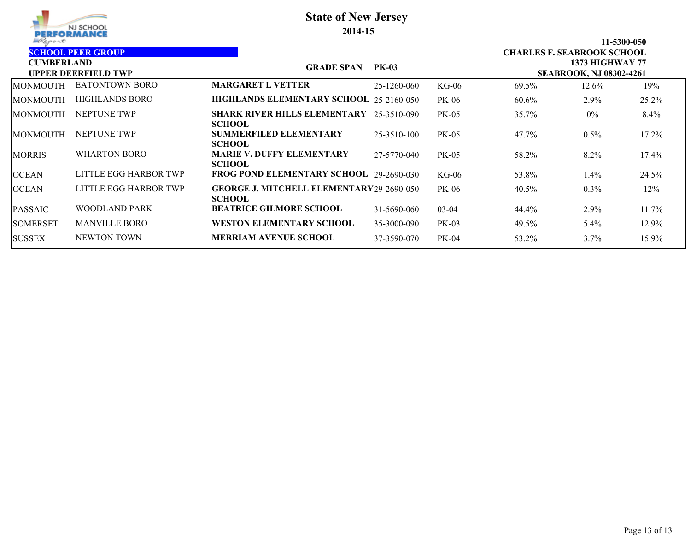| PERFORMANCE<br>Report                                                       | NJ SCHOOL             | <b>State of New Jersey</b><br>2014-15                            |              |              |                                   |                                                          | 11-5300-050 |
|-----------------------------------------------------------------------------|-----------------------|------------------------------------------------------------------|--------------|--------------|-----------------------------------|----------------------------------------------------------|-------------|
| <b>SCHOOL PEER GROUP</b><br><b>CUMBERLAND</b><br><b>UPPER DEERFIELD TWP</b> |                       | <b>GRADE SPAN</b>                                                | <b>PK-03</b> |              | <b>CHARLES F. SEABROOK SCHOOL</b> | <b>1373 HIGHWAY 77</b><br><b>SEABROOK, NJ 08302-4261</b> |             |
| <b>MONMOUTH</b>                                                             | <b>EATONTOWN BORO</b> | <b>MARGARET L VETTER</b>                                         | 25-1260-060  | $KG-06$      | 69.5%                             | 12.6%                                                    | 19%         |
| MONMOUTH                                                                    | <b>HIGHLANDS BORO</b> | HIGHLANDS ELEMENTARY SCHOOL 25-2160-050                          |              | <b>PK-06</b> | 60.6%                             | 2.9%                                                     | 25.2%       |
| MONMOUTH                                                                    | NEPTUNE TWP           | <b>SHARK RIVER HILLS ELEMENTARY</b><br><b>SCHOOL</b>             | 25-3510-090  | <b>PK-05</b> | 35.7%                             | $0\%$                                                    | $8.4\%$     |
| MONMOUTH                                                                    | NEPTUNE TWP           | <b>SUMMERFILED ELEMENTARY</b><br><b>SCHOOL</b>                   | 25-3510-100  | PK-05        | 47.7%                             | 0.5%                                                     | 17.2%       |
| <b>MORRIS</b>                                                               | <b>WHARTON BORO</b>   | <b>MARIE V. DUFFY ELEMENTARY</b><br><b>SCHOOL</b>                | 27-5770-040  | <b>PK-05</b> | 58.2%                             | 8.2%                                                     | 17.4%       |
| <b>OCEAN</b>                                                                | LITTLE EGG HARBOR TWP | FROG POND ELEMENTARY SCHOOL 29-2690-030                          |              | $KG-06$      | 53.8%                             | $1.4\%$                                                  | 24.5%       |
| <b>OCEAN</b>                                                                | LITTLE EGG HARBOR TWP | <b>GEORGE J. MITCHELL ELEMENTARY29-2690-050</b><br><b>SCHOOL</b> |              | <b>PK-06</b> | 40.5%                             | $0.3\%$                                                  | 12%         |
| PASSAIC                                                                     | WOODLAND PARK         | <b>BEATRICE GILMORE SCHOOL</b>                                   | 31-5690-060  | $03-04$      | 44.4%                             | 2.9%                                                     | 11.7%       |
| <b>SOMERSET</b>                                                             | <b>MANVILLE BORO</b>  | <b>WESTON ELEMENTARY SCHOOL</b>                                  | 35-3000-090  | $PK-03$      | 49.5%                             | $5.4\%$                                                  | 12.9%       |
| <b>SUSSEX</b>                                                               | <b>NEWTON TOWN</b>    | <b>MERRIAM AVENUE SCHOOL</b>                                     | 37-3590-070  | <b>PK-04</b> | 53.2%                             | 3.7%                                                     | 15.9%       |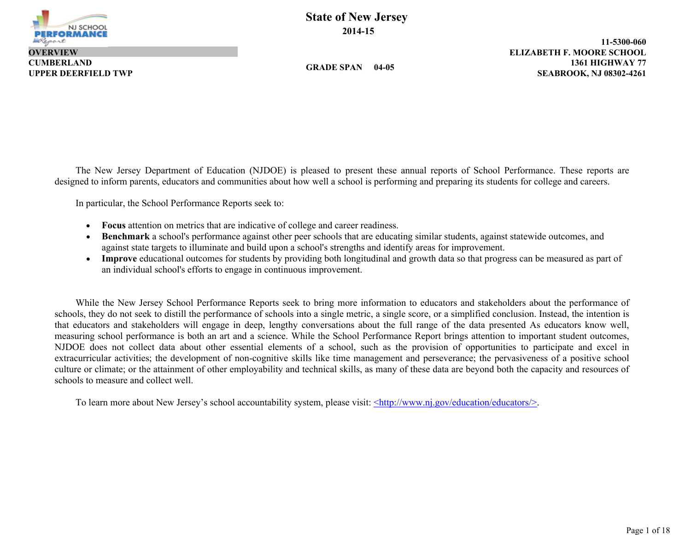

**CUMBERLAND OVERVIEW**

**GRADE SPAN 04-05**

**1361 HIGHWAY 77 11-5300-060 UPPER DEERFIELD TWP SEABROOK, NJ 08302-4261 ELIZABETH F. MOORE SCHOOL**

The New Jersey Department of Education (NJDOE) is pleased to present these annual reports of School Performance. These reports are designed to inform parents, educators and communities about how well a school is performing and preparing its students for college and careers.

In particular, the School Performance Reports seek to:

- **Focus** attention on metrics that are indicative of college and career readiness.
- **Benchmark** a school's performance against other peer schools that are educating similar students, against statewide outcomes, and against state targets to illuminate and build upon a school's strengths and identify areas for improvement.
- **Improve** educational outcomes for students by providing both longitudinal and growth data so that progress can be measured as part of an individual school's efforts to engage in continuous improvement.

While the New Jersey School Performance Reports seek to bring more information to educators and stakeholders about the performance of schools, they do not seek to distill the performance of schools into a single metric, a single score, or a simplified conclusion. Instead, the intention is that educators and stakeholders will engage in deep, lengthy conversations about the full range of the data presented As educators know well, measuring school performance is both an art and a science. While the School Performance Report brings attention to important student outcomes, NJDOE does not collect data about other essential elements of a school, such as the provision of opportunities to participate and excel in extracurricular activities; the development of non-cognitive skills like time management and perseverance; the pervasiveness of a positive school culture or climate; or the attainment of other employability and technical skills, as many of these data are beyond both the capacity and resources of schools to measure and collect well.

To learn more about New Jersey's school accountability system, please visit: <http://www.nj.gov/education/educators/>.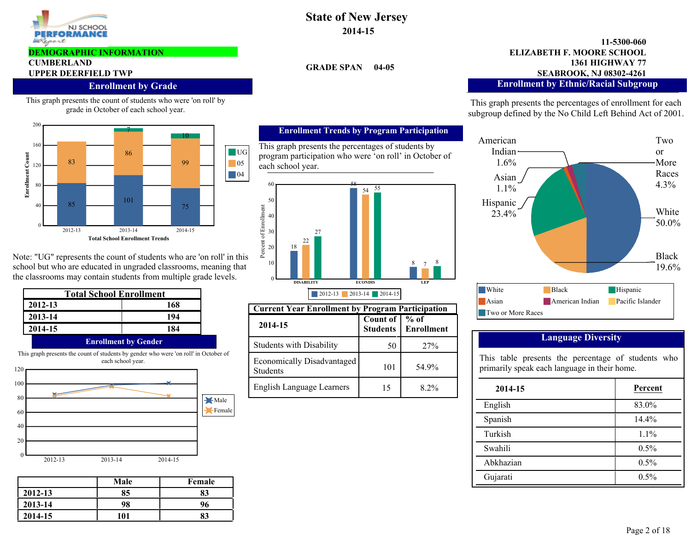

#### **DEMOGRAPHIC INFORMATION**

# **CUMBERLAND**

#### **Enrollment by Grade**

This graph presents the count of students who were 'on roll' by grade in October of each school year.



Note: "UG" represents the count of students who are 'on roll' in this school but who are educated in ungraded classrooms, meaning that the classrooms may contain students from multiple grade levels.

| <b>Total School Enrollment</b> |                                                                                                           |  |  |  |  |
|--------------------------------|-----------------------------------------------------------------------------------------------------------|--|--|--|--|
| 2012-13                        | 168                                                                                                       |  |  |  |  |
| 2013-14                        | 194                                                                                                       |  |  |  |  |
| 2014-15                        | 184                                                                                                       |  |  |  |  |
| <b>Enrollment by Gender</b>    |                                                                                                           |  |  |  |  |
|                                | This graph presents the count of students by gender who were 'on roll' in October of<br>each school year. |  |  |  |  |



|         | Male | Female |
|---------|------|--------|
| 2012-13 | 85   | 83     |
| 2013-14 | 98   | 96     |
| 2014-15 | 101  | 83     |

# **State of New Jersey 2014-15**

**GRADE SPAN 04-05**

#### **1361 HIGHWAY 77 11-5300-060 UPPER DEERFIELD TWP SEABROOK, NJ 08302-4261 ELIZABETH F. MOORE SCHOOL Enrollment by Ethnic/Racial Subgroup**

This graph presents the percentages of enrollment for each subgroup defined by the No Child Left Behind Act of 2001.



### **Language Diversity**

This table presents the percentage of students who primarily speak each language in their home.

| 2014-15   | Percent |
|-----------|---------|
| English   | 83.0%   |
| Spanish   | 14.4%   |
| Turkish   | $1.1\%$ |
| Swahili   | 0.5%    |
| Abkhazian | 0.5%    |
| Gujarati  | 0.5%    |

### **Enrollment Trends by Program Participation**

This graph presents the percentages of students by program participation who were 'on roll' in October of each school year.



| <b>Current Year Enrollment by Program Participation</b> |                                    |            |  |  |  |  |  |
|---------------------------------------------------------|------------------------------------|------------|--|--|--|--|--|
| 2014-15                                                 | Count of   % of<br><b>Students</b> | Enrollment |  |  |  |  |  |
| <b>Students with Disability</b>                         | 50                                 | 27%        |  |  |  |  |  |
| Economically Disadvantaged<br><b>Students</b>           | 101                                | 54 9%      |  |  |  |  |  |
| <b>English Language Learners</b>                        |                                    | 8 2%       |  |  |  |  |  |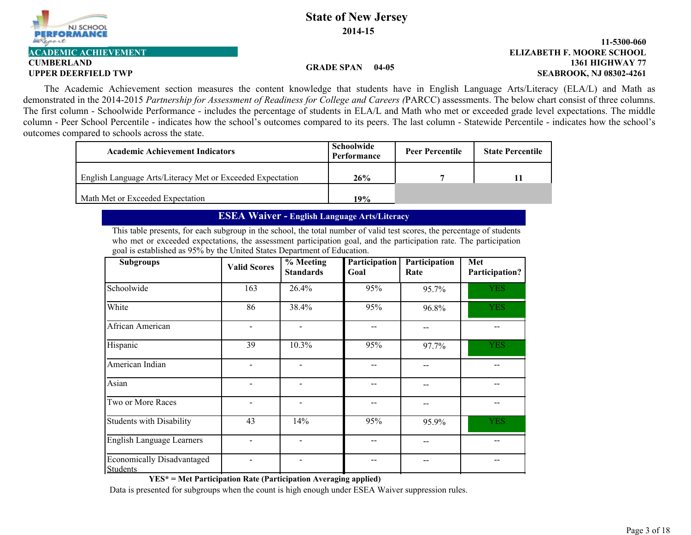

# **CUMBERLAND**

#### **1361 HIGHWAY 77 11-5300-060 UPPER DEERFIELD TWP SEABROOK, NJ 08302-4261 ACADEMIC ACHIEVEMENT ELIZABETH F. MOORE SCHOOL**

#### **GRADE SPAN 04-05**

The Academic Achievement section measures the content knowledge that students have in English Language Arts/Literacy (ELA/L) and Math as demonstrated in the 2014-2015 *Partnership for Assessment of Readiness for College and Careers (*PARCC) assessments. The below chart consist of three columns. The first column - Schoolwide Performance - includes the percentage of students in ELA/L and Math who met or exceeded grade level expectations. The middle column - Peer School Percentile - indicates how the school's outcomes compared to its peers. The last column - Statewide Percentile - indicates how the school's outcomes compared to schools across the state.

| <b>Academic Achievement Indicators</b>                     | Schoolwide<br>Performance | <b>Peer Percentile</b> | <b>State Percentile</b> |
|------------------------------------------------------------|---------------------------|------------------------|-------------------------|
| English Language Arts/Literacy Met or Exceeded Expectation | 26%                       |                        |                         |
| Math Met or Exceeded Expectation                           | 19%                       |                        |                         |

## **ESEA Waiver - English Language Arts/Literacy**

This table presents, for each subgroup in the school, the total number of valid test scores, the percentage of students who met or exceeded expectations, the assessment participation goal, and the participation rate. The participation goal is established as 95% by the United States Department of Education.

| <b>Subgroups</b>                              | <b>Valid Scores</b> | $\frac{6}{9}$ Meeting<br><b>Standards</b> | Participation<br>Goal | Participation<br>Rate | Met<br>Participation? |
|-----------------------------------------------|---------------------|-------------------------------------------|-----------------------|-----------------------|-----------------------|
| Schoolwide                                    | 163                 | 26.4%                                     | 95%                   | 95.7%                 | <b>YES</b>            |
| White                                         | 86                  | 38.4%                                     | 95%                   | 96.8%                 | <b>YES</b>            |
| African American                              |                     |                                           |                       |                       |                       |
| Hispanic                                      | 39                  | 10.3%                                     | 95%                   | 97.7%                 | <b>YES</b>            |
| American Indian                               |                     |                                           |                       |                       |                       |
| Asian                                         |                     |                                           |                       |                       |                       |
| Two or More Races                             |                     |                                           |                       |                       |                       |
| Students with Disability                      | 43                  | 14%                                       | 95%                   | 95.9%                 | <b>YES</b>            |
| English Language Learners                     |                     |                                           |                       |                       |                       |
| Economically Disadvantaged<br><b>Students</b> |                     |                                           |                       |                       |                       |

**YES\* = Met Participation Rate (Participation Averaging applied)**

Data is presented for subgroups when the count is high enough under ESEA Waiver suppression rules.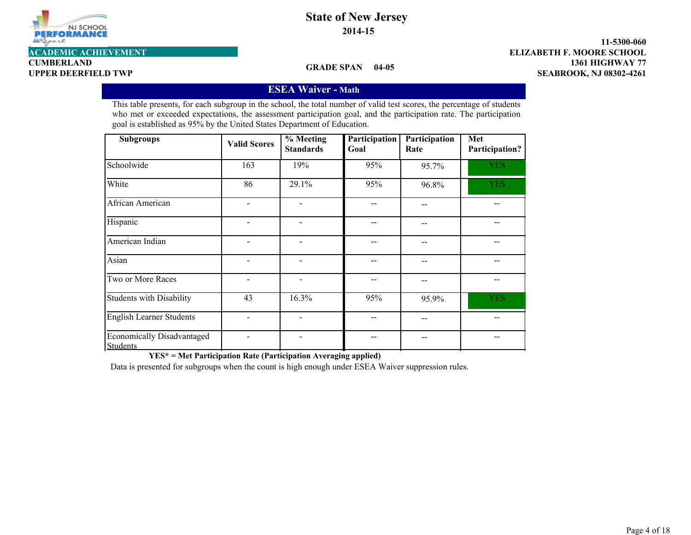

**CUMBERLAND**

**GRADE SPAN 04-05**

**1361 HIGHWAY 77 11-5300-060 UPPER DEERFIELD TWP SEABROOK, NJ 08302-4261 ACADEMIC ACHIEVEMENT ELIZABETH F. MOORE SCHOOL**

## **ESEA Waiver - Math**

This table presents, for each subgroup in the school, the total number of valid test scores, the percentage of students who met or exceeded expectations, the assessment participation goal, and the participation rate. The participation goal is established as 95% by the United States Department of Education.

| <b>Subgroups</b>                                     | <b>Valid Scores</b> | $%$ Meeting<br><b>Standards</b> | Participation<br>Goal | Participation<br>Rate | Met<br>Participation? |
|------------------------------------------------------|---------------------|---------------------------------|-----------------------|-----------------------|-----------------------|
| Schoolwide                                           | 163                 | 19%                             | 95%                   | 95.7%                 | <b>YES</b>            |
| White                                                | 86                  | 29.1%                           | 95%                   | 96.8%                 | <b>YES</b>            |
| African American                                     |                     |                                 |                       |                       |                       |
| Hispanic                                             |                     | $\qquad \qquad \blacksquare$    |                       | --                    |                       |
| American Indian                                      |                     | $\overline{\phantom{a}}$        |                       |                       |                       |
| Asian                                                |                     |                                 |                       | --                    |                       |
| Two or More Races                                    |                     | $\qquad \qquad \blacksquare$    |                       | --                    |                       |
| <b>Students with Disability</b>                      | 43                  | 16.3%                           | 95%                   | 95.9%                 | <b>YES</b>            |
| <b>English Learner Students</b>                      |                     | $\overline{\phantom{a}}$        |                       |                       |                       |
| <b>Economically Disadvantaged</b><br><b>Students</b> |                     | -                               |                       | --                    |                       |

**YES\* = Met Participation Rate (Participation Averaging applied)**

Data is presented for subgroups when the count is high enough under ESEA Waiver suppression rules.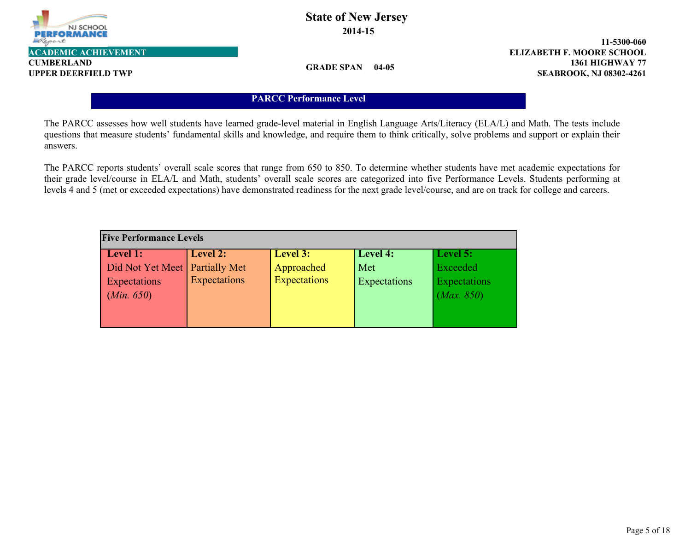

**CUMBERLAND**

**GRADE SPAN 04-05**

**1361 HIGHWAY 77 11-5300-060 UPPER DEERFIELD TWP SEABROOK, NJ 08302-4261 ACADEMIC ACHIEVEMENT ELIZABETH F. MOORE SCHOOL**

## **PARCC Performance Level**

The PARCC assesses how well students have learned grade-level material in English Language Arts/Literacy (ELA/L) and Math. The tests include questions that measure students' fundamental skills and knowledge, and require them to think critically, solve problems and support or explain their answers.

The PARCC reports students' overall scale scores that range from 650 to 850. To determine whether students have met academic expectations for their grade level/course in ELA/L and Math, students' overall scale scores are categorized into five Performance Levels. Students performing at levels 4 and 5 (met or exceeded expectations) have demonstrated readiness for the next grade level/course, and are on track for college and careers.

| <b>Five Performance Levels</b>   |              |                     |              |              |  |  |  |  |  |
|----------------------------------|--------------|---------------------|--------------|--------------|--|--|--|--|--|
| Level 1:                         | Level 2:     | Level 3:            | Level 4:     | Level 5:     |  |  |  |  |  |
| Did Not Yet Meet   Partially Met |              | Approached          | Met          | Exceeded     |  |  |  |  |  |
| Expectations                     | Expectations | <b>Expectations</b> | Expectations | Expectations |  |  |  |  |  |
| (Min. 650)                       |              |                     |              | (Max. 850)   |  |  |  |  |  |
|                                  |              |                     |              |              |  |  |  |  |  |
|                                  |              |                     |              |              |  |  |  |  |  |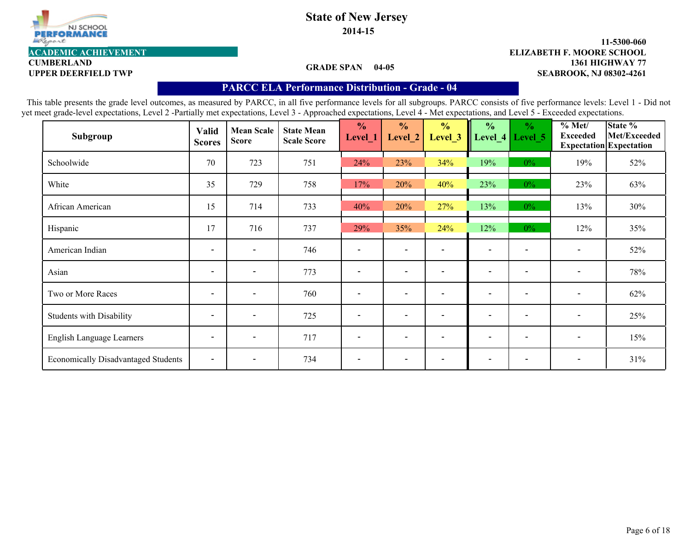

**2014-15**

#### **1361 HIGHWAY 77 11-5300-060** UPPER DEERFIELD TWP **SEABROOK, NJ 08302-4261 ACADEMIC ACHIEVEMENT ELIZABETH F. MOORE SCHOOL**

**CUMBERLAND**

### **GRADE SPAN 04-05**

## **PARCC ELA Performance Distribution - Grade - 04**

| Subgroup                                   | Valid<br><b>Scores</b>   | <b>Mean Scale</b><br><b>Score</b> | <b>State Mean</b><br><b>Scale Score</b> | $\frac{0}{0}$<br>Level_1 | $\frac{1}{2}$<br>Level 2 | $\frac{0}{0}$<br>Level_3 | $\frac{0}{0}$<br>Level_4 | $\frac{0}{0}$<br>Level 5 | % Met/<br><b>Exceeded</b> | State %<br>Met/Exceeded<br><b>Expectation</b> Expectation |
|--------------------------------------------|--------------------------|-----------------------------------|-----------------------------------------|--------------------------|--------------------------|--------------------------|--------------------------|--------------------------|---------------------------|-----------------------------------------------------------|
| Schoolwide                                 | 70                       | 723                               | 751                                     | 24%                      | 23%                      | 34%                      | 19%                      | $0\%$                    | 19%                       | 52%                                                       |
| White                                      | 35                       | 729                               | 758                                     | 17%                      | 20%                      | 40%                      | 23%                      | $0\%$                    | 23%                       | 63%                                                       |
| African American                           | 15                       | 714                               | 733                                     | 40%                      | 20%                      | 27%                      | 13%                      | $0\%$                    | 13%                       | 30%                                                       |
| Hispanic                                   | 17                       | 716                               | 737                                     | 29%                      | 35%                      | 24%                      | 12%                      | $0\%$                    | 12%                       | 35%                                                       |
| American Indian                            | $\overline{\phantom{0}}$ | $\blacksquare$                    | 746                                     |                          | $\overline{\phantom{0}}$ |                          | $\blacksquare$           |                          |                           | 52%                                                       |
| Asian                                      | $\overline{\phantom{a}}$ | $\overline{\phantom{a}}$          | 773                                     |                          | $\overline{\phantom{a}}$ |                          | $\overline{\phantom{a}}$ |                          | $\overline{\phantom{a}}$  | 78%                                                       |
| Two or More Races                          | $\overline{\phantom{0}}$ | $\overline{\phantom{0}}$          | 760                                     |                          | $\overline{\phantom{0}}$ |                          | $\overline{\phantom{0}}$ |                          | $\overline{\phantom{a}}$  | 62%                                                       |
| <b>Students with Disability</b>            | $\overline{\phantom{0}}$ | $\overline{\phantom{0}}$          | 725                                     | $\overline{\phantom{a}}$ | $\overline{\phantom{0}}$ | $\overline{\phantom{a}}$ | $\overline{\phantom{0}}$ | $\overline{\phantom{a}}$ | $\overline{\phantom{a}}$  | 25%                                                       |
| English Language Learners                  | $\overline{\phantom{a}}$ | $\overline{\phantom{0}}$          | 717                                     |                          | $\overline{\phantom{0}}$ |                          | $\overline{\phantom{0}}$ |                          | $\overline{\phantom{a}}$  | 15%                                                       |
| <b>Economically Disadvantaged Students</b> | $\overline{\phantom{a}}$ | $\overline{\phantom{a}}$          | 734                                     | $\overline{\phantom{a}}$ | $\overline{\phantom{a}}$ |                          | $\overline{\phantom{a}}$ |                          | $\overline{\phantom{a}}$  | 31%                                                       |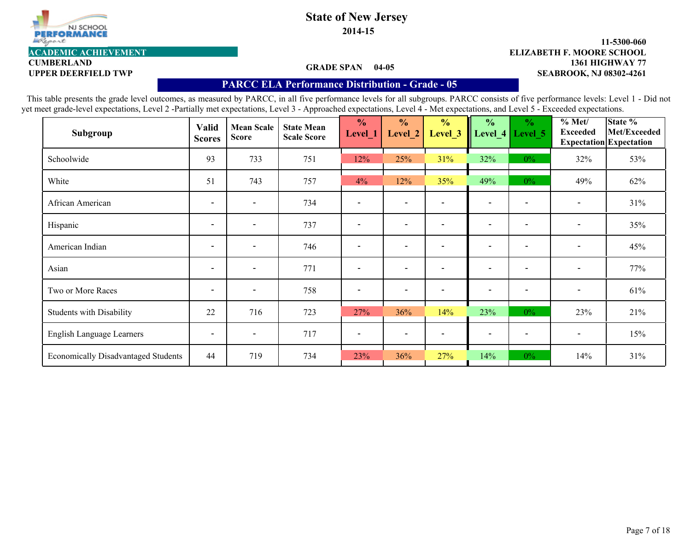

**2014-15**

#### **GRADE SPAN 04-05**

#### **1361 HIGHWAY 77 11-5300-060 UPPER DEERFIELD TWP SEABROOK, NJ 08302-4261 ACADEMIC ACHIEVEMENT ELIZABETH F. MOORE SCHOOL**

# **CUMBERLAND**

### **PARCC ELA Performance Distribution - Grade - 05**

| Subgroup                                   | <b>Valid</b><br><b>Scores</b> | <b>Mean Scale</b><br><b>Score</b> | <b>State Mean</b><br><b>Scale Score</b> | $\frac{0}{0}$<br>Level_1 | $\frac{0}{0}$<br>Level 2 | $\frac{0}{0}$<br>Level 3 | $\frac{0}{0}$            | $\frac{1}{2}$<br>Level_4   Level_5 | % Met/<br><b>Exceeded</b> | State %<br>Met/Exceeded<br><b>Expectation</b> Expectation |
|--------------------------------------------|-------------------------------|-----------------------------------|-----------------------------------------|--------------------------|--------------------------|--------------------------|--------------------------|------------------------------------|---------------------------|-----------------------------------------------------------|
| Schoolwide                                 | 93                            | 733                               | 751                                     | 12%                      | 25%                      | 31%                      | 32%                      | $0\%$                              | 32%                       | 53%                                                       |
| White                                      | 51                            | 743                               | 757                                     | 4%                       | 12%                      | 35%                      | 49%                      | $0\%$                              | 49%                       | 62%                                                       |
| African American                           | $\overline{\phantom{a}}$      | $\blacksquare$                    | 734                                     |                          | $\blacksquare$           |                          | $\overline{\phantom{a}}$ | $\blacksquare$                     | $\overline{\phantom{a}}$  | 31%                                                       |
| Hispanic                                   | $\overline{\phantom{a}}$      | $\overline{\phantom{a}}$          | 737                                     |                          | $\overline{\phantom{0}}$ |                          | $\overline{\phantom{0}}$ | $\overline{\phantom{0}}$           | $\blacksquare$            | 35%                                                       |
| American Indian                            | $\overline{\phantom{a}}$      | $\overline{\phantom{a}}$          | 746                                     |                          | $\overline{\phantom{0}}$ |                          | $\overline{\phantom{0}}$ | $\qquad \qquad \blacksquare$       | $\overline{\phantom{a}}$  | 45%                                                       |
| Asian                                      | $\overline{\phantom{a}}$      | $\overline{\phantom{a}}$          | 771                                     | $\overline{\phantom{a}}$ | $\overline{\phantom{a}}$ | $\overline{\phantom{a}}$ | $\overline{\phantom{a}}$ | $\overline{\phantom{a}}$           | $\overline{\phantom{a}}$  | 77%                                                       |
| Two or More Races                          | $\overline{\phantom{a}}$      | $\overline{\phantom{a}}$          | 758                                     |                          | $\overline{\phantom{a}}$ |                          | $\overline{\phantom{a}}$ | $\overline{\phantom{a}}$           | $\blacksquare$            | 61%                                                       |
| <b>Students with Disability</b>            | 22                            | 716                               | 723                                     | 27%                      | 36%                      | 14%                      | 23%                      | $0\%$                              | 23%                       | 21%                                                       |
| English Language Learners                  | $\overline{\phantom{a}}$      | $\overline{\phantom{0}}$          | 717                                     |                          | $\overline{\phantom{0}}$ |                          | $\overline{\phantom{a}}$ | $\overline{\phantom{0}}$           | $\overline{\phantom{a}}$  | 15%                                                       |
| <b>Economically Disadvantaged Students</b> | 44                            | 719                               | 734                                     | 23%                      | 36%                      | 27%                      | 14%                      | $0\%$                              | 14%                       | 31%                                                       |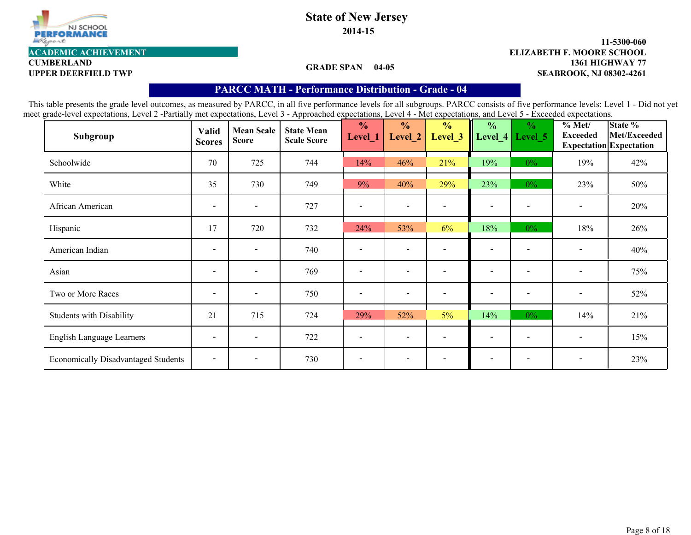

**2014-15**

# **CUMBERLAND**

### **GRADE SPAN 04-05**

#### **1361 HIGHWAY 77 11-5300-060** UPPER DEERFIELD TWP **SEABROOK, NJ 08302-4261 ACADEMIC ACHIEVEMENT ELIZABETH F. MOORE SCHOOL**

## **PARCC MATH - Performance Distribution- Grade - 04**

| Subgroup                                   | <b>Valid</b><br><b>Scores</b> | <b>Mean Scale</b><br><b>Score</b> | <b>State Mean</b><br><b>Scale Score</b> | $\frac{1}{2}$<br>Level_1 | $\frac{0}{0}$<br>Level_2 | $\frac{0}{0}$<br>Level <sub>_3</sub> | $\frac{0}{0}$            | $\frac{1}{2}$<br>Level_4 Level 5 | $\frac{6}{10}$ Met/<br><b>Exceeded</b> | State %<br>Met/Exceeded<br><b>Expectation Expectation</b> |
|--------------------------------------------|-------------------------------|-----------------------------------|-----------------------------------------|--------------------------|--------------------------|--------------------------------------|--------------------------|----------------------------------|----------------------------------------|-----------------------------------------------------------|
| Schoolwide                                 | 70                            | 725                               | 744                                     | 14%                      | 46%                      | 21%                                  | 19%                      | $0\%$                            | 19%                                    | 42%                                                       |
| White                                      | 35                            | 730                               | 749                                     | 9%                       | 40%                      | 29%                                  | 23%                      | $0\%$                            | 23%                                    | 50%                                                       |
| African American                           | $\overline{\phantom{a}}$      | $\overline{\phantom{a}}$          | 727                                     |                          | $\overline{\phantom{a}}$ |                                      | $\overline{\phantom{0}}$ | $\overline{\phantom{0}}$         | $\overline{\phantom{a}}$               | 20%                                                       |
| Hispanic                                   | 17                            | 720                               | 732                                     | 24%                      | 53%                      | 6%                                   | 18%                      | $0\%$                            | 18%                                    | 26%                                                       |
| American Indian                            | $\overline{\phantom{a}}$      | $\overline{\phantom{a}}$          | 740                                     |                          | $\overline{\phantom{a}}$ |                                      | $\overline{\phantom{0}}$ |                                  | $\overline{\phantom{a}}$               | 40%                                                       |
| Asian                                      | $\overline{\phantom{a}}$      | $\overline{\phantom{a}}$          | 769                                     |                          | $\overline{\phantom{a}}$ |                                      | $\overline{\phantom{0}}$ | $\overline{\phantom{0}}$         | $\overline{\phantom{a}}$               | 75%                                                       |
| Two or More Races                          | $\overline{\phantom{a}}$      | $\overline{\phantom{a}}$          | 750                                     |                          | $\overline{\phantom{a}}$ |                                      | $\overline{\phantom{0}}$ | $\overline{\phantom{0}}$         | $\overline{\phantom{a}}$               | 52%                                                       |
| <b>Students with Disability</b>            | 21                            | 715                               | 724                                     | 29%                      | 52%                      | 5%                                   | 14%                      | $0\%$                            | 14%                                    | 21%                                                       |
| English Language Learners                  | $\overline{\phantom{a}}$      | $\overline{\phantom{a}}$          | 722                                     |                          | $\overline{\phantom{a}}$ |                                      | $\blacksquare$           |                                  | $\qquad \qquad$                        | 15%                                                       |
| <b>Economically Disadvantaged Students</b> | $\overline{\phantom{a}}$      | $\overline{\phantom{a}}$          | 730                                     |                          | $\overline{\phantom{a}}$ |                                      |                          |                                  | $\overline{\phantom{a}}$               | 23%                                                       |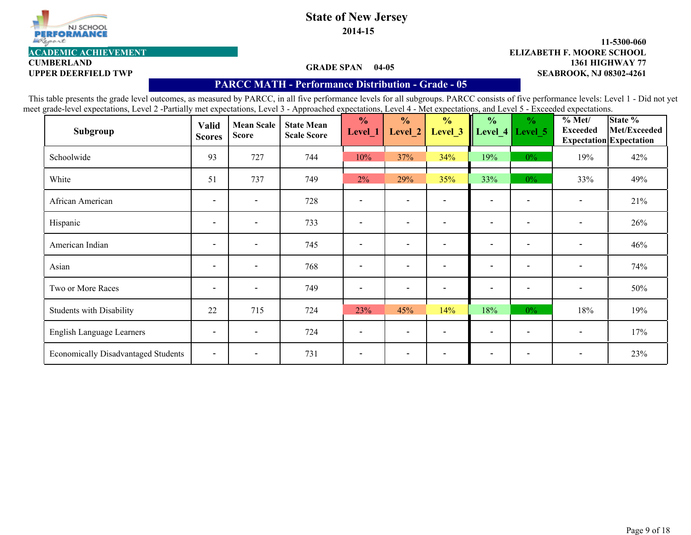

**2014-15**

#### **GRADE SPAN 04-05**

#### **1361 HIGHWAY 77 11-5300-060 UPPER DEERFIELD TWP SEABROOK, NJ 08302-4261 ACADEMIC ACHIEVEMENT ELIZABETH F. MOORE SCHOOL**

# **CUMBERLAND**

### **PARCC MATH - Performance Distribution- Grade - 05**

| Subgroup                                   | <b>Valid</b><br><b>Scores</b> | <b>Mean Scale</b><br><b>Score</b> | <b>State Mean</b><br><b>Scale Score</b> | $\frac{0}{0}$<br>Level_1     | $\frac{0}{0}$<br>Level_2 | $\frac{0}{0}$<br>Level <sub>_3</sub> | $\frac{0}{0}$            | $\frac{6}{6}$<br>Level_4   Level_5 | % Met/<br><b>Exceeded</b> | State %<br>Met/Exceeded<br><b>Expectation Expectation</b> |
|--------------------------------------------|-------------------------------|-----------------------------------|-----------------------------------------|------------------------------|--------------------------|--------------------------------------|--------------------------|------------------------------------|---------------------------|-----------------------------------------------------------|
| Schoolwide                                 | 93                            | 727                               | 744                                     | 10%                          | 37%                      | 34%                                  | 19%                      | $0\%$                              | 19%                       | 42%                                                       |
| White                                      | 51                            | 737                               | 749                                     | 2%                           | 29%                      | 35%                                  | 33%                      | $0\%$                              | 33%                       | 49%                                                       |
| African American                           | $\overline{\phantom{a}}$      | $\blacksquare$                    | 728                                     |                              | $\overline{\phantom{a}}$ |                                      | $\overline{\phantom{a}}$ | $\overline{\phantom{0}}$           | $\blacksquare$            | 21%                                                       |
| Hispanic                                   | $\overline{\phantom{a}}$      | $\blacksquare$                    | 733                                     |                              | $\overline{\phantom{0}}$ |                                      | $\overline{\phantom{0}}$ |                                    | $\overline{\phantom{a}}$  | 26%                                                       |
| American Indian                            | $\overline{\phantom{a}}$      | $\blacksquare$                    | 745                                     |                              | $\overline{\phantom{a}}$ |                                      | $\overline{\phantom{0}}$ | $\qquad \qquad \blacksquare$       | $\overline{\phantom{a}}$  | 46%                                                       |
| Asian                                      | $\overline{\phantom{a}}$      | $\overline{\phantom{a}}$          | 768                                     | $\overline{\phantom{a}}$     | $\overline{\phantom{a}}$ |                                      | $\overline{\phantom{0}}$ | $\overline{\phantom{a}}$           | $\overline{\phantom{a}}$  | 74%                                                       |
| Two or More Races                          | $\overline{\phantom{a}}$      | $\overline{\phantom{a}}$          | 749                                     | $\qquad \qquad \blacksquare$ | $\overline{\phantom{a}}$ |                                      | $\blacksquare$           | $\qquad \qquad \blacksquare$       | $\overline{\phantom{a}}$  | 50%                                                       |
| <b>Students with Disability</b>            | 22                            | 715                               | 724                                     | 23%                          | 45%                      | 14%                                  | 18%                      | $0\%$                              | 18%                       | 19%                                                       |
| English Language Learners                  | $\overline{\phantom{a}}$      | $\overline{\phantom{a}}$          | 724                                     |                              | $\overline{\phantom{a}}$ |                                      | $\overline{\phantom{0}}$ |                                    | $\overline{\phantom{a}}$  | 17%                                                       |
| <b>Economically Disadvantaged Students</b> | $\overline{\phantom{a}}$      | $\overline{\phantom{a}}$          | 731                                     |                              | $\overline{\phantom{a}}$ |                                      | $\overline{\phantom{0}}$ |                                    | $\overline{\phantom{a}}$  | 23%                                                       |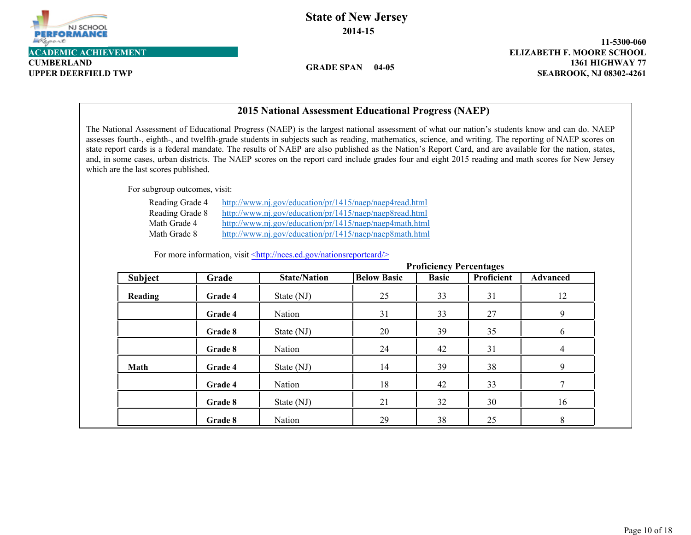

**CUMBERLAND**

# **State of New Jersey 2014-15**

**GRADE SPAN 04-05**

**1361 HIGHWAY 77 11-5300-060 UPPER DEERFIELD TWP SEABROOK, NJ 08302-4261**

|                                                                                                                                                                                                                                                                                                                                                                                                                                                                                                                                                                                                                                                               |         | <b>2015 National Assessment Educational Progress (NAEP)</b>                                                                                                                                                                              |                    |                                |                   |                 |
|---------------------------------------------------------------------------------------------------------------------------------------------------------------------------------------------------------------------------------------------------------------------------------------------------------------------------------------------------------------------------------------------------------------------------------------------------------------------------------------------------------------------------------------------------------------------------------------------------------------------------------------------------------------|---------|------------------------------------------------------------------------------------------------------------------------------------------------------------------------------------------------------------------------------------------|--------------------|--------------------------------|-------------------|-----------------|
| The National Assessment of Educational Progress (NAEP) is the largest national assessment of what our nation's students know and can do. NAEP<br>assesses fourth-, eighth-, and twelfth-grade students in subjects such as reading, mathematics, science, and writing. The reporting of NAEP scores on<br>state report cards is a federal mandate. The results of NAEP are also published as the Nation's Report Card, and are available for the nation, states,<br>and, in some cases, urban districts. The NAEP scores on the report card include grades four and eight 2015 reading and math scores for New Jersey<br>which are the last scores published. |         |                                                                                                                                                                                                                                          |                    |                                |                   |                 |
| For subgroup outcomes, visit:                                                                                                                                                                                                                                                                                                                                                                                                                                                                                                                                                                                                                                 |         |                                                                                                                                                                                                                                          |                    |                                |                   |                 |
| Reading Grade 4<br>Reading Grade 8<br>Math Grade 4<br>Math Grade 8                                                                                                                                                                                                                                                                                                                                                                                                                                                                                                                                                                                            |         | http://www.nj.gov/education/pr/1415/naep/naep4read.html<br>http://www.nj.gov/education/pr/1415/naep/naep8read.html<br>http://www.nj.gov/education/pr/1415/naep/naep4math.html<br>http://www.nj.gov/education/pr/1415/naep/naep8math.html |                    |                                |                   |                 |
|                                                                                                                                                                                                                                                                                                                                                                                                                                                                                                                                                                                                                                                               |         | For more information, visit <http: nationsreportcard="" nces.ed.gov=""></http:>                                                                                                                                                          |                    | <b>Proficiency Percentages</b> |                   |                 |
| <b>Subject</b>                                                                                                                                                                                                                                                                                                                                                                                                                                                                                                                                                                                                                                                | Grade   | <b>State/Nation</b>                                                                                                                                                                                                                      | <b>Below Basic</b> | <b>Basic</b>                   | <b>Proficient</b> | <b>Advanced</b> |
| Reading                                                                                                                                                                                                                                                                                                                                                                                                                                                                                                                                                                                                                                                       | Grade 4 | State (NJ)                                                                                                                                                                                                                               | 25                 | 33                             | 31                | 12              |
|                                                                                                                                                                                                                                                                                                                                                                                                                                                                                                                                                                                                                                                               | Grade 4 | Nation                                                                                                                                                                                                                                   | 31                 | 33                             | 27                | 9               |
|                                                                                                                                                                                                                                                                                                                                                                                                                                                                                                                                                                                                                                                               | Grade 8 | State (NJ)                                                                                                                                                                                                                               | 20                 | 39                             | 35                | 6               |
|                                                                                                                                                                                                                                                                                                                                                                                                                                                                                                                                                                                                                                                               | Grade 8 | Nation                                                                                                                                                                                                                                   | 24                 | 42                             | 31                | 4               |
| <b>Math</b>                                                                                                                                                                                                                                                                                                                                                                                                                                                                                                                                                                                                                                                   | Grade 4 | State (NJ)                                                                                                                                                                                                                               | 14                 | 39                             | 38                | 9               |
|                                                                                                                                                                                                                                                                                                                                                                                                                                                                                                                                                                                                                                                               | Grade 4 | Nation                                                                                                                                                                                                                                   | 18                 | 42                             | 33                | 7               |
|                                                                                                                                                                                                                                                                                                                                                                                                                                                                                                                                                                                                                                                               | Grade 8 | State (NJ)                                                                                                                                                                                                                               | 21                 | 32                             | 30                | 16              |
|                                                                                                                                                                                                                                                                                                                                                                                                                                                                                                                                                                                                                                                               | Grade 8 | Nation                                                                                                                                                                                                                                   | 29                 | 38                             | 25                | 8               |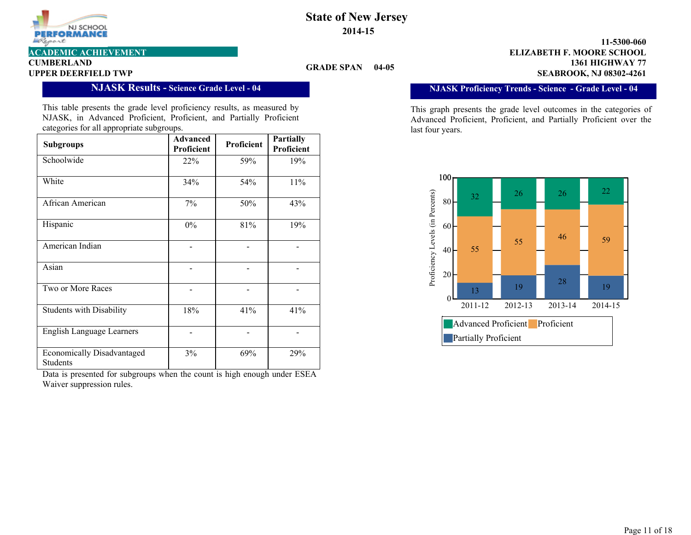

# **CUMBERLAND**

#### **GRADE SPAN 04-05**

**1361 HIGHWAY 77 11-5300-060 UPPER DEERFIELD TWP SEABROOK, NJ 08302-4261 ACADEMIC ACHIEVEMENT ELIZABETH F. MOORE SCHOOL**

**NJASK Proficiency Trends - Science - Grade Level - 04**

This graph presents the grade level outcomes in the categories of Advanced Proficient, Proficient, and Partially Proficient over the last four years.



## **NJASK Results - Science Grade Level - 04**

This table presents the grade level proficiency results, as measured by NJASK, in Advanced Proficient, Proficient, and Partially Proficient categories for all appropriate subgroups.

| <b>Subgroups</b>                                     | <b>Advanced</b><br>Proficient | Proficient | <b>Partially</b><br>Proficient |
|------------------------------------------------------|-------------------------------|------------|--------------------------------|
| Schoolwide                                           | 22%                           | 59%        | 19%                            |
| White                                                | 34%                           | 54%        | 11%                            |
| African American                                     | 7%                            | 50%        | 43%                            |
| Hispanic                                             | $0\%$                         | 81%        | 19%                            |
| American Indian                                      |                               |            |                                |
| Asian                                                |                               |            |                                |
| Two or More Races                                    |                               |            |                                |
| <b>Students with Disability</b>                      | 18%                           | 41%        | 41%                            |
| <b>English Language Learners</b>                     |                               |            |                                |
| <b>Economically Disadvantaged</b><br><b>Students</b> | 3%                            | 69%        | 29%                            |

Data is presented for subgroups when the count is high enough under ESEA Waiver suppression rules.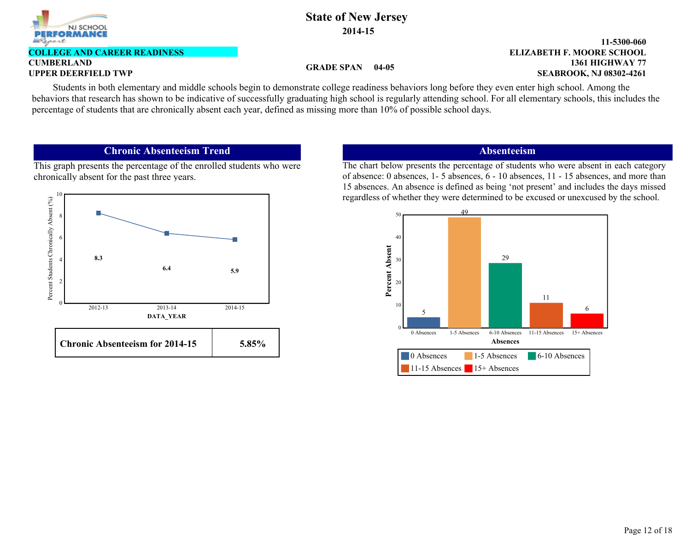

#### **CUMBERLAND COLLEGE AND CAREER READINESS**

### **GRADE SPAN 04-05**

#### **1361 HIGHWAY 77 11-5300-060 UPPER DEERFIELD TWP SEABROOK, NJ 08302-4261 ELIZABETH F. MOORE SCHOOL**

Students in both elementary and middle schools begin to demonstrate college readiness behaviors long before they even enter high school. Among the behaviors that research has shown to be indicative of successfully graduating high school is regularly attending school. For all elementary schools, this includes the percentage of students that are chronically absent each year, defined as missing more than 10% of possible school days.

## **Chronic Absenteeism Trend**

This graph presents the percentage of the enrolled students who were chronically absent for the past three years.



### **Absenteeism**

The chart below presents the percentage of students who were absent in each category of absence: 0 absences, 1- 5 absences, 6 - 10 absences, 11 - 15 absences, and more than 15 absences. An absence is defined as being 'not present' and includes the days missed regardless of whether they were determined to be excused or unexcused by the school.

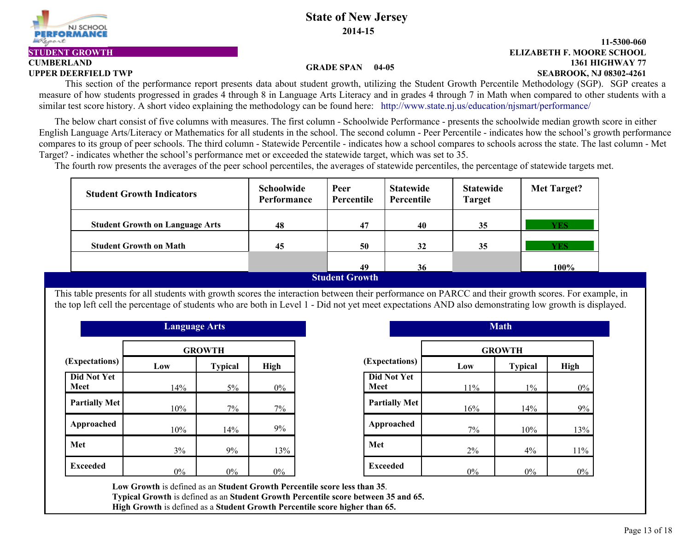

# **CUMBERLAND**

### **1361 HIGHWAY 77 11-5300-060 UPPER DEERFIELD TWP SEABROOK, NJ 08302-4261 STUDENT GROWTH ELIZABETH F. MOORE SCHOOL**

#### **GRADE SPAN 04-05**

This section of the performance report presents data about student growth, utilizing the Student Growth Percentile Methodology (SGP). SGP creates a measure of how students progressed in grades 4 through 8 in Language Arts Literacy and in grades 4 through 7 in Math when compared to other students with a similar test score history. A short video explaining the methodology can be found here: http://www.state.nj.us/education/njsmart/performance/

 The below chart consist of five columns with measures. The first column - Schoolwide Performance - presents the schoolwide median growth score in either English Language Arts/Literacy or Mathematics for all students in the school. The second column - Peer Percentile - indicates how the school's growth performance compares to its group of peer schools. The third column - Statewide Percentile - indicates how a school compares to schools across the state. The last column - Met Target? - indicates whether the school's performance met or exceeded the statewide target, which was set to 35.

The fourth row presents the averages of the peer school percentiles, the averages of statewide percentiles, the percentage of statewide targets met.

| <b>Student Growth Indicators</b>       | <b>Schoolwide</b><br><b>Performance</b> | Peer<br>Percentile | <b>Statewide</b><br>Percentile | <b>Statewide</b><br><b>Target</b> | Met Target? |
|----------------------------------------|-----------------------------------------|--------------------|--------------------------------|-----------------------------------|-------------|
| <b>Student Growth on Language Arts</b> | 48                                      | 47                 | 40                             | 35                                | <b>YES</b>  |
| <b>Student Growth on Math</b>          | 45                                      | 50                 | 32                             | 35                                | <b>YES</b>  |
|                                        |                                         | 49                 | 36                             |                                   | 100%        |
| <b>Student Growth</b>                  |                                         |                    |                                |                                   |             |

This table presents for all students with growth scores the interaction between their performance on PARCC and their growth scores. For example, in the top left cell the percentage of students who are both in Level 1 - Did not yet meet expectations AND also demonstrating low growth is displayed.

|                            | <b>Language Arts</b> |                |             |                            |
|----------------------------|----------------------|----------------|-------------|----------------------------|
|                            |                      | <b>GROWTH</b>  |             |                            |
| (Expectations)             | Low                  | <b>Typical</b> | <b>High</b> | (Expectations)             |
| <b>Did Not Yet</b><br>Meet | 14%                  | $5\%$          | $0\%$       | <b>Did Not Yet</b><br>Meet |
| <b>Partially Met</b>       | 10%                  | 7%             | 7%          | <b>Partially Met</b>       |
| Approached                 | 10%                  | 14%            | 9%          | Approached                 |
| Met                        | 3%                   | 9%             | 13%         | Met                        |
| <b>Exceeded</b>            | $0\%$                | $0\%$          | $0\%$       | <b>Exceeded</b>            |

| <b>Language Arts</b> |                |       |                            |       | <b>Math</b>    |       |
|----------------------|----------------|-------|----------------------------|-------|----------------|-------|
|                      | <b>GROWTH</b>  |       |                            |       | <b>GROWTH</b>  |       |
| )W                   | <b>Typical</b> | High  | (Expectations)             | Low   | <b>Typical</b> | High  |
| 14%                  | 5%             | $0\%$ | <b>Did Not Yet</b><br>Meet | 11%   | $1\%$          | $0\%$ |
| 10%                  | 7%             | 7%    | <b>Partially Met</b>       | 16%   | 14%            | 9%    |
| 10%                  | 14%            | 9%    | Approached                 | 7%    | 10%            | 13%   |
| 3%                   | 9%             | 13%   | Met                        | 2%    | 4%             | 11%   |
| $0\%$                | $0\%$          | $0\%$ | <b>Exceeded</b>            | $0\%$ | $0\%$          | $0\%$ |

**Low Growth** is defined as an **Student Growth Percentile score less than 35**. **Typical Growth** is defined as an **Student Growth Percentile score between 35 and 65.**

**High Growth** is defined as a **Student Growth Percentile score higher than 65.**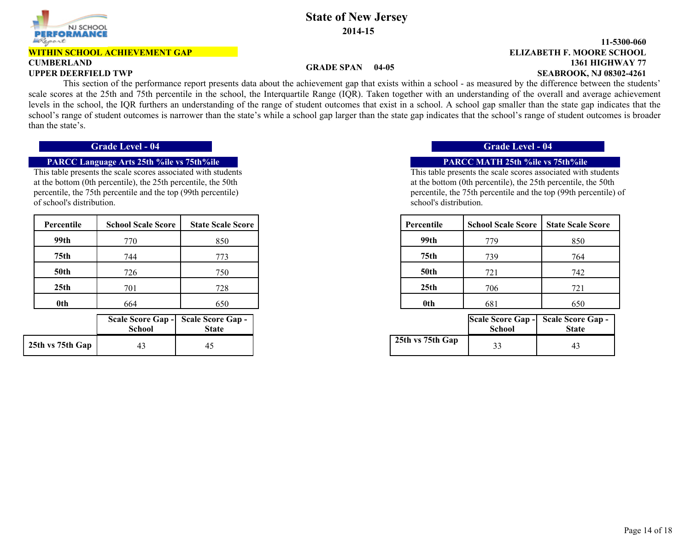

#### **WITHIN SCHOOL ACHIEVEMENT GAP**

# **CUMBERLAND**

## **State of New Jersey 2014-15**

#### **1361 HIGHWAY 77 11-5300-060 UPPER DEERFIELD TWP SEABROOK, NJ 08302-4261 ELIZABETH F. MOORE SCHOOL**

#### **GRADE SPAN 04-05**

 This section of the performance report presents data about the achievement gap that exists within a school - as measured by the difference between the students' scale scores at the 25th and 75th percentile in the school, the Interquartile Range (IQR). Taken together with an understanding of the overall and average achievement levels in the school, the IQR furthers an understanding of the range of student outcomes that exist in a school. A school gap smaller than the state gap indicates that the school's range of student outcomes is narrower than the state's while a school gap larger than the state gap indicates that the school's range of student outcomes is broader than the state's.

## **PARCC Language Arts 25th %ile vs 75th%ile PARCC MATH 25th %ile vs 75th%ile**

This table presents the scale scores associated with students at the bottom (0th percentile), the 25th percentile, the 50th percentile, the 75th percentile and the top (99th percentile) of school's distribution.

| Percentile       | <b>School Scale Score</b> | <b>State Scale Score</b> |
|------------------|---------------------------|--------------------------|
| 99th             | 770                       | 850                      |
| 75 <sub>th</sub> | 744                       | 773                      |
| <b>50th</b>      | 726                       | 750                      |
| 25 <sub>th</sub> | 701                       | 728                      |
| 0th              | 664                       | 650                      |

|                  | <b>School</b> | Scale Score Gap - Scale Score Gap -<br><b>State</b> |
|------------------|---------------|-----------------------------------------------------|
| 25th vs 75th Gap | 43            | 45                                                  |

### **Grade Level - 04 Grade Level - 04**

This table presents the scale scores associated with students at the bottom (0th percentile), the 25th percentile, the 50th percentile, the 75th percentile and the top (99th percentile) of school's distribution.

| Percentile       | <b>School Scale Score</b> | <b>State Scale Score</b> | Percentile       | <b>School Scale Score</b> | <b>State Scale Score</b> |
|------------------|---------------------------|--------------------------|------------------|---------------------------|--------------------------|
| 99th             | 770                       | 850                      | 99th             | 779                       | 850                      |
| 75 <sub>th</sub> | 744                       | 773                      | 75th             | 739                       | 764                      |
| <b>50th</b>      | 726                       | 750                      | <b>50th</b>      | 721                       | 742                      |
| 25 <sub>th</sub> | 701                       | 728                      | 25 <sub>th</sub> | 706                       | 721                      |
| 0th              | 664                       | 650                      | 0th              | 681                       | 650                      |

| hool | eore Gap -   Scale Score Gap -<br><b>State</b> |                  | School | Scale Score Gap - Scale Score Gap -<br><b>State</b> |
|------|------------------------------------------------|------------------|--------|-----------------------------------------------------|
|      |                                                | 25th vs 75th Gap |        |                                                     |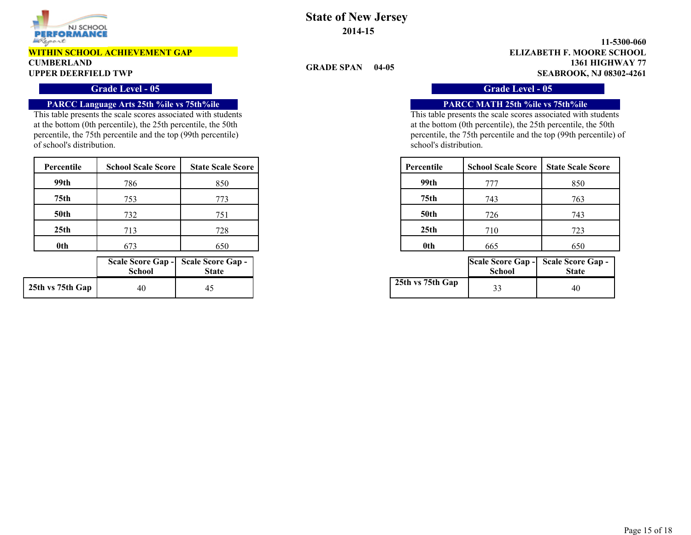

#### **WITHIN SCHOOL ACHIEVEMENT GAP**

# **CUMBERLAND**

### **Grade Level - 05 Grade Level - 05**

### **PARCC Language Arts 25th %ile vs 75th%ile PARCC MATH 25th %ile vs 75th%ile**

This table presents the scale scores associated with students at the bottom (0th percentile), the 25th percentile, the 50th percentile, the 75th percentile and the top (99th percentile) of school's distribution.

| Percentile       | <b>School Scale Score</b> | <b>State Scale Score</b> | Percentile       | <b>School Scale Score</b> | <b>State Scale Score</b> |
|------------------|---------------------------|--------------------------|------------------|---------------------------|--------------------------|
| 99th             | 786                       | 850                      | 99th             | 777                       | 850                      |
| 75 <sub>th</sub> | 753                       | 773                      | 75th             | 743                       | 763                      |
| <b>50th</b>      | 732                       | 751                      | 50th             | 726                       | 743                      |
| 25 <sub>th</sub> | 713                       | 728                      | 25 <sub>th</sub> | 710                       | 723                      |
| <b>Oth</b>       | 673                       | 650                      | 0th              | 665                       | 650                      |

|                  | <b>School</b> | Scale Score Gap - Scale Score Gap -<br><b>State</b> |
|------------------|---------------|-----------------------------------------------------|
| 25th vs 75th Gap | 40            |                                                     |

# **State of New Jersey 2014-15**

**GRADE SPAN 04-05**

**1361 HIGHWAY 77 11-5300-060 UPPER DEERFIELD TWP SEABROOK, NJ 08302-4261 ELIZABETH F. MOORE SCHOOL**

This table presents the scale scores associated with students at the bottom (0th percentile), the 25th percentile, the 50th percentile, the 75th percentile and the top (99th percentile) of school's distribution.

| cale Score | Percentile  | <b>School Scale Score</b> | <b>State Scale Score</b> |
|------------|-------------|---------------------------|--------------------------|
| 850        | 99th        | 777                       | 850                      |
| 773        | 75th        | 743                       | 763                      |
| 751        | <b>50th</b> | 726                       | 743                      |
| 728        | 25th        | 710                       | 723                      |
| 650        | 0th         | 665                       | 650                      |

| hool | core Gap - Scale Score Gap -<br><b>State</b> |                  | School | Scale Score Gap - Scale Score Gap -<br><b>State</b> |
|------|----------------------------------------------|------------------|--------|-----------------------------------------------------|
| 40   |                                              | 25th vs 75th Gap |        | 40                                                  |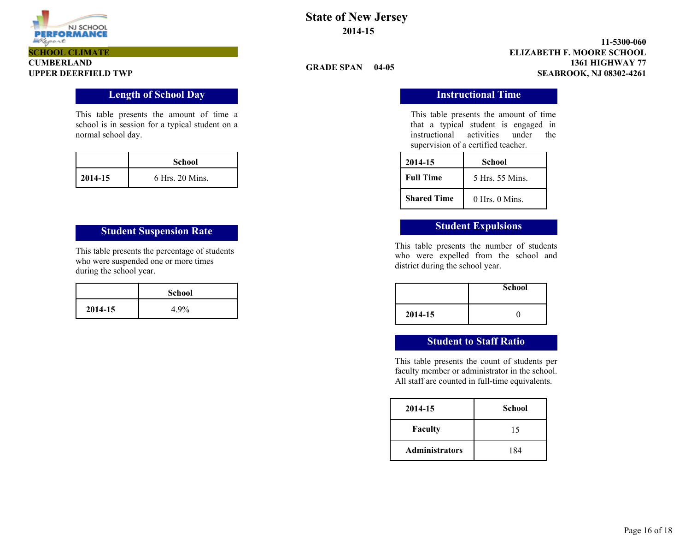

#### **1361 HIGHWAY 77 11-5300-060 UPPER DEERFIELD TWP SEABROOK, NJ 08302-4261 ELIZABETH F. MOORE SCHOOL**

#### **GRADE SPAN 04-05**

This table presents the amount of time that a typical student is engaged in instructional activities under the supervision of a certified teacher.

| 2014-15            | School             |
|--------------------|--------------------|
| <b>Full Time</b>   | 5 Hrs. 55 Mins.    |
| <b>Shared Time</b> | $0$ Hrs. $0$ Mins. |

This table presents the number of students who were expelled from the school and district during the school year.

|         | <b>School</b> |
|---------|---------------|
| 2014-15 |               |

# **Student to Staff Ratio**

This table presents the count of students per faculty member or administrator in the school. All staff are counted in full-time equivalents.

| 2014-15               | <b>School</b> |
|-----------------------|---------------|
| <b>Faculty</b>        | 15            |
| <b>Administrators</b> | 184           |

# **CUMBERLAND SCHOOL CLIMATE**

### **Length of School Day Instructional Time**

This table presents the amount of time a school is in session for a typical student on a normal school day.

|         | <b>School</b>   |
|---------|-----------------|
| 2014-15 | 6 Hrs. 20 Mins. |

# **Student Suspension Rate Student Expulsions**

This table presents the percentage of students who were suspended one or more times during the school year.

|         | <b>School</b> |
|---------|---------------|
| 2014-15 | 4.9%          |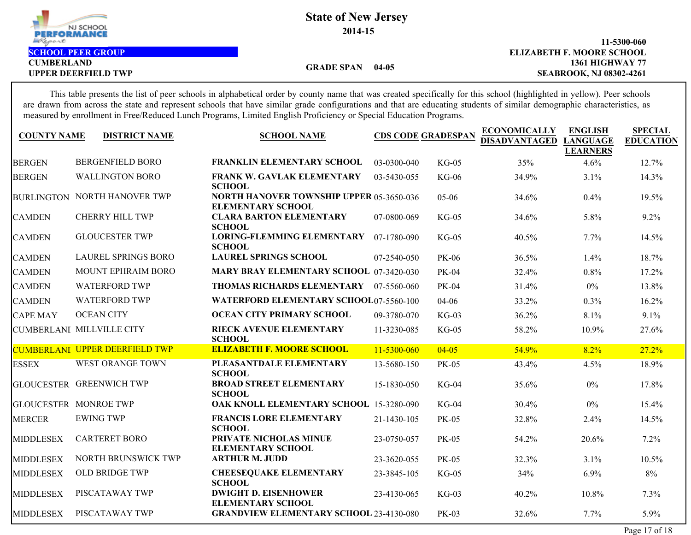

**CUMBERLAND**

# **GRADE SPAN 04-05**

**1361 HIGHWAY 77 11-5300-060** UPPER DEERFIELD TWP **SEABROOK, NJ 08302-4261 SCHOOL PEER GROUP ELIZABETH F. MOORE SCHOOL**

This table presents the list of peer schools in alphabetical order by county name that was created specifically for this school (highlighted in yellow). Peer schools are drawn from across the state and represent schools that have similar grade configurations and that are educating students of similar demographic characteristics, as measured by enrollment in Free/Reduced Lunch Programs, Limited English Proficiency or Special Education Programs.

| <b>COUNTY NAME</b> | <b>DISTRICT NAME</b>                | <b>SCHOOL NAME</b>                                                          |             | <b>CDS CODE GRADESPAN</b> | <b>ECONOMICALLY</b><br><b>DISADVANTAGED</b> | <b>ENGLISH</b><br><b>LANGUAGE</b><br><b>LEARNERS</b> | <b>SPECIAL</b><br><b>EDUCATION</b> |
|--------------------|-------------------------------------|-----------------------------------------------------------------------------|-------------|---------------------------|---------------------------------------------|------------------------------------------------------|------------------------------------|
| <b>BERGEN</b>      | <b>BERGENFIELD BORO</b>             | <b>FRANKLIN ELEMENTARY SCHOOL</b>                                           | 03-0300-040 | $KG-05$                   | 35%                                         | 4.6%                                                 | 12.7%                              |
| <b>BERGEN</b>      | <b>WALLINGTON BORO</b>              | FRANK W. GAVLAK ELEMENTARY<br><b>SCHOOL</b>                                 | 03-5430-055 | <b>KG-06</b>              | 34.9%                                       | 3.1%                                                 | 14.3%                              |
|                    | <b>BURLINGTON NORTH HANOVER TWP</b> | <b>NORTH HANOVER TOWNSHIP UPPER 05-3650-036</b><br><b>ELEMENTARY SCHOOL</b> |             | $05 - 06$                 | 34.6%                                       | 0.4%                                                 | 19.5%                              |
| <b>CAMDEN</b>      | <b>CHERRY HILL TWP</b>              | <b>CLARA BARTON ELEMENTARY</b><br><b>SCHOOL</b>                             | 07-0800-069 | $KG-05$                   | 34.6%                                       | 5.8%                                                 | 9.2%                               |
| <b>CAMDEN</b>      | <b>GLOUCESTER TWP</b>               | <b>LORING-FLEMMING ELEMENTARY</b><br><b>SCHOOL</b>                          | 07-1780-090 | $KG-05$                   | 40.5%                                       | $7.7\%$                                              | 14.5%                              |
| <b>CAMDEN</b>      | <b>LAUREL SPRINGS BORO</b>          | <b>LAUREL SPRINGS SCHOOL</b>                                                | 07-2540-050 | <b>PK-06</b>              | 36.5%                                       | 1.4%                                                 | 18.7%                              |
| <b>CAMDEN</b>      | <b>MOUNT EPHRAIM BORO</b>           | MARY BRAY ELEMENTARY SCHOOL 07-3420-030                                     |             | <b>PK-04</b>              | 32.4%                                       | 0.8%                                                 | 17.2%                              |
| <b>CAMDEN</b>      | <b>WATERFORD TWP</b>                | THOMAS RICHARDS ELEMENTARY                                                  | 07-5560-060 | PK-04                     | 31.4%                                       | $0\%$                                                | 13.8%                              |
| <b>CAMDEN</b>      | <b>WATERFORD TWP</b>                | <b>WATERFORD ELEMENTARY SCHOOL07-5560-100</b>                               |             | 04-06                     | 33.2%                                       | 0.3%                                                 | 16.2%                              |
| <b>CAPE MAY</b>    | <b>OCEAN CITY</b>                   | OCEAN CITY PRIMARY SCHOOL                                                   | 09-3780-070 | $KG-03$                   | 36.2%                                       | 8.1%                                                 | 9.1%                               |
|                    | CUMBERLANI MILLVILLE CITY           | RIECK AVENUE ELEMENTARY<br><b>SCHOOL</b>                                    | 11-3230-085 | $KG-05$                   | 58.2%                                       | 10.9%                                                | 27.6%                              |
|                    | CUMBERLANI UPPER DEERFIELD TWP      | <b>ELIZABETH F. MOORE SCHOOL</b>                                            | 11-5300-060 | $04 - 05$                 | 54.9%                                       | 8.2%                                                 | 27.2%                              |
| <b>ESSEX</b>       | <b>WEST ORANGE TOWN</b>             | PLEASANTDALE ELEMENTARY<br><b>SCHOOL</b>                                    | 13-5680-150 | <b>PK-05</b>              | 43.4%                                       | 4.5%                                                 | 18.9%                              |
|                    | <b>GLOUCESTER GREENWICH TWP</b>     | <b>BROAD STREET ELEMENTARY</b><br><b>SCHOOL</b>                             | 15-1830-050 | $KG-04$                   | 35.6%                                       | $0\%$                                                | 17.8%                              |
|                    | <b>GLOUCESTER MONROE TWP</b>        | OAK KNOLL ELEMENTARY SCHOOL 15-3280-090                                     |             | $KG-04$                   | 30.4%                                       | $0\%$                                                | 15.4%                              |
| <b>MERCER</b>      | <b>EWING TWP</b>                    | <b>FRANCIS LORE ELEMENTARY</b><br><b>SCHOOL</b>                             | 21-1430-105 | PK-05                     | 32.8%                                       | 2.4%                                                 | 14.5%                              |
| <b>MIDDLESEX</b>   | <b>CARTERET BORO</b>                | PRIVATE NICHOLAS MINUE<br><b>ELEMENTARY SCHOOL</b>                          | 23-0750-057 | PK-05                     | 54.2%                                       | 20.6%                                                | 7.2%                               |
| MIDDLESEX          | NORTH BRUNSWICK TWP                 | <b>ARTHUR M. JUDD</b>                                                       | 23-3620-055 | <b>PK-05</b>              | 32.3%                                       | 3.1%                                                 | 10.5%                              |
| MIDDLESEX          | <b>OLD BRIDGE TWP</b>               | <b>CHEESEQUAKE ELEMENTARY</b><br><b>SCHOOL</b>                              | 23-3845-105 | $KG-05$                   | 34%                                         | 6.9%                                                 | 8%                                 |
| <b>MIDDLESEX</b>   | PISCATAWAY TWP                      | <b>DWIGHT D. EISENHOWER</b><br><b>ELEMENTARY SCHOOL</b>                     | 23-4130-065 | $KG-03$                   | 40.2%                                       | 10.8%                                                | 7.3%                               |
| <b>MIDDLESEX</b>   | PISCATAWAY TWP                      | <b>GRANDVIEW ELEMENTARY SCHOOL 23-4130-080</b>                              |             | PK-03                     | 32.6%                                       | 7.7%                                                 | 5.9%                               |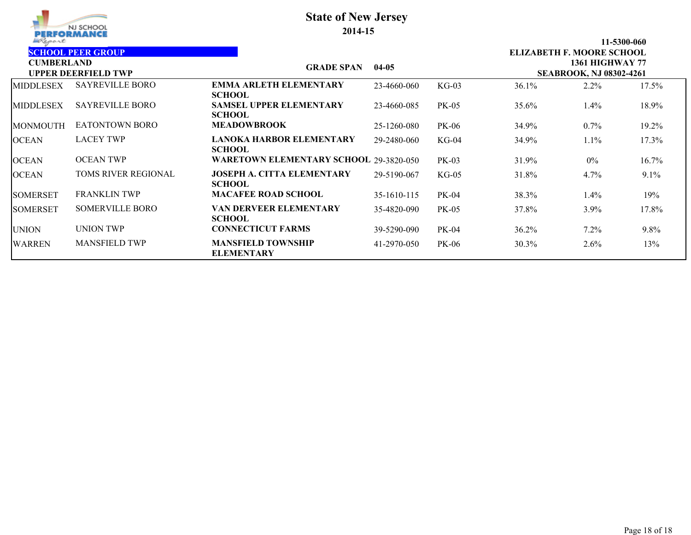| Report            | NJ SCHOOL<br>PERFORMANCE   | <b>State of New Jersey</b><br>2014-15              |             |                                                          |       |                           | 11-5300-060 |
|-------------------|----------------------------|----------------------------------------------------|-------------|----------------------------------------------------------|-------|---------------------------|-------------|
|                   | <b>SCHOOL PEER GROUP</b>   |                                                    |             |                                                          |       | ELIZABETH F. MOORE SCHOOL |             |
| <b>CUMBERLAND</b> | <b>UPPER DEERFIELD TWP</b> | <b>GRADE SPAN</b><br>$04-05$                       |             | <b>1361 HIGHWAY 77</b><br><b>SEABROOK, NJ 08302-4261</b> |       |                           |             |
| <b>MIDDLESEX</b>  | <b>SAYREVILLE BORO</b>     | <b>EMMA ARLETH ELEMENTARY</b><br><b>SCHOOL</b>     | 23-4660-060 | $KG-03$                                                  | 36.1% | 2.2%                      | 17.5%       |
| <b>IMIDDLESEX</b> | <b>SAYREVILLE BORO</b>     | <b>SAMSEL UPPER ELEMENTARY</b><br><b>SCHOOL</b>    | 23-4660-085 | PK-05                                                    | 35.6% | $1.4\%$                   | 18.9%       |
| <b>IMONMOUTH</b>  | <b>EATONTOWN BORO</b>      | <b>MEADOWBROOK</b>                                 | 25-1260-080 | <b>PK-06</b>                                             | 34.9% | $0.7\%$                   | 19.2%       |
| <b>OCEAN</b>      | <b>LACEY TWP</b>           | <b>LANOKA HARBOR ELEMENTARY</b><br><b>SCHOOL</b>   | 29-2480-060 | $KG-04$                                                  | 34.9% | 1.1%                      | 17.3%       |
| <b>OCEAN</b>      | <b>OCEAN TWP</b>           | <b>WARETOWN ELEMENTARY SCHOOL 29-3820-050</b>      |             | $PK-03$                                                  | 31.9% | $0\%$                     | 16.7%       |
| <b>OCEAN</b>      | <b>TOMS RIVER REGIONAL</b> | <b>JOSEPH A. CITTA ELEMENTARY</b><br><b>SCHOOL</b> | 29-5190-067 | $KG-05$                                                  | 31.8% | 4.7%                      | 9.1%        |
| <b>SOMERSET</b>   | <b>FRANKLIN TWP</b>        | <b>MACAFEE ROAD SCHOOL</b>                         | 35-1610-115 | PK-04                                                    | 38.3% | $1.4\%$                   | 19%         |
| <b>ISOMERSET</b>  | <b>SOMERVILLE BORO</b>     | <b>VAN DERVEER ELEMENTARY</b><br><b>SCHOOL</b>     | 35-4820-090 | <b>PK-05</b>                                             | 37.8% | $3.9\%$                   | 17.8%       |
| <b>UNION</b>      | <b>UNION TWP</b>           | <b>CONNECTICUT FARMS</b>                           | 39-5290-090 | PK-04                                                    | 36.2% | $7.2\%$                   | $9.8\%$     |
| <b>WARREN</b>     | <b>MANSFIELD TWP</b>       | <b>MANSFIELD TOWNSHIP</b><br><b>ELEMENTARY</b>     | 41-2970-050 | <b>PK-06</b>                                             | 30.3% | 2.6%                      | 13%         |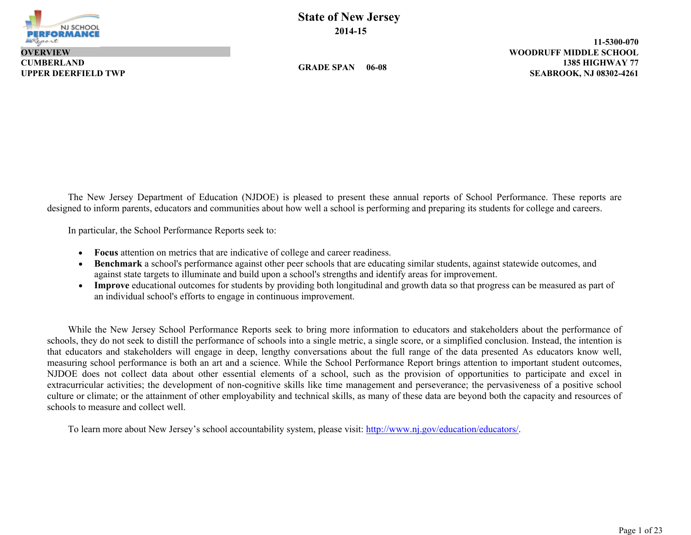

**CUMBERLAND OVERVIEW**

**State of New Jersey 2014-15**

**GRADE SPAN 06-08**

**1385 HIGHWAY 77 11-5300-070 UPPER DEERFIELD TWP SEABROOK, NJ 08302-4261 WOODRUFF MIDDLE SCHOOL**

The New Jersey Department of Education (NJDOE) is pleased to present these annual reports of School Performance. These reports are designed to inform parents, educators and communities about how well a school is performing and preparing its students for college and careers.

In particular, the School Performance Reports seek to:

- **Focus** attention on metrics that are indicative of college and career readiness.
- **Benchmark** a school's performance against other peer schools that are educating similar students, against statewide outcomes, and against state targets to illuminate and build upon a school's strengths and identify areas for improvement.
- **Improve** educational outcomes for students by providing both longitudinal and growth data so that progress can be measured as part of an individual school's efforts to engage in continuous improvement.

While the New Jersey School Performance Reports seek to bring more information to educators and stakeholders about the performance of schools, they do not seek to distill the performance of schools into a single metric, a single score, or a simplified conclusion. Instead, the intention is that educators and stakeholders will engage in deep, lengthy conversations about the full range of the data presented As educators know well, measuring school performance is both an art and a science. While the School Performance Report brings attention to important student outcomes, NJDOE does not collect data about other essential elements of a school, such as the provision of opportunities to participate and excel in extracurricular activities; the development of non-cognitive skills like time management and perseverance; the pervasiveness of a positive school culture or climate; or the attainment of other employability and technical skills, as many of these data are beyond both the capacity and resources of schools to measure and collect well.

To learn more about New Jersey's school accountability system, please visit: http://www.nj.gov/education/educators/.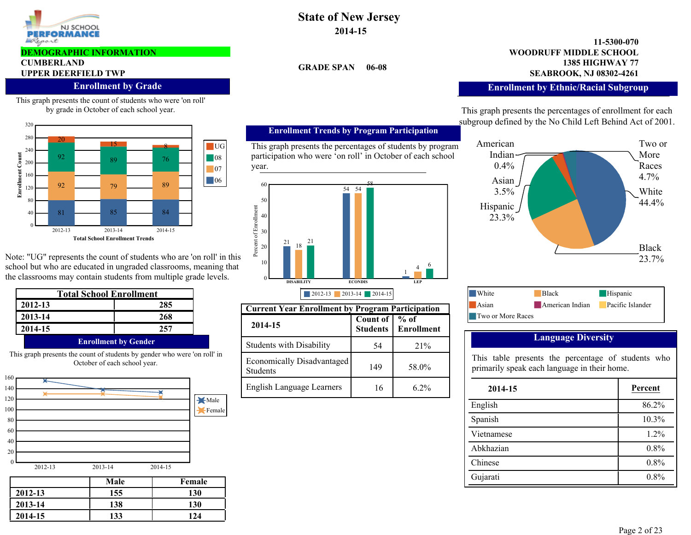

#### **DEMOGRAPHIC INFORMATION**

# **CUMBERLAND**

### **Enrollment by Grade**

This graph presents the count of students who were 'on roll' by grade in October of each school year.



Note: "UG" represents the count of students who are 'on roll' in this school but who are educated in ungraded classrooms, meaning that the classrooms may contain students from multiple grade levels.

| <b>Total School Enrollment</b> |     |  |
|--------------------------------|-----|--|
| 2012-13                        | 285 |  |
| 2013-14                        | 268 |  |
| 2014-15                        | 257 |  |
| <b>Enrollment by Gender</b>    |     |  |

This graph presents the count of students by gender who were 'on roll' in October of each school year.



|         | Male | Female |
|---------|------|--------|
| 2012-13 | 155  | 130    |
| 2013-14 | 138  | 130    |
| 2014-15 | 133  | 124    |

# **State of New Jersey 2014-15**

**GRADE SPAN** 

#### **1385 HIGHWAY 77 11-5300-070 UPPER DEERFIELD TWP SEABROOK, NJ 08302-4261 WOODRUFF MIDDLE SCHOOL**

### **Enrollment by Ethnic/Racial Subgroup**

This graph presents the percentages of enrollment for each subgroup defined by the No Child Left Behind Act of 2001.



| White             | <b>Black</b>    | Hispanic         |
|-------------------|-----------------|------------------|
| Asian             | American Indian | Pacific Islander |
| Two or More Races |                 |                  |
|                   |                 |                  |

### **Language Diversity**

This table presents the percentage of students who primarily speak each language in their home.

| 2014-15    | Percent |
|------------|---------|
| English    | 86.2%   |
| Spanish    | 10.3%   |
| Vietnamese | 1.2%    |
| Abkhazian  | 0.8%    |
| Chinese    | 0.8%    |
| Gujarati   | 0.8%    |

#### **Enrollment Trends by Program Participation**

This graph presents the percentages of students by program participation who were 'on roll' in October of each school year.



| <b>Current Year Enrollment by Program Participation</b> |                                    |                           |  |  |  |
|---------------------------------------------------------|------------------------------------|---------------------------|--|--|--|
| 2014-15                                                 | <b>Count of</b><br><b>Students</b> | % of<br><b>Enrollment</b> |  |  |  |
| <b>Students with Disability</b>                         | 54                                 | 21%                       |  |  |  |
| Economically Disadvantaged<br>Students                  | 149                                | 58.0%                     |  |  |  |
| <b>English Language Learners</b>                        | 16                                 | 62%                       |  |  |  |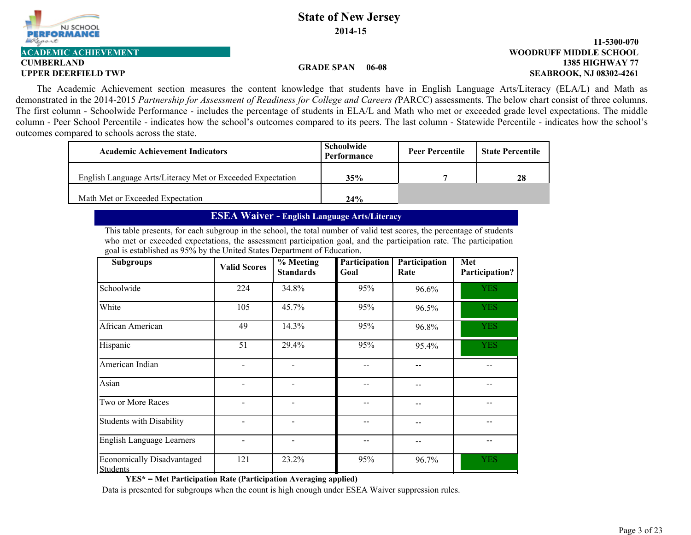

#### **1385 HIGHWAY 77 11-5300-070 UPPER DEERFIELD TWP SEABROOK, NJ 08302-4261 ACADEMIC ACHIEVEMENT WOODRUFF MIDDLE SCHOOL**

#### **GRADE SPAN 06-08**

The Academic Achievement section measures the content knowledge that students have in English Language Arts/Literacy (ELA/L) and Math as demonstrated in the 2014-2015 *Partnership for Assessment of Readiness for College and Careers (*PARCC) assessments. The below chart consist of three columns. The first column - Schoolwide Performance - includes the percentage of students in ELA/L and Math who met or exceeded grade level expectations. The middle column - Peer School Percentile - indicates how the school's outcomes compared to its peers. The last column - Statewide Percentile - indicates how the school's outcomes compared to schools across the state.

| <b>Academic Achievement Indicators</b>                     | Schoolwide<br>Performance | <b>Peer Percentile</b> | <b>State Percentile</b> |
|------------------------------------------------------------|---------------------------|------------------------|-------------------------|
| English Language Arts/Literacy Met or Exceeded Expectation | 35%                       |                        | 28                      |
| Math Met or Exceeded Expectation                           | 24%                       |                        |                         |

#### **ESEA Waiver - English Language Arts/Literacy**

This table presents, for each subgroup in the school, the total number of valid test scores, the percentage of students who met or exceeded expectations, the assessment participation goal, and the participation rate. The participation goal is established as 95% by the United States Department of Education.

| <b>Subgroups</b>                              | <b>Valid Scores</b> | $%$ Meeting<br><b>Standards</b> | <b>Participation</b><br>Goal | Participation<br>Rate | Met<br>Participation? |
|-----------------------------------------------|---------------------|---------------------------------|------------------------------|-----------------------|-----------------------|
| Schoolwide                                    | 224                 | 34.8%                           | 95%                          | 96.6%                 | <b>YES</b>            |
| White                                         | 105                 | 45.7%                           | 95%                          | 96.5%                 | <b>YES</b>            |
| African American                              | 49                  | 14.3%                           | 95%                          | 96.8%                 | <b>YES</b>            |
| Hispanic                                      | 51                  | 29.4%                           | 95%                          | 95.4%                 | <b>YES</b>            |
| American Indian                               |                     |                                 |                              |                       |                       |
| Asian                                         |                     |                                 |                              |                       |                       |
| Two or More Races                             |                     |                                 |                              |                       |                       |
| <b>Students with Disability</b>               |                     |                                 |                              |                       |                       |
| English Language Learners                     |                     |                                 |                              |                       |                       |
| Economically Disadvantaged<br><b>Students</b> | 121                 | 23.2%                           | 95%                          | 96.7%                 | <b>YES</b>            |

**YES\* = Met Participation Rate (Participation Averaging applied)**

Data is presented for subgroups when the count is high enough under ESEA Waiver suppression rules.

NJ SCHOOL PERFORM. Report

# **CUMBERLAND**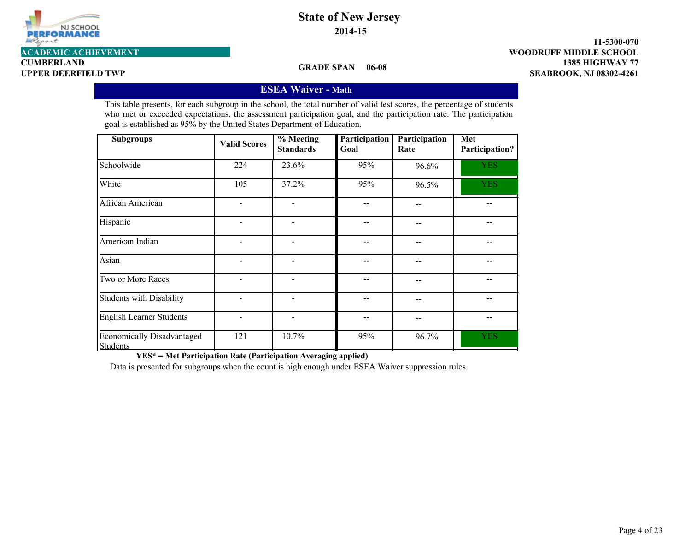

**1385 HIGHWAY 77 11-5300-070 UPPER DEERFIELD TWP SEABROOK, NJ 08302-4261 ACADEMIC ACHIEVEMENT WOODRUFF MIDDLE SCHOOL**

**CUMBERLAND**

**GRADE SPAN 06-08**

## **ESEA Waiver - Math**

This table presents, for each subgroup in the school, the total number of valid test scores, the percentage of students who met or exceeded expectations, the assessment participation goal, and the participation rate. The participation goal is established as 95% by the United States Department of Education.

| <b>Subgroups</b>                                     | <b>Valid Scores</b> | $%$ Meeting<br><b>Standards</b> | Participation<br>Goal | Participation<br>Rate | Met<br>Participation? |
|------------------------------------------------------|---------------------|---------------------------------|-----------------------|-----------------------|-----------------------|
| Schoolwide                                           | 224                 | 23.6%                           | 95%                   | 96.6%                 | <b>YES</b>            |
| White                                                | 105                 | 37.2%                           | 95%                   | 96.5%                 | <b>YES</b>            |
| African American                                     |                     |                                 |                       |                       |                       |
| Hispanic                                             |                     |                                 |                       | --                    |                       |
| American Indian                                      |                     | $\overline{\phantom{0}}$        |                       | --                    |                       |
| Asian                                                |                     |                                 |                       |                       |                       |
| Two or More Races                                    |                     |                                 |                       |                       |                       |
| <b>Students with Disability</b>                      |                     |                                 |                       |                       |                       |
| <b>English Learner Students</b>                      |                     |                                 |                       |                       |                       |
| <b>Economically Disadvantaged</b><br><b>Students</b> | 121                 | 10.7%                           | 95%                   | 96.7%                 | <b>YES</b>            |

**YES\* = Met Participation Rate (Participation Averaging applied)**

Data is presented for subgroups when the count is high enough under ESEA Waiver suppression rules.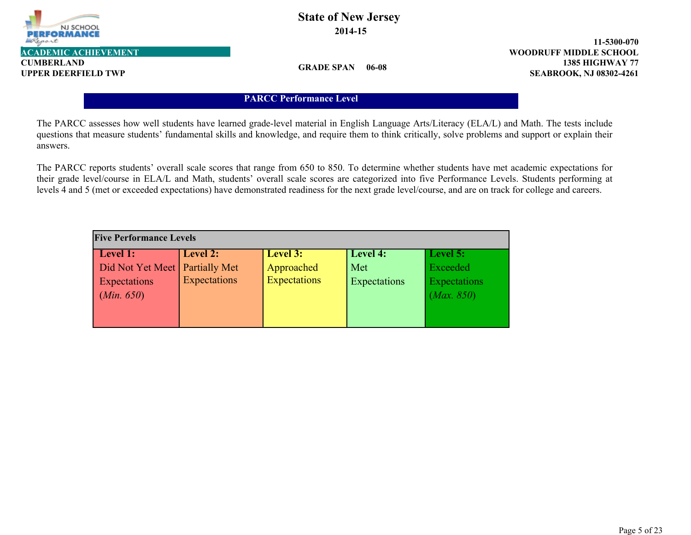

**CUMBERLAND**

# **State of New Jersey 2014-15**

**1385 HIGHWAY 77 11-5300-070 UPPER DEERFIELD TWP SEABROOK, NJ 08302-4261 ACADEMIC ACHIEVEMENT WOODRUFF MIDDLE SCHOOL**

**GRADE SPAN 06-08**

## **PARCC Performance Level**

The PARCC assesses how well students have learned grade-level material in English Language Arts/Literacy (ELA/L) and Math. The tests include questions that measure students' fundamental skills and knowledge, and require them to think critically, solve problems and support or explain their answers.

The PARCC reports students' overall scale scores that range from 650 to 850. To determine whether students have met academic expectations for their grade level/course in ELA/L and Math, students' overall scale scores are categorized into five Performance Levels. Students performing at levels 4 and 5 (met or exceeded expectations) have demonstrated readiness for the next grade level/course, and are on track for college and careers.

| <b>Five Performance Levels</b>   |              |                     |              |              |  |  |  |  |  |
|----------------------------------|--------------|---------------------|--------------|--------------|--|--|--|--|--|
| Level 1:                         | Level 2:     | Level 3:            | Level 4:     | Level 5:     |  |  |  |  |  |
| Did Not Yet Meet   Partially Met |              | Approached          | Met          | Exceeded     |  |  |  |  |  |
| Expectations                     | Expectations | <b>Expectations</b> | Expectations | Expectations |  |  |  |  |  |
| (Min. 650)                       |              |                     |              | (Max. 850)   |  |  |  |  |  |
|                                  |              |                     |              |              |  |  |  |  |  |
|                                  |              |                     |              |              |  |  |  |  |  |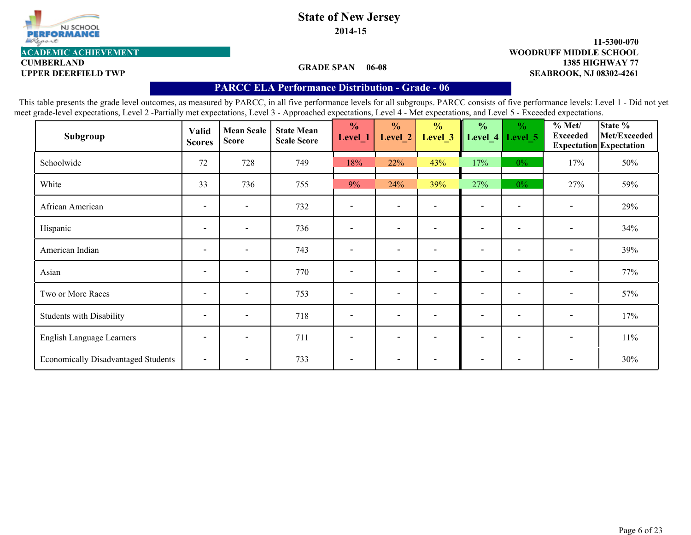

**2014-15**

#### **1385 HIGHWAY 77 11-5300-070 UPPER DEERFIELD TWP SEABROOK, NJ 08302-4261 ACADEMIC ACHIEVEMENT WOODRUFF MIDDLE SCHOOL**

**CUMBERLAND**

### **GRADE SPAN 06-08**

### **PARCC ELA Performance Distribution - Grade - 06**

| Subgroup                                   | <b>Valid</b><br><b>Scores</b> | <b>Mean Scale</b><br><b>Score</b> | <b>State Mean</b><br><b>Scale Score</b> | $\frac{1}{2}$<br>Level_1 | $\frac{0}{0}$<br>Level_2 | $\frac{1}{2}$<br>Level_3 | $\frac{0}{0}$<br>Level_4 | $\frac{0}{0}$<br>Level 5 | % Met/<br><b>Exceeded</b> | State %<br>Met/Exceeded<br>Expectation Expectation |
|--------------------------------------------|-------------------------------|-----------------------------------|-----------------------------------------|--------------------------|--------------------------|--------------------------|--------------------------|--------------------------|---------------------------|----------------------------------------------------|
| Schoolwide                                 | 72                            | 728                               | 749                                     | 18%                      | 22%                      | 43%                      | 17%                      | $0\%$                    | 17%                       | 50%                                                |
| White                                      | 33                            | 736                               | 755                                     | 9%                       | 24%                      | 39%                      | 27%                      | $0\%$                    | 27%                       | 59%                                                |
| African American                           | $\overline{\phantom{a}}$      | $\overline{\phantom{a}}$          | 732                                     |                          | $\overline{\phantom{0}}$ |                          | $\overline{\phantom{0}}$ |                          | $\overline{\phantom{a}}$  | 29%                                                |
| Hispanic                                   | $\overline{\phantom{a}}$      | $\overline{\phantom{a}}$          | 736                                     |                          | $\overline{\phantom{a}}$ |                          | $\overline{\phantom{0}}$ |                          | $\overline{\phantom{a}}$  | 34%                                                |
| American Indian                            | $\overline{\phantom{a}}$      | $\overline{\phantom{a}}$          | 743                                     |                          | $\overline{\phantom{0}}$ | $\overline{\phantom{0}}$ | $\overline{\phantom{0}}$ | $\overline{\phantom{0}}$ | $\overline{\phantom{a}}$  | 39%                                                |
| Asian                                      | $\overline{\phantom{a}}$      | $\overline{\phantom{a}}$          | 770                                     |                          | $\sim$                   |                          | $\sim$                   |                          | $\overline{\phantom{a}}$  | 77%                                                |
| Two or More Races                          | $\overline{\phantom{a}}$      | $\overline{\phantom{a}}$          | 753                                     | $\overline{\phantom{a}}$ | $\overline{\phantom{0}}$ |                          | $\blacksquare$           | $\overline{\phantom{a}}$ | $\overline{\phantom{a}}$  | 57%                                                |
| <b>Students with Disability</b>            | $\overline{\phantom{a}}$      | $\overline{\phantom{a}}$          | 718                                     | $\overline{\phantom{a}}$ | $\overline{\phantom{a}}$ | $\overline{\phantom{a}}$ | $\overline{\phantom{a}}$ | $\overline{\phantom{a}}$ | $\overline{\phantom{a}}$  | 17%                                                |
| English Language Learners                  | $\overline{\phantom{a}}$      | $\overline{\phantom{a}}$          | 711                                     | $\overline{\phantom{a}}$ | $\overline{\phantom{0}}$ | $\overline{\phantom{a}}$ | $\overline{\phantom{0}}$ | $\overline{\phantom{a}}$ | $\overline{\phantom{a}}$  | 11%                                                |
| <b>Economically Disadvantaged Students</b> | $\overline{\phantom{a}}$      | $\overline{\phantom{0}}$          | 733                                     |                          | $\overline{\phantom{a}}$ |                          | $\overline{\phantom{a}}$ |                          | $\overline{\phantom{a}}$  | 30%                                                |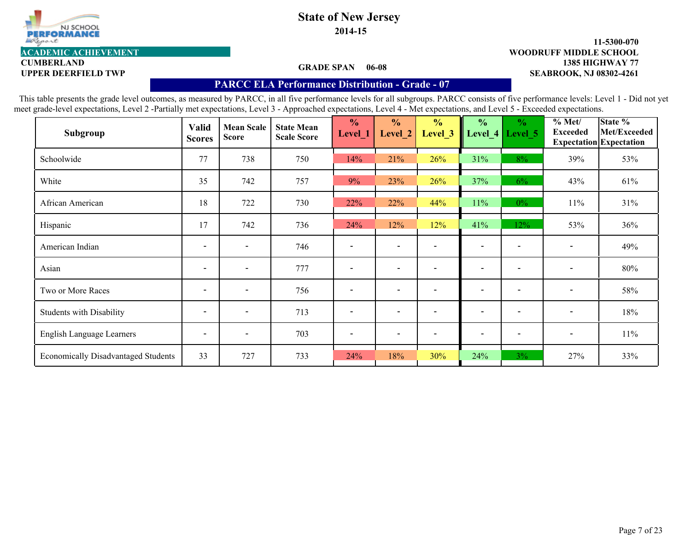

**CUMBERLAND**

# **State of New Jersey 2014-15**

#### **1385 HIGHWAY 77 11-5300-070 UPPER DEERFIELD TWP SEABROOK, NJ 08302-4261 ACADEMIC ACHIEVEMENT WOODRUFF MIDDLE SCHOOL**

#### **GRADE SPAN 06-08**

## **PARCC ELA Performance Distribution - Grade - 07**

| Subgroup                                   | <b>Valid</b><br><b>Scores</b> | <b>Mean Scale</b><br><b>Score</b> | <b>State Mean</b><br><b>Scale Score</b> | $\frac{0}{0}$<br>Level_1 | $\frac{0}{0}$<br>Level 2 | $\frac{0}{0}$<br>Level <sub>_3</sub> | $\frac{0}{0}$<br>Level_4 | $\frac{6}{6}$<br>Level 5 | % Met/<br><b>Exceeded</b> | State %<br>Met/Exceeded<br><b>Expectation</b> Expectation |
|--------------------------------------------|-------------------------------|-----------------------------------|-----------------------------------------|--------------------------|--------------------------|--------------------------------------|--------------------------|--------------------------|---------------------------|-----------------------------------------------------------|
| Schoolwide                                 | 77                            | 738                               | 750                                     | 14%                      | 21%                      | 26%                                  | 31%                      | 8%                       | 39%                       | 53%                                                       |
| White                                      | 35                            | 742                               | 757                                     | 9%                       | 23%                      | 26%                                  | 37%                      | $6\%$                    | 43%                       | 61%                                                       |
| African American                           | 18                            | 722                               | 730                                     | 22%                      | 22%                      | 44%                                  | 11%                      | $0\%$                    | 11%                       | 31%                                                       |
| Hispanic                                   | 17                            | 742                               | 736                                     | 24%                      | 12%                      | 12%                                  | 41%                      | 12%                      | 53%                       | 36%                                                       |
| American Indian                            | $\overline{\phantom{a}}$      | $\overline{\phantom{0}}$          | 746                                     |                          | $\overline{\phantom{0}}$ |                                      | $\blacksquare$           |                          | $\overline{\phantom{a}}$  | 49%                                                       |
| Asian                                      | $\overline{\phantom{a}}$      | $\overline{\phantom{a}}$          | 777                                     | $\overline{\phantom{a}}$ | $\overline{\phantom{a}}$ |                                      | $\overline{\phantom{a}}$ | $\overline{\phantom{a}}$ | $\overline{\phantom{a}}$  | 80%                                                       |
| Two or More Races                          | $\overline{\phantom{0}}$      | $\overline{\phantom{0}}$          | 756                                     |                          |                          |                                      | $\overline{\phantom{0}}$ |                          | $\overline{\phantom{a}}$  | 58%                                                       |
| <b>Students with Disability</b>            | $\overline{\phantom{a}}$      | $\overline{\phantom{0}}$          | 713                                     | $\overline{\phantom{a}}$ | $\overline{\phantom{0}}$ | $\overline{\phantom{a}}$             | $\overline{\phantom{0}}$ | $\overline{\phantom{a}}$ | $\overline{\phantom{a}}$  | 18%                                                       |
| English Language Learners                  | $\overline{\phantom{a}}$      | $\overline{\phantom{a}}$          | 703                                     |                          | $\overline{\phantom{a}}$ |                                      | $\overline{\phantom{a}}$ | $\overline{\phantom{a}}$ | $\overline{\phantom{a}}$  | 11%                                                       |
| <b>Economically Disadvantaged Students</b> | 33                            | 727                               | 733                                     | 24%                      | 18%                      | 30%                                  | 24%                      | 3%                       | 27%                       | 33%                                                       |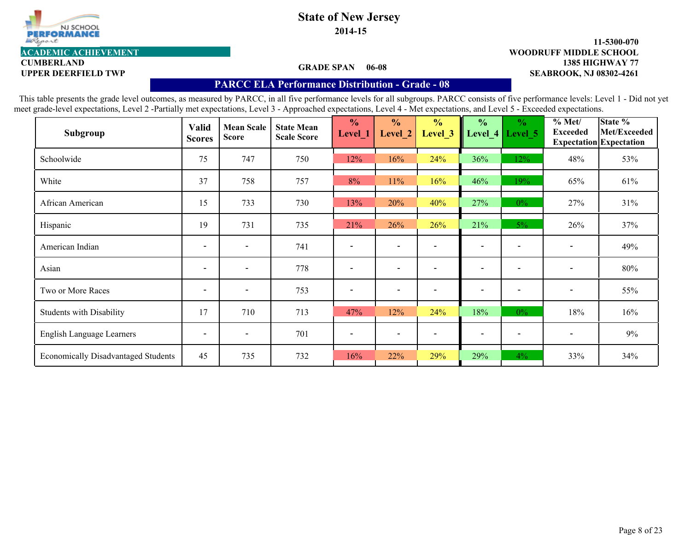

**CUMBERLAND**

# **State of New Jersey 2014-15**

#### **1385 HIGHWAY 77 11-5300-070** UPPER DEERFIELD TWP **SEABROOK, NJ 08302-4261 ACADEMIC ACHIEVEMENT WOODRUFF MIDDLE SCHOOL**

#### **GRADE SPAN 06-08**

#### **PARCC ELA Performance Distribution - Grade - 08**

| Subgroup                                   | <b>Valid</b><br><b>Scores</b> | <b>Mean Scale</b><br><b>Score</b> | <b>State Mean</b><br><b>Scale Score</b> | $\frac{0}{0}$<br>Level_1 | $\frac{0}{0}$<br>Level 2 | $\frac{0}{0}$<br>Level 3 | $\frac{0}{0}$<br>Level 4 | $\frac{6}{6}$<br>Level 5 | % Met/<br><b>Exceeded</b> | State %<br>Met/Exceeded<br><b>Expectation</b> Expectation |
|--------------------------------------------|-------------------------------|-----------------------------------|-----------------------------------------|--------------------------|--------------------------|--------------------------|--------------------------|--------------------------|---------------------------|-----------------------------------------------------------|
| Schoolwide                                 | 75                            | 747                               | 750                                     | 12%                      | 16%                      | 24%                      | 36%                      | 12%                      | 48%                       | 53%                                                       |
| White                                      | 37                            | 758                               | 757                                     | 8%                       | 11%                      | 16%                      | 46%                      | 19%                      | 65%                       | 61%                                                       |
| African American                           | 15                            | 733                               | 730                                     | 13%                      | 20%                      | 40%                      | 27%                      | $0\%$                    | 27%                       | 31%                                                       |
| Hispanic                                   | 19                            | 731                               | 735                                     | 21%                      | 26%                      | 26%                      | 21%                      | $5\%$                    | 26%                       | 37%                                                       |
| American Indian                            | $\overline{\phantom{a}}$      | $\overline{\phantom{a}}$          | 741                                     |                          | $\overline{\phantom{a}}$ |                          | $\overline{\phantom{a}}$ |                          | $\overline{\phantom{a}}$  | 49%                                                       |
| Asian                                      | $\overline{\phantom{a}}$      | $\overline{\phantom{a}}$          | 778                                     | $\overline{\phantom{a}}$ | $\overline{\phantom{a}}$ |                          | $\overline{\phantom{a}}$ |                          | $\overline{\phantom{a}}$  | 80%                                                       |
| Two or More Races                          | $\overline{\phantom{a}}$      | $\overline{\phantom{a}}$          | 753                                     |                          | $\overline{\phantom{a}}$ |                          | $\overline{\phantom{a}}$ |                          | $\overline{\phantom{a}}$  | 55%                                                       |
| <b>Students with Disability</b>            | 17                            | 710                               | 713                                     | 47%                      | 12%                      | 24%                      | 18%                      | $0\%$                    | 18%                       | 16%                                                       |
| English Language Learners                  | $\overline{\phantom{a}}$      | $\overline{\phantom{0}}$          | 701                                     |                          | $\overline{\phantom{0}}$ |                          | $\overline{\phantom{0}}$ |                          |                           | $9\%$                                                     |
| <b>Economically Disadvantaged Students</b> | 45                            | 735                               | 732                                     | 16%                      | 22%                      | 29%                      | 29%                      | $4\%$                    | 33%                       | 34%                                                       |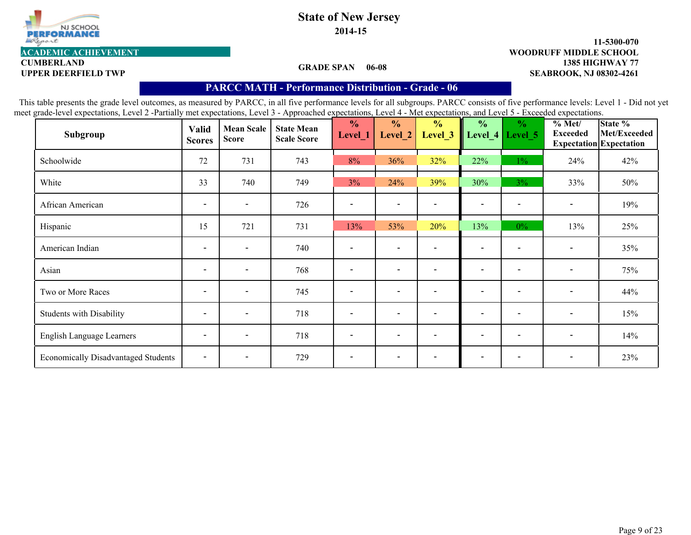

**2014-15**

#### **1385 HIGHWAY 77 11-5300-070 UPPER DEERFIELD TWP SEABROOK, NJ 08302-4261 ACADEMIC ACHIEVEMENT WOODRUFF MIDDLE SCHOOL**

**CUMBERLAND**

#### **GRADE SPAN 06-08**

### **PARCC MATH - Performance Distribution- Grade - 06**

| Subgroup                                   | <b>Valid</b><br><b>Scores</b> | <b>Mean Scale</b><br><b>Score</b> | <b>State Mean</b><br><b>Scale Score</b> | $\frac{1}{2}$<br>Level_1 | $\frac{0}{0}$<br>Level_2 | $\frac{0}{0}$<br>Level_3 | $\frac{0}{0}$<br>Level_4 | $\frac{0}{0}$<br>Level 5 | % Met/<br><b>Exceeded</b> | State %<br>Met/Exceeded<br><b>Expectation</b> Expectation |
|--------------------------------------------|-------------------------------|-----------------------------------|-----------------------------------------|--------------------------|--------------------------|--------------------------|--------------------------|--------------------------|---------------------------|-----------------------------------------------------------|
| Schoolwide                                 | 72                            | 731                               | 743                                     | 8%                       | 36%                      | 32%                      | 22%                      | $1\%$                    | 24%                       | 42%                                                       |
| White                                      | 33                            | 740                               | 749                                     | 3%                       | 24%                      | 39%                      | 30%                      | $3\%$                    | 33%                       | 50%                                                       |
| African American                           | $\overline{\phantom{a}}$      | $\overline{\phantom{a}}$          | 726                                     |                          | $\overline{\phantom{a}}$ |                          | $\overline{\phantom{a}}$ | $\overline{\phantom{a}}$ | $\overline{\phantom{a}}$  | 19%                                                       |
| Hispanic                                   | 15                            | 721                               | 731                                     | 13%                      | 53%                      | 20%                      | 13%                      | $0\%$                    | 13%                       | 25%                                                       |
| American Indian                            | $\overline{\phantom{0}}$      | $\overline{\phantom{0}}$          | 740                                     |                          | $\blacksquare$           |                          | $\blacksquare$           |                          | $\overline{\phantom{a}}$  | 35%                                                       |
| Asian                                      | $\overline{\phantom{0}}$      | $\overline{\phantom{0}}$          | 768                                     |                          | $\blacksquare$           |                          | $\blacksquare$           |                          | $\overline{\phantom{a}}$  | 75%                                                       |
| Two or More Races                          | $\overline{\phantom{0}}$      | $\overline{\phantom{0}}$          | 745                                     | $\overline{\phantom{a}}$ | $\blacksquare$           | $\overline{\phantom{0}}$ | $\blacksquare$           | $\sim$                   | $\overline{\phantom{a}}$  | 44%                                                       |
| <b>Students with Disability</b>            | $\overline{\phantom{a}}$      | $\overline{\phantom{a}}$          | 718                                     | $\overline{\phantom{a}}$ | $\overline{\phantom{a}}$ |                          | $\overline{\phantom{a}}$ | $\blacksquare$           | $\overline{\phantom{a}}$  | 15%                                                       |
| English Language Learners                  | $\overline{\phantom{a}}$      | $\overline{\phantom{0}}$          | 718                                     | $\overline{\phantom{a}}$ | $\overline{\phantom{0}}$ |                          | $\overline{\phantom{a}}$ | $\overline{\phantom{a}}$ | $\overline{\phantom{a}}$  | 14%                                                       |
| <b>Economically Disadvantaged Students</b> | $\overline{\phantom{a}}$      | $\overline{\phantom{a}}$          | 729                                     | $\overline{\phantom{a}}$ | $\overline{\phantom{a}}$ |                          | $\overline{\phantom{a}}$ |                          | $\blacksquare$            | 23%                                                       |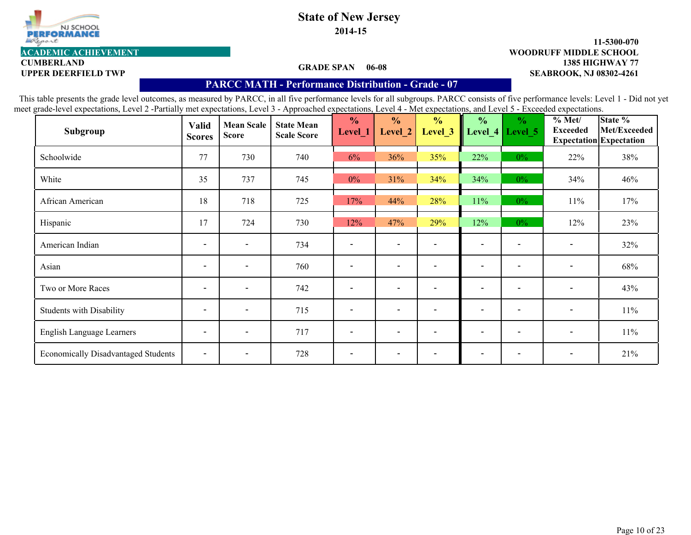

**CUMBERLAND**

# **State of New Jersey 2014-15**

#### **1385 HIGHWAY 77 11-5300-070 UPPER DEERFIELD TWP SEABROOK, NJ 08302-4261 ACADEMIC ACHIEVEMENT WOODRUFF MIDDLE SCHOOL**

#### **GRADE SPAN 06-08**

### **PARCC MATH - Performance Distribution- Grade - 07**

| Subgroup                                   | <b>Valid</b><br><b>Scores</b> | <b>Mean Scale</b><br><b>Score</b> | <b>State Mean</b><br><b>Scale Score</b> | $\frac{0}{0}$<br>Level_1 | $\frac{0}{0}$<br>Level 2 | $\frac{0}{0}$<br>Level <sub>_3</sub> | $\frac{1}{2}$<br>Level $4$ | $\frac{0}{0}$<br>Level 5 | % Met/<br><b>Exceeded</b> | State %<br>Met/Exceeded<br><b>Expectation</b> Expectation |
|--------------------------------------------|-------------------------------|-----------------------------------|-----------------------------------------|--------------------------|--------------------------|--------------------------------------|----------------------------|--------------------------|---------------------------|-----------------------------------------------------------|
| Schoolwide                                 | 77                            | 730                               | 740                                     | 6%                       | 36%                      | 35%                                  | 22%                        | $0\%$                    | 22%                       | 38%                                                       |
| White                                      | 35                            | 737                               | 745                                     | $0\%$                    | 31%                      | 34%                                  | 34%                        | $0\%$                    | 34%                       | 46%                                                       |
| African American                           | 18                            | 718                               | 725                                     | 17%                      | 44%                      | 28%                                  | 11%                        | $0\%$                    | 11%                       | 17%                                                       |
| Hispanic                                   | 17                            | 724                               | 730                                     | 12%                      | 47%                      | 29%                                  | 12%                        | $0\%$                    | 12%                       | 23%                                                       |
| American Indian                            | $\overline{\phantom{a}}$      | $\overline{\phantom{0}}$          | 734                                     |                          | $\overline{\phantom{a}}$ |                                      | $\overline{\phantom{a}}$   |                          |                           | 32%                                                       |
| Asian                                      | $\overline{\phantom{a}}$      | $\overline{\phantom{0}}$          | 760                                     | $\overline{\phantom{a}}$ | $\overline{\phantom{a}}$ | $\overline{\phantom{a}}$             | $\overline{\phantom{0}}$   |                          | $\overline{\phantom{a}}$  | 68%                                                       |
| Two or More Races                          | $\overline{\phantom{a}}$      | $\overline{\phantom{0}}$          | 742                                     |                          | $\overline{\phantom{a}}$ |                                      | $\overline{\phantom{0}}$   |                          |                           | 43%                                                       |
| <b>Students with Disability</b>            | $\overline{\phantom{a}}$      | $\overline{\phantom{a}}$          | 715                                     | $\overline{\phantom{a}}$ | $\overline{\phantom{0}}$ | $\overline{\phantom{a}}$             | $\overline{\phantom{a}}$   |                          | $\overline{\phantom{a}}$  | $11\%$                                                    |
| English Language Learners                  | $\overline{\phantom{a}}$      | $\overline{\phantom{0}}$          | 717                                     | $\overline{\phantom{a}}$ | $\overline{\phantom{a}}$ |                                      | $\blacksquare$             |                          | $\overline{\phantom{a}}$  | $11\%$                                                    |
| <b>Economically Disadvantaged Students</b> | $\overline{\phantom{a}}$      |                                   | 728                                     |                          |                          |                                      |                            |                          |                           | 21%                                                       |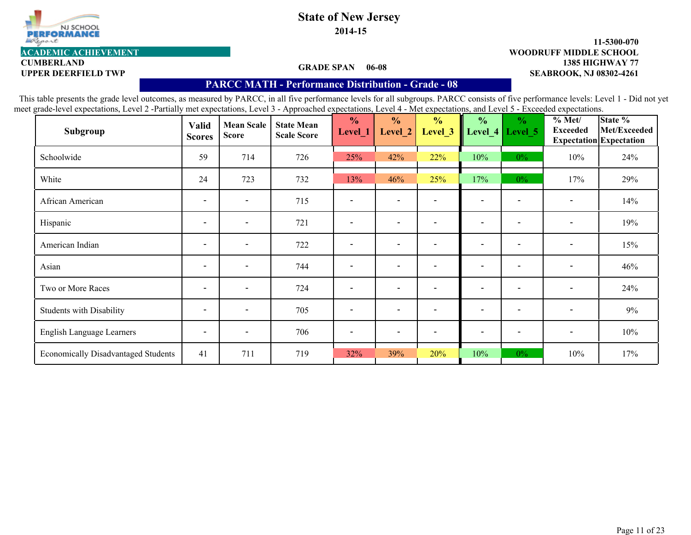

**CUMBERLAND**

# **State of New Jersey 2014-15**

#### **1385 HIGHWAY 77 11-5300-070 UPPER DEERFIELD TWP SEABROOK, NJ 08302-4261 ACADEMIC ACHIEVEMENT WOODRUFF MIDDLE SCHOOL**

#### **GRADE SPAN 06-08**

### **PARCC MATH - Performance Distribution- Grade - 08**

| Subgroup                                   | <b>Valid</b><br><b>Scores</b> | <b>Mean Scale</b><br><b>Score</b> | <b>State Mean</b><br><b>Scale Score</b> | $\frac{0}{0}$<br>Level_1 | $\frac{0}{0}$<br>Level 2 | $\frac{0}{0}$<br>Level <sub>_3</sub> | $\frac{0}{0}$<br>Level_4 | $\frac{0}{0}$<br>Level 5 | % Met/<br><b>Exceeded</b> | State %<br>Met/Exceeded<br><b>Expectation</b> Expectation |
|--------------------------------------------|-------------------------------|-----------------------------------|-----------------------------------------|--------------------------|--------------------------|--------------------------------------|--------------------------|--------------------------|---------------------------|-----------------------------------------------------------|
| Schoolwide                                 | 59                            | 714                               | 726                                     | 25%                      | 42%                      | 22%                                  | 10%                      | $0\%$                    | 10%                       | 24%                                                       |
| White                                      | 24                            | 723                               | 732                                     | 13%                      | 46%                      | 25%                                  | 17%                      | $0\%$                    | 17%                       | 29%                                                       |
| African American                           | $\overline{\phantom{a}}$      | $\overline{\phantom{0}}$          | 715                                     | $\overline{\phantom{a}}$ | $\overline{\phantom{a}}$ |                                      | $\overline{\phantom{0}}$ |                          | $\overline{\phantom{a}}$  | 14%                                                       |
| Hispanic                                   | $\overline{\phantom{a}}$      | $\overline{\phantom{a}}$          | 721                                     | $\overline{\phantom{a}}$ | $\blacksquare$           |                                      | $\overline{\phantom{a}}$ |                          | $\overline{\phantom{a}}$  | 19%                                                       |
| American Indian                            | $\overline{\phantom{a}}$      | $\overline{\phantom{a}}$          | 722                                     | $\overline{\phantom{a}}$ | $\overline{\phantom{a}}$ |                                      | $\overline{\phantom{0}}$ |                          | $\overline{\phantom{a}}$  | 15%                                                       |
| Asian                                      | $\overline{\phantom{a}}$      | $\overline{\phantom{a}}$          | 744                                     | $\overline{\phantom{a}}$ | $\overline{\phantom{a}}$ |                                      | $\overline{\phantom{a}}$ | $\overline{\phantom{a}}$ | $\overline{\phantom{a}}$  | 46%                                                       |
| Two or More Races                          | $\overline{\phantom{a}}$      | $\overline{\phantom{a}}$          | 724                                     | $\overline{\phantom{a}}$ | $\overline{\phantom{0}}$ |                                      | $\overline{\phantom{0}}$ |                          | $\overline{\phantom{a}}$  | 24%                                                       |
| <b>Students with Disability</b>            | $\overline{\phantom{a}}$      | $\overline{\phantom{a}}$          | 705                                     | $\overline{\phantom{a}}$ | $\overline{\phantom{0}}$ |                                      | $\overline{\phantom{a}}$ | $\overline{\phantom{a}}$ | $\overline{\phantom{a}}$  | 9%                                                        |
| English Language Learners                  | $\overline{\phantom{a}}$      | $\overline{\phantom{a}}$          | 706                                     | $\overline{\phantom{a}}$ | $\overline{\phantom{a}}$ |                                      | $\overline{\phantom{0}}$ |                          | $\overline{\phantom{a}}$  | 10%                                                       |
| <b>Economically Disadvantaged Students</b> | 41                            | 711                               | 719                                     | 32%                      | 39%                      | 20%                                  | 10%                      | $0\%$                    | 10%                       | 17%                                                       |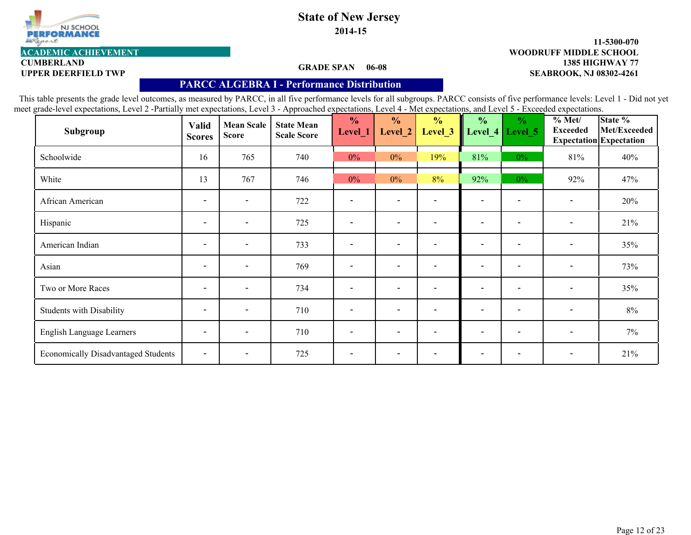

# **1385 HIGHWAY 77 11-5300-070 ACADEMIC ACHIEVEMENT WOODRUFF MIDDLE SCHOOL**

### **GRADE SPAN 06-08**

**CUMBERLAND**

#### **UPPER DEERFIELD TWP SEABROOK, NJ 08302-4261**

# **PARCC ALGEBRA I - Performance Distribution**

| Subgroup                                   | <b>Valid</b><br><b>Scores</b> | <b>Mean Scale</b><br><b>Score</b> | <b>State Mean</b><br><b>Scale Score</b> | $\frac{0}{0}$<br>Level_1 | $\frac{0}{0}$<br>Level_2 | $\frac{0}{0}$<br>Level_3 | $\frac{0}{0}$<br>Level_4 | $\frac{0}{0}$<br>Level 5 | % Met/<br><b>Exceeded</b> | State %<br>Met/Exceeded<br>Expectation Expectation |
|--------------------------------------------|-------------------------------|-----------------------------------|-----------------------------------------|--------------------------|--------------------------|--------------------------|--------------------------|--------------------------|---------------------------|----------------------------------------------------|
| Schoolwide                                 | 16                            | 765                               | 740                                     | $0\%$                    | $0\%$                    | 19%                      | 81%                      | $0\%$                    | 81%                       | 40%                                                |
| White                                      | 13                            | 767                               | 746                                     | $0\%$                    | $0\%$                    | 8%                       | 92%                      | $0\%$                    | 92%                       | 47%                                                |
| African American                           | $\overline{\phantom{a}}$      | $\overline{\phantom{a}}$          | 722                                     | $\overline{\phantom{0}}$ | $\overline{\phantom{a}}$ | $\overline{\phantom{0}}$ | $\overline{\phantom{a}}$ | $\overline{\phantom{0}}$ | $\overline{\phantom{a}}$  | 20%                                                |
| Hispanic                                   | $\overline{\phantom{a}}$      | $\overline{\phantom{a}}$          | 725                                     | $\overline{\phantom{0}}$ | $\overline{\phantom{a}}$ |                          | $\overline{\phantom{0}}$ | $\blacksquare$           | $\overline{\phantom{a}}$  | 21%                                                |
| American Indian                            | $\overline{\phantom{a}}$      | $\overline{\phantom{a}}$          | 733                                     | $\overline{\phantom{0}}$ | $\overline{\phantom{a}}$ | $\overline{\phantom{0}}$ | $\overline{\phantom{0}}$ | $\overline{\phantom{0}}$ | $\overline{\phantom{a}}$  | 35%                                                |
| Asian                                      | $\overline{\phantom{a}}$      | $\overline{\phantom{a}}$          | 769                                     | $\overline{\phantom{a}}$ | $\overline{\phantom{a}}$ | $\overline{\phantom{a}}$ | $\overline{\phantom{a}}$ | $\overline{\phantom{a}}$ | $\overline{\phantom{a}}$  | 73%                                                |
| Two or More Races                          | $\overline{\phantom{a}}$      | $\overline{\phantom{a}}$          | 734                                     | $\overline{\phantom{a}}$ | $\overline{\phantom{a}}$ | $\overline{\phantom{0}}$ | $\overline{\phantom{0}}$ | $\overline{\phantom{0}}$ | $\overline{\phantom{a}}$  | 35%                                                |
| <b>Students with Disability</b>            | $\overline{\phantom{a}}$      | $\overline{\phantom{a}}$          | 710                                     | $\overline{\phantom{a}}$ | $\overline{\phantom{a}}$ | $\overline{\phantom{a}}$ | $\overline{\phantom{a}}$ | $\overline{\phantom{a}}$ | $\overline{\phantom{a}}$  | $8\%$                                              |
| English Language Learners                  | $\overline{\phantom{a}}$      | $\overline{\phantom{a}}$          | 710                                     | $\qquad \qquad$          | $\overline{\phantom{a}}$ |                          | $\overline{\phantom{a}}$ | $\qquad \qquad$          | $\overline{\phantom{a}}$  | $7\%$                                              |
| <b>Economically Disadvantaged Students</b> | $\overline{\phantom{a}}$      | $\overline{\phantom{a}}$          | 725                                     | $\overline{\phantom{a}}$ | $\overline{\phantom{a}}$ |                          | $\overline{\phantom{0}}$ |                          | $\overline{\phantom{a}}$  | 21%                                                |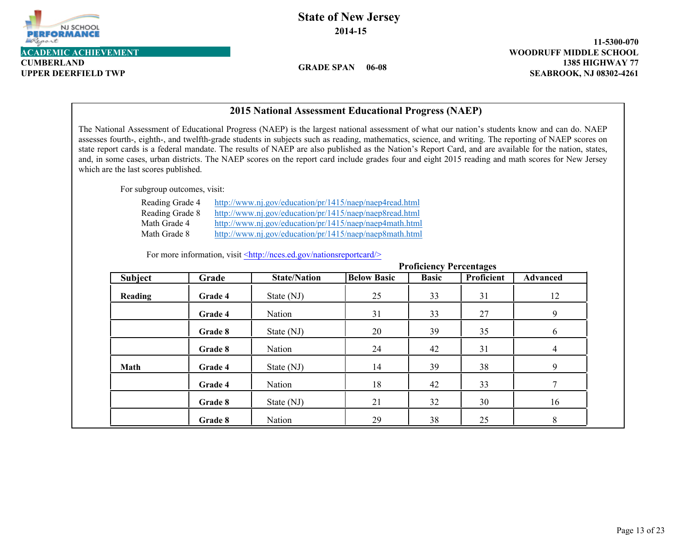

**CUMBERLAND**

**State of New Jersey 2014-15**

**GRADE SPAN 06-08**

**1385 HIGHWAY 77 11-5300-070 UPPER DEERFIELD TWP SEABROOK, NJ 08302-4261**

| <b>2015 National Assessment Educational Progress (NAEP)</b>                                                                                                                                                                                                                                                                                                                                                                                                                                                                                                                                                                                                   |                                               |                     |                    |                                |                   |                 |  |  |  |  |  |
|---------------------------------------------------------------------------------------------------------------------------------------------------------------------------------------------------------------------------------------------------------------------------------------------------------------------------------------------------------------------------------------------------------------------------------------------------------------------------------------------------------------------------------------------------------------------------------------------------------------------------------------------------------------|-----------------------------------------------|---------------------|--------------------|--------------------------------|-------------------|-----------------|--|--|--|--|--|
| The National Assessment of Educational Progress (NAEP) is the largest national assessment of what our nation's students know and can do. NAEP<br>assesses fourth-, eighth-, and twelfth-grade students in subjects such as reading, mathematics, science, and writing. The reporting of NAEP scores on<br>state report cards is a federal mandate. The results of NAEP are also published as the Nation's Report Card, and are available for the nation, states,<br>and, in some cases, urban districts. The NAEP scores on the report card include grades four and eight 2015 reading and math scores for New Jersey<br>which are the last scores published. |                                               |                     |                    |                                |                   |                 |  |  |  |  |  |
| For subgroup outcomes, visit:                                                                                                                                                                                                                                                                                                                                                                                                                                                                                                                                                                                                                                 |                                               |                     |                    |                                |                   |                 |  |  |  |  |  |
| Reading Grade 4<br>http://www.nj.gov/education/pr/1415/naep/naep4read.html<br>Reading Grade 8<br>http://www.nj.gov/education/pr/1415/naep/naep8read.html<br>Math Grade 4<br>http://www.nj.gov/education/pr/1415/naep/naep4math.html<br>Math Grade 8<br>http://www.nj.gov/education/pr/1415/naep/naep8math.html<br>For more information, visit <http: nationsreportcard="" nces.ed.gov=""></http:>                                                                                                                                                                                                                                                             |                                               |                     |                    |                                |                   |                 |  |  |  |  |  |
|                                                                                                                                                                                                                                                                                                                                                                                                                                                                                                                                                                                                                                                               |                                               |                     |                    | <b>Proficiency Percentages</b> |                   |                 |  |  |  |  |  |
| <b>Subject</b>                                                                                                                                                                                                                                                                                                                                                                                                                                                                                                                                                                                                                                                | Grade                                         | <b>State/Nation</b> | <b>Below Basic</b> | <b>Basic</b>                   | <b>Proficient</b> | <b>Advanced</b> |  |  |  |  |  |
| Reading                                                                                                                                                                                                                                                                                                                                                                                                                                                                                                                                                                                                                                                       | Grade 4                                       | State (NJ)          | 25                 | 33                             | 31                | 12              |  |  |  |  |  |
|                                                                                                                                                                                                                                                                                                                                                                                                                                                                                                                                                                                                                                                               | Grade 4                                       | Nation              | 31                 | 33                             | 27                | 9               |  |  |  |  |  |
|                                                                                                                                                                                                                                                                                                                                                                                                                                                                                                                                                                                                                                                               | Grade 8                                       | State (NJ)          | 20                 | 39                             | 35                | 6               |  |  |  |  |  |
|                                                                                                                                                                                                                                                                                                                                                                                                                                                                                                                                                                                                                                                               | Grade 8                                       | Nation              | 24                 | 42                             | 31                | $\overline{4}$  |  |  |  |  |  |
| <b>Math</b>                                                                                                                                                                                                                                                                                                                                                                                                                                                                                                                                                                                                                                                   | 9<br>39<br>14<br>38<br>Grade 4<br>State (NJ)  |                     |                    |                                |                   |                 |  |  |  |  |  |
|                                                                                                                                                                                                                                                                                                                                                                                                                                                                                                                                                                                                                                                               | 7<br>Grade 4<br>Nation<br>18<br>42<br>33      |                     |                    |                                |                   |                 |  |  |  |  |  |
|                                                                                                                                                                                                                                                                                                                                                                                                                                                                                                                                                                                                                                                               | 21<br>32<br>16<br>Grade 8<br>State (NJ)<br>30 |                     |                    |                                |                   |                 |  |  |  |  |  |
|                                                                                                                                                                                                                                                                                                                                                                                                                                                                                                                                                                                                                                                               | Grade 8                                       | Nation              | 29                 | 38                             | 25                | 8               |  |  |  |  |  |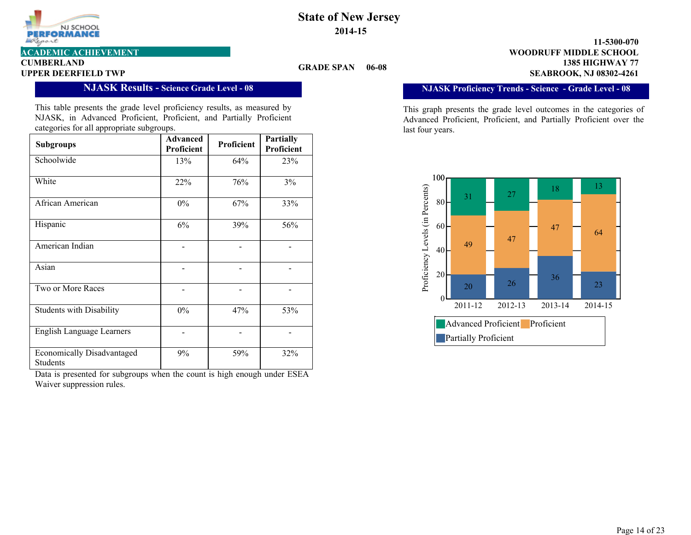

**GRADE SPAN** 

**CUMBERLAND**

#### **NJASK Results - Science Grade Level - 08**

This table presents the grade level proficiency results, as measured by NJASK, in Advanced Proficient, Proficient, and Partially Proficient categories for all appropriate subgroups.

| <b>Subgroups</b>                              | Advanced<br>Proficient | Proficient | <b>Partially</b><br>Proficient |
|-----------------------------------------------|------------------------|------------|--------------------------------|
| Schoolwide                                    | 13%                    | 64%        | 23%                            |
| White                                         | 22%                    | 76%        | $3\%$                          |
| African American                              | $0\%$                  | 67%        | 33%                            |
| Hispanic                                      | 6%                     | 39%        | 56%                            |
| American Indian                               |                        |            |                                |
| Asian                                         |                        |            |                                |
| Two or More Races                             |                        |            |                                |
| <b>Students with Disability</b>               | $0\%$                  | 47%        | 53%                            |
| <b>English Language Learners</b>              |                        |            |                                |
| <b>Economically Disadvantaged</b><br>Students | 9%                     | 59%        | 32%                            |

Data is presented for subgroups when the count is high enough under ESEA Waiver suppression rules.

**1385 HIGHWAY 77 11-5300-070 UPPER DEERFIELD TWP SEABROOK, NJ 08302-4261 ACADEMIC ACHIEVEMENT WOODRUFF MIDDLE SCHOOL**

### **NJASK Proficiency Trends - Science - Grade Level - 08**

This graph presents the grade level outcomes in the categories of Advanced Proficient, Proficient, and Partially Proficient over the last four years.

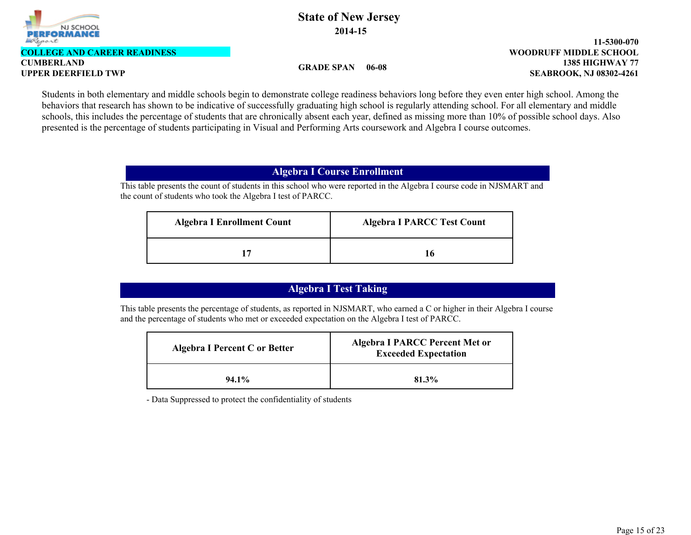

**COLLEGE AND CAREER READINESS**

**CUMBERLAND**

**GRADE SPAN 06-08**

**1385 HIGHWAY 77 11-5300-070 UPPER DEERFIELD TWP SEABROOK, NJ 08302-4261 WOODRUFF MIDDLE SCHOOL**

Students in both elementary and middle schools begin to demonstrate college readiness behaviors long before they even enter high school. Among the behaviors that research has shown to be indicative of successfully graduating high school is regularly attending school. For all elementary and middle schools, this includes the percentage of students that are chronically absent each year, defined as missing more than 10% of possible school days. Also presented is the percentage of students participating in Visual and Performing Arts coursework and Algebra I course outcomes.

## **Algebra I Course Enrollment**

This table presents the count of students in this school who were reported in the Algebra I course code in NJSMART and the count of students who took the Algebra I test of PARCC.

| <b>Algebra I Enrollment Count</b> | <b>Algebra I PARCC Test Count</b> |
|-----------------------------------|-----------------------------------|
|                                   | 16                                |

# **Algebra I Test Taking**

This table presents the percentage of students, as reported in NJSMART, who earned a C or higher in their Algebra I course and the percentage of students who met or exceeded expectation on the Algebra I test of PARCC.

| Algebra I Percent C or Better | <b>Algebra I PARCC Percent Met or</b><br><b>Exceeded Expectation</b> |
|-------------------------------|----------------------------------------------------------------------|
| $94.1\%$                      | 81.3%                                                                |

- Data Suppressed to protect the confidentiality of students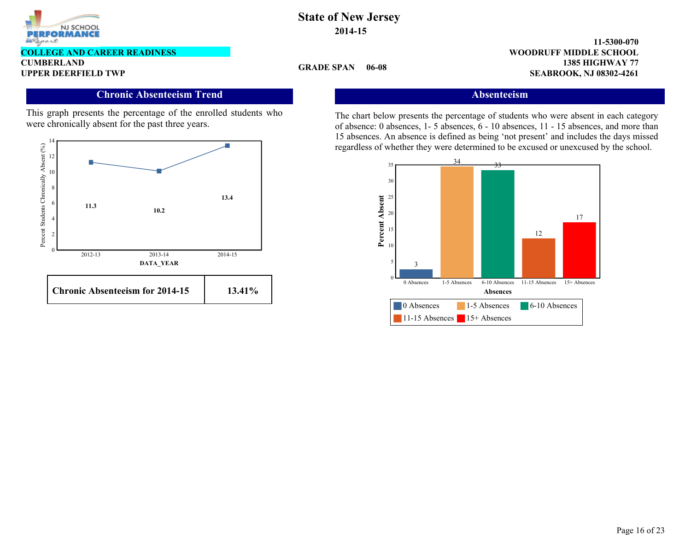

### **COLLEGE AND CAREER READINESS**

**CUMBERLAND**

## **Chronic Absenteeism Trend**

This graph presents the percentage of the enrolled students who were chronically absent for the past three years.



## **State of New Jersey 2014-15**

**GRADE SPAN 06-08**

**1385 HIGHWAY 77 11-5300-070 UPPER DEERFIELD TWP SEABROOK, NJ 08302-4261 WOODRUFF MIDDLE SCHOOL**

# **Absenteeism**

The chart below presents the percentage of students who were absent in each category of absence: 0 absences, 1- 5 absences, 6 - 10 absences, 11 - 15 absences, and more than 15 absences. An absence is defined as being 'not present' and includes the days missed regardless of whether they were determined to be excused or unexcused by the school.

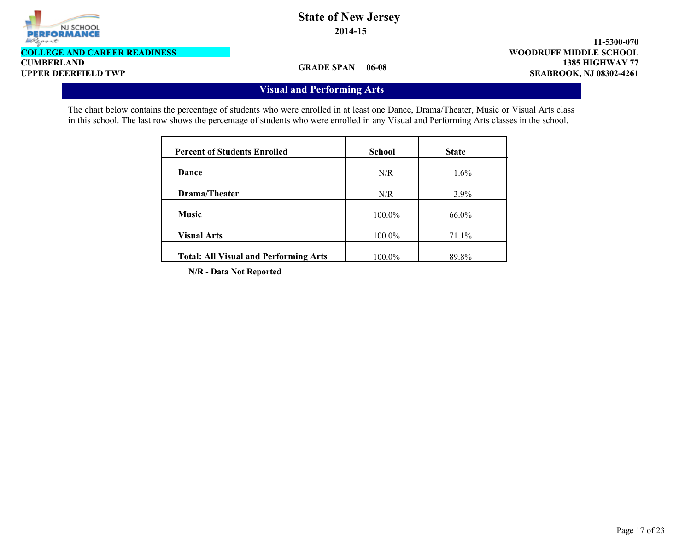

**CUMBERLAND COLLEGE AND CAREER READINESS**

**1385 HIGHWAY 77 11-5300-070 UPPER DEERFIELD TWP SEABROOK, NJ 08302-4261 WOODRUFF MIDDLE SCHOOL**

**GRADE SPAN 06-08**

# **Visual and Performing Arts**

The chart below contains the percentage of students who were enrolled in at least one Dance, Drama/Theater, Music or Visual Arts class in this school. The last row shows the percentage of students who were enrolled in any Visual and Performing Arts classes in the school.

| <b>Percent of Students Enrolled</b>          | <b>School</b> | <b>State</b> |
|----------------------------------------------|---------------|--------------|
| Dance                                        | N/R           | $1.6\%$      |
| Drama/Theater                                | N/R           | $3.9\%$      |
| <b>Music</b>                                 | 100.0%        | 66.0%        |
| <b>Visual Arts</b>                           | 100.0%        | 71.1%        |
| <b>Total: All Visual and Performing Arts</b> | 100.0%        | 89.8%        |

**N/R - Data Not Reported**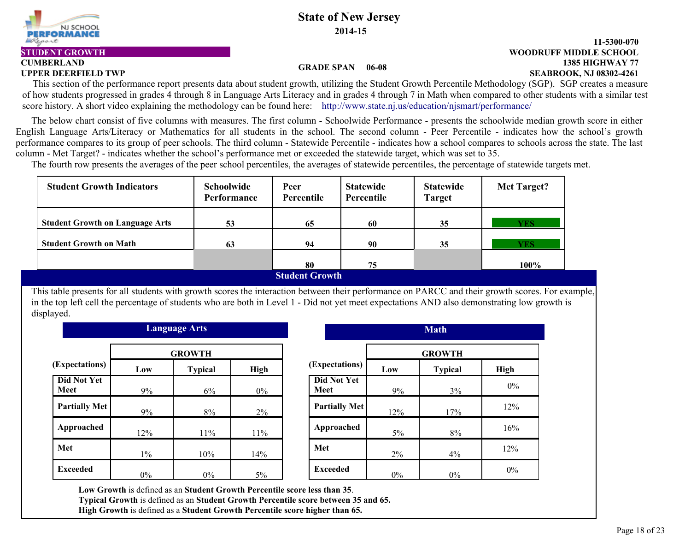

**CUMBERLAND**

# **State of New Jersey 2014-15**

#### **1385 HIGHWAY 77 11-5300-070 UPPER DEERFIELD TWP SEABROOK, NJ 08302-4261 STUDENT GROWTH WOODRUFF MIDDLE SCHOOL**

#### **GRADE SPAN 06-08**

This section of the performance report presents data about student growth, utilizing the Student Growth Percentile Methodology (SGP). SGP creates a measure of how students progressed in grades 4 through 8 in Language Arts Literacy and in grades 4 through 7 in Math when compared to other students with a similar test score history. A short video explaining the methodology can be found here: http://www.state.nj.us/education/nismart/performance/

 The below chart consist of five columns with measures. The first column - Schoolwide Performance - presents the schoolwide median growth score in either English Language Arts/Literacy or Mathematics for all students in the school. The second column - Peer Percentile - indicates how the school's growth performance compares to its group of peer schools. The third column - Statewide Percentile - indicates how a school compares to schools across the state. The last column - Met Target? - indicates whether the school's performance met or exceeded the statewide target, which was set to 35.

The fourth row presents the averages of the peer school percentiles, the averages of statewide percentiles, the percentage of statewide targets met.

| Schoolwide<br><b>Performance</b> | Peer<br>Percentile | <b>Statewide</b><br>Percentile | <b>Statewide</b><br><b>Target</b> | Met Target? |
|----------------------------------|--------------------|--------------------------------|-----------------------------------|-------------|
| 53                               | 65                 | 60                             | 35                                | <b>YES</b>  |
| 63                               | 94                 | 90                             | 35                                | <b>YES</b>  |
|                                  | 80                 | 75                             |                                   | 100%        |
|                                  |                    |                                |                                   |             |

#### **Student Growth**

This table presents for all students with growth scores the interaction between their performance on PARCC and their growth scores. For example, in the top left cell the percentage of students who are both in Level 1 - Did not yet meet expectations AND also demonstrating low growth is displayed.

| Language Arts              |       |                |       |                      |       | <b>Math</b>    |      |  |
|----------------------------|-------|----------------|-------|----------------------|-------|----------------|------|--|
|                            |       | <b>GROWTH</b>  |       |                      |       | <b>GROWTH</b>  |      |  |
| (Expectations)             | Low   | <b>Typical</b> | High  | (Expectations)       | Low   | <b>Typical</b> | High |  |
| <b>Did Not Yet</b><br>Meet | 9%    | 6%             | $0\%$ | Did Not Yet<br>Meet  | 9%    | 3%             | 0%   |  |
| <b>Partially Met</b>       | 9%    | 8%             | 2%    | <b>Partially Met</b> | 12%   | 17%            | 12%  |  |
| Approached                 | 12%   | 11%            | 11%   | Approached           | $5\%$ | 8%             | 16%  |  |
| Met                        | $1\%$ | 10%            | 14%   | Met                  | 2%    | 4%             | 12%  |  |
| <b>Exceeded</b>            | $0\%$ | $0\%$          | $5\%$ | <b>Exceeded</b>      | $0\%$ | $0\%$          | 0%   |  |

| <b>Language Arts</b> |                |             |                                   |       | <b>Math</b>    |             |
|----------------------|----------------|-------------|-----------------------------------|-------|----------------|-------------|
| <b>GROWTH</b>        |                |             |                                   |       | <b>GROWTH</b>  |             |
| 0W                   | <b>Typical</b> | <b>High</b> | (Expectations)                    | Low   | <b>Typical</b> | <b>High</b> |
| 9%                   | 6%             | $0\%$       | <b>Did Not Yet</b><br><b>Meet</b> | 9%    | 3%             | $0\%$       |
| 9%                   | 8%             | $2\%$       | <b>Partially Met</b>              | 12%   | 17%            | 12%         |
| $2\%$                | 11%            | $11\%$      | Approached                        | 5%    | 8%             | 16%         |
| $1\%$                | 10%            | 14%         | Met                               | $2\%$ | 4%             | 12%         |
| $0\%$                | $0\%$          | 5%          | <b>Exceeded</b>                   | $0\%$ | $0\%$          | $0\%$       |

**Low Growth** is defined as an **Student Growth Percentile score less than 35**. **Typical Growth** is defined as an **Student Growth Percentile score between 35 and 65. High Growth** is defined as a **Student Growth Percentile score higher than 65.**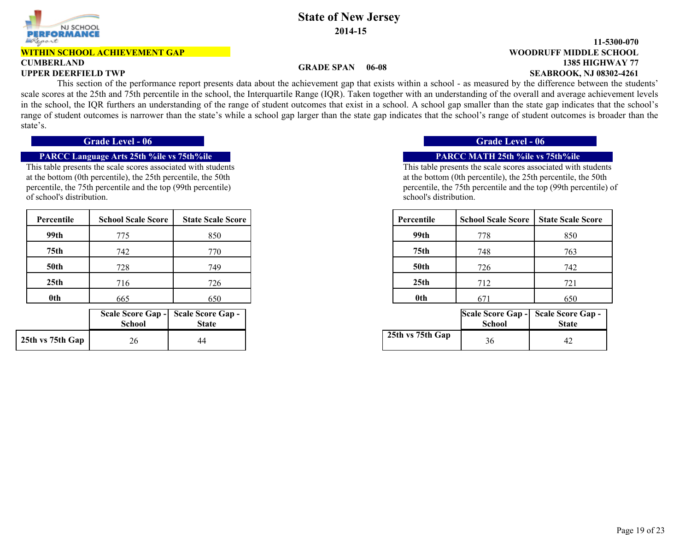

#### **WITHIN SCHOOL ACHIEVEMENT GAP**

# **CUMBERLAND**

## **State of New Jersey 2014-15**

#### **1385 HIGHWAY 77 11-5300-070 UPPER DEERFIELD TWP SEABROOK, NJ 08302-4261 WOODRUFF MIDDLE SCHOOL**

#### **GRADE SPAN 06-08**

 This section of the performance report presents data about the achievement gap that exists within a school - as measured by the difference between the students' scale scores at the 25th and 75th percentile in the school, the Interquartile Range (IQR). Taken together with an understanding of the overall and average achievement levels in the school, the IQR furthers an understanding of the range of student outcomes that exist in a school. A school gap smaller than the state gap indicates that the school's range of student outcomes is narrower than the state's while a school gap larger than the state gap indicates that the school's range of student outcomes is broader than the state's.

### **PARCC Language Arts 25th %ile vs 75th%ile PARCC MATH 25th %ile vs 75th%ile**

This table presents the scale scores associated with students at the bottom (0th percentile), the 25th percentile, the 50th percentile, the 75th percentile and the top (99th percentile) of school's distribution.

| Percentile  | <b>School Scale Score</b> | <b>State Scale Score</b> |
|-------------|---------------------------|--------------------------|
| 99th        | 775                       | 850                      |
| 75th        | 742                       | 770                      |
| <b>50th</b> | 728                       | 749                      |
| 25th        | 716                       | 726                      |
| 0th         | 665                       | 650                      |

|                  | <b>School</b> | Scale Score Gap - Scale Score Gap -<br><b>State</b> |
|------------------|---------------|-----------------------------------------------------|
| 25th vs 75th Gap | 26            | 44                                                  |

### **Grade Level - 06 Grade Level - 06**

This table presents the scale scores associated with students at the bottom (0th percentile), the 25th percentile, the 50th percentile, the 75th percentile and the top (99th percentile) of school's distribution.

| cale Score | Percentile       | <b>School Scale Score</b> | <b>State Scale Score</b> |
|------------|------------------|---------------------------|--------------------------|
| 850        | 99th             | 778                       | 850                      |
| 770        | 75 <sub>th</sub> | 748                       | 763                      |
| 749        | <b>50th</b>      | 726                       | 742                      |
| 726        | 25 <sub>th</sub> | 712                       | 721                      |
| 650        | 0th              | 671                       | 650                      |

| hool | eore Gap -  Scale Score Gap -  <br><b>State</b> |                  | School | Scale Score Gap - Scale Score Gap -<br><b>State</b> |
|------|-------------------------------------------------|------------------|--------|-----------------------------------------------------|
| 26   | 44                                              | 25th vs 75th Gap | 36     | $4'_{-}$                                            |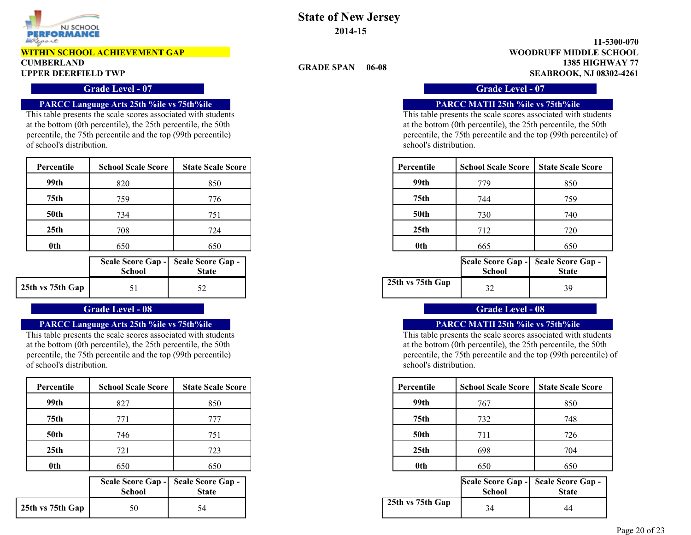

#### **WITHIN SCHOOL ACHIEVEMENT GAP**

# **CUMBERLAND**

### **Grade Level - 07 Grade Level - 07**

#### **PARCC Language Arts 25th %ile vs 75th%ile PARCC MATH 25th %ile vs 75th%ile**

This table presents the scale scores associated with students at the bottom (0th percentile), the 25th percentile, the 50th percentile, the 75th percentile and the top (99th percentile) of school's distribution.

| Percentile  | <b>School Scale Score</b> | <b>State Scale Score</b> | Percentile       | <b>School Scale Score</b> | <b>State Scale Score</b> |
|-------------|---------------------------|--------------------------|------------------|---------------------------|--------------------------|
| 99th        | 820                       | 850                      | 99th             | 779                       | 850                      |
| 75th        | 759                       | 776                      | 75th             | 744                       | 759                      |
| <b>50th</b> | 734                       | 751                      | <b>50th</b>      | 730                       | 740                      |
| 25th        | 708                       | 724                      | 25 <sub>th</sub> | 712                       | 720                      |
| 0th         | 650                       | 650                      | 0th              | 665                       | 650                      |

|                  | <b>School</b> | Scale Score Gap -   Scale Score Gap -  <br><b>State</b> |
|------------------|---------------|---------------------------------------------------------|
| 25th vs 75th Gap |               |                                                         |

#### **Grade Level - 08 Grade Level - 08**

#### **PARCC Language Arts 25th %ile vs 75th%ile PARCC MATH 25th %ile vs 75th%ile**

This table presents the scale scores associated with students at the bottom (0th percentile), the 25th percentile, the 50th percentile, the 75th percentile and the top (99th percentile) of school's distribution.

| Percentile       | <b>School Scale Score</b> | <b>State Scale Score</b> |
|------------------|---------------------------|--------------------------|
| 99th             | 827                       | 850                      |
| 75 <sub>th</sub> | 771                       | 777                      |
| <b>50th</b>      | 746                       | 751                      |
| 25 <sub>th</sub> | 721                       | 723                      |
| <b>Oth</b>       | 650                       | 650                      |

|                  | <b>School</b> | Scale Score Gap - Scale Score Gap -<br><b>State</b> |
|------------------|---------------|-----------------------------------------------------|
| 25th vs 75th Gap | 50            | 54                                                  |

**State of New Jersey 2014-15**

**GRADE SPAN 06-08**

**1385 HIGHWAY 77 11-5300-070 UPPER DEERFIELD TWP SEABROOK, NJ 08302-4261 WOODRUFF MIDDLE SCHOOL**

This table presents the scale scores associated with students at the bottom (0th percentile), the 25th percentile, the 50th percentile, the 75th percentile and the top (99th percentile) of school's distribution.

| <b>cale Score</b> | Percentile  | <b>School Scale Score</b> | <b>State Scale Score</b> |
|-------------------|-------------|---------------------------|--------------------------|
| 850               | 99th        | 779                       | 850                      |
| 776               | 75th        | 744                       | 759                      |
| 751               | <b>50th</b> | 730                       | 740                      |
| 724               | 25th        | 712                       | 720                      |
| 650               | 0th         | 665                       | 650                      |

| hool | eore Gap - Scale Score Gap -<br><b>State</b> |                  | Scale Score Gap - Scale Score Gap -<br>School | <b>State</b>   |
|------|----------------------------------------------|------------------|-----------------------------------------------|----------------|
|      |                                              | 25th vs 75th Gap | $\sim$                                        | 3 <sup>c</sup> |

This table presents the scale scores associated with students at the bottom (0th percentile), the 25th percentile, the 50th percentile, the 75th percentile and the top (99th percentile) of school's distribution.

| cale Score | Percentile       | <b>School Scale Score</b> | <b>State Scale Score</b> |
|------------|------------------|---------------------------|--------------------------|
| 850        | 99th             | 767                       | 850                      |
| 777        | 75th             | 732                       | 748                      |
| 751        | <b>50th</b>      | 711                       | 726                      |
| 723        | 25 <sub>th</sub> | 698                       | 704                      |
| 650        | 0th              | 650                       | 650                      |

| hool | ore Gap - Scale Score Gap -<br><b>State</b> |                  | Scale Score Gap - Scale Score Gap -<br>School | <b>State</b> |
|------|---------------------------------------------|------------------|-----------------------------------------------|--------------|
| 50   |                                             | 25th vs 75th Gap |                                               | 44           |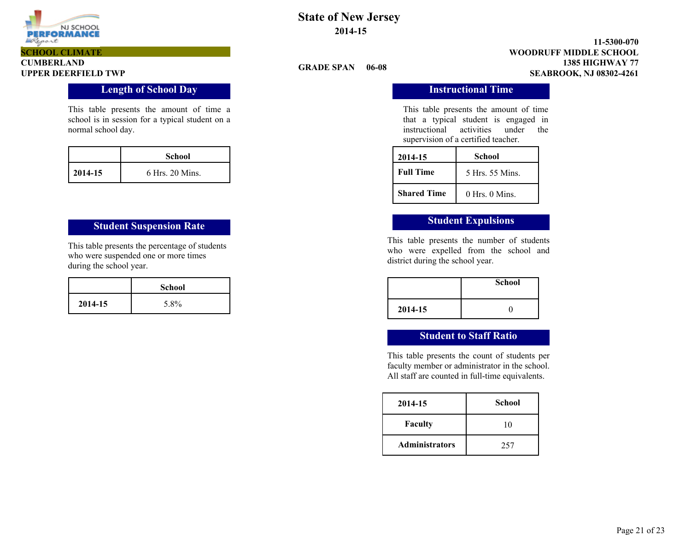

# **CUMBERLAND SCHOOL CLIMATE**

### **Length of School Day Instructional Time**

This table presents the amount of time a school is in session for a typical student on a normal school day.

|              | School            |
|--------------|-------------------|
| $12014 - 15$ | $6$ Hrs. 20 Mins. |

# **Student Suspension Rate Student Expulsions**

This table presents the percentage of students who were suspended one or more times during the school year.

|         | <b>School</b> |
|---------|---------------|
| 2014-15 | 5.8%          |

# **State of New Jersey 2014-15**

**GRADE SPAN 06-08**

**1385 HIGHWAY 77 11-5300-070 UPPER DEERFIELD TWP SEABROOK, NJ 08302-4261 WOODRUFF MIDDLE SCHOOL**

This table presents the amount of time that a typical student is engaged in instructional activities under the supervision of a certified teacher.

| 2014-15            | School             |  |
|--------------------|--------------------|--|
| <b>Full Time</b>   | 5 Hrs. 55 Mins.    |  |
| <b>Shared Time</b> | $0$ Hrs. $0$ Mins. |  |

This table presents the number of students who were expelled from the school and district during the school year.

|         | <b>School</b> |
|---------|---------------|
| 2014-15 |               |

### **Student to Staff Ratio**

This table presents the count of students per faculty member or administrator in the school. All staff are counted in full-time equivalents.

| 2014-15               | School |  |
|-----------------------|--------|--|
| Faculty               | 10     |  |
| <b>Administrators</b> | 257    |  |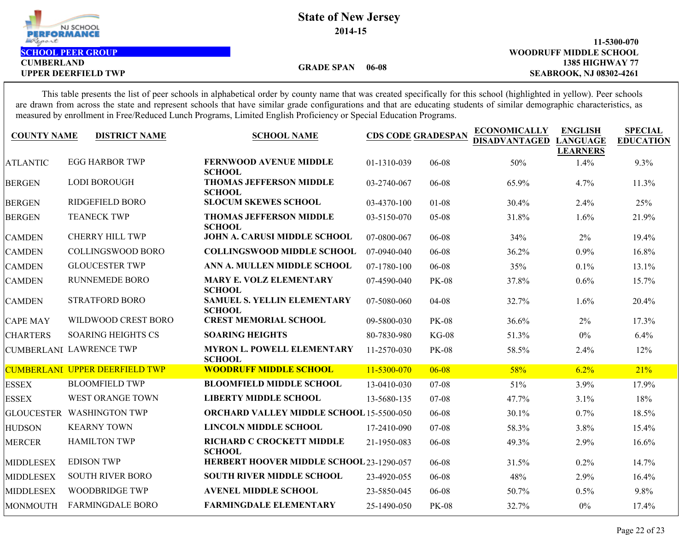| NJ SCHOOL<br><b>PERFORMANCE</b> | <b>State of New Jersey</b><br>2014-15 |                                |
|---------------------------------|---------------------------------------|--------------------------------|
| Report                          |                                       | 11-5300-070                    |
| <b>SCHOOL PEER GROUP</b>        |                                       | <b>WOODRUFF MIDDLE SCHOOL</b>  |
| <b>CUMBERLAND</b>               | 06-08<br><b>GRADE SPAN</b>            | <b>1385 HIGHWAY 77</b>         |
| <b>UPPER DEERFIELD TWP</b>      |                                       | <b>SEABROOK, NJ 08302-4261</b> |
|                                 |                                       |                                |

This table presents the list of peer schools in alphabetical order by county name that was created specifically for this school (highlighted in yellow). Peer schools are drawn from across the state and represent schools that have similar grade configurations and that are educating students of similar demographic characteristics, as measured by enrollment in Free/Reduced Lunch Programs, Limited English Proficiency or Special Education Programs.

| <b>COUNTY NAME</b> | <b>DISTRICT NAME</b>                  | <b>SCHOOL NAME</b>                                  | <b>CDS CODE GRADESPAN</b> |              | <b>ECONOMICALLY</b><br><b>DISADVANTAGED</b> | <b>ENGLISH</b><br><b>LANGUAGE</b><br><b>LEARNERS</b> | <b>SPECIAL</b><br><b>EDUCATION</b> |
|--------------------|---------------------------------------|-----------------------------------------------------|---------------------------|--------------|---------------------------------------------|------------------------------------------------------|------------------------------------|
| <b>ATLANTIC</b>    | <b>EGG HARBOR TWP</b>                 | <b>FERNWOOD AVENUE MIDDLE</b><br><b>SCHOOL</b>      | 01-1310-039               | 06-08        | 50%                                         | 1.4%                                                 | 9.3%                               |
| <b>BERGEN</b>      | <b>LODI BOROUGH</b>                   | <b>THOMAS JEFFERSON MIDDLE</b><br><b>SCHOOL</b>     | 03-2740-067               | 06-08        | 65.9%                                       | 4.7%                                                 | 11.3%                              |
| <b>BERGEN</b>      | <b>RIDGEFIELD BORO</b>                | <b>SLOCUM SKEWES SCHOOL</b>                         | 03-4370-100               | $01-08$      | 30.4%                                       | 2.4%                                                 | 25%                                |
| <b>BERGEN</b>      | <b>TEANECK TWP</b>                    | <b>THOMAS JEFFERSON MIDDLE</b><br><b>SCHOOL</b>     | 03-5150-070               | $05 - 08$    | 31.8%                                       | 1.6%                                                 | 21.9%                              |
| <b>CAMDEN</b>      | <b>CHERRY HILL TWP</b>                | <b>JOHN A. CARUSI MIDDLE SCHOOL</b>                 | 07-0800-067               | 06-08        | 34%                                         | 2%                                                   | 19.4%                              |
| <b>CAMDEN</b>      | <b>COLLINGSWOOD BORO</b>              | <b>COLLINGSWOOD MIDDLE SCHOOL</b>                   | 07-0940-040               | 06-08        | 36.2%                                       | 0.9%                                                 | 16.8%                              |
| <b>CAMDEN</b>      | <b>GLOUCESTER TWP</b>                 | ANN A. MULLEN MIDDLE SCHOOL                         | 07-1780-100               | 06-08        | 35%                                         | 0.1%                                                 | 13.1%                              |
| <b>CAMDEN</b>      | <b>RUNNEMEDE BORO</b>                 | <b>MARY E. VOLZ ELEMENTARY</b><br><b>SCHOOL</b>     | 07-4590-040               | <b>PK-08</b> | 37.8%                                       | 0.6%                                                 | 15.7%                              |
| <b>CAMDEN</b>      | <b>STRATFORD BORO</b>                 | <b>SAMUEL S. YELLIN ELEMENTARY</b><br><b>SCHOOL</b> | 07-5080-060               | 04-08        | 32.7%                                       | 1.6%                                                 | 20.4%                              |
| <b>CAPE MAY</b>    | WILDWOOD CREST BORO                   | <b>CREST MEMORIAL SCHOOL</b>                        | 09-5800-030               | <b>PK-08</b> | 36.6%                                       | 2%                                                   | 17.3%                              |
| <b>CHARTERS</b>    | <b>SOARING HEIGHTS CS</b>             | <b>SOARING HEIGHTS</b>                              | 80-7830-980               | $KG-08$      | 51.3%                                       | $0\%$                                                | 6.4%                               |
|                    | <b>CUMBERLANI LAWRENCE TWP</b>        | <b>MYRON L. POWELL ELEMENTARY</b><br><b>SCHOOL</b>  | 11-2570-030               | <b>PK-08</b> | 58.5%                                       | 2.4%                                                 | 12%                                |
|                    | <b>CUMBERLANI UPPER DEERFIELD TWP</b> | <b>WOODRUFF MIDDLE SCHOOL</b>                       | 11-5300-070               | $06 - 08$    | 58%                                         | 6.2%                                                 | 21%                                |
| <b>ESSEX</b>       | <b>BLOOMFIELD TWP</b>                 | <b>BLOOMFIELD MIDDLE SCHOOL</b>                     | 13-0410-030               | $07 - 08$    | 51%                                         | 3.9%                                                 | 17.9%                              |
| <b>ESSEX</b>       | <b>WEST ORANGE TOWN</b>               | <b>LIBERTY MIDDLE SCHOOL</b>                        | 13-5680-135               | $07 - 08$    | 47.7%                                       | 3.1%                                                 | 18%                                |
|                    | GLOUCESTER WASHINGTON TWP             | <b>ORCHARD VALLEY MIDDLE SCHOOL 15-5500-050</b>     |                           | 06-08        | 30.1%                                       | 0.7%                                                 | 18.5%                              |
| <b>HUDSON</b>      | <b>KEARNY TOWN</b>                    | <b>LINCOLN MIDDLE SCHOOL</b>                        | 17-2410-090               | $07 - 08$    | 58.3%                                       | 3.8%                                                 | 15.4%                              |
| <b>MERCER</b>      | <b>HAMILTON TWP</b>                   | RICHARD C CROCKETT MIDDLE<br><b>SCHOOL</b>          | 21-1950-083               | 06-08        | 49.3%                                       | 2.9%                                                 | 16.6%                              |
| <b>MIDDLESEX</b>   | <b>EDISON TWP</b>                     | HERBERT HOOVER MIDDLE SCHOOL 23-1290-057            |                           | 06-08        | 31.5%                                       | 0.2%                                                 | 14.7%                              |
| <b>MIDDLESEX</b>   | <b>SOUTH RIVER BORO</b>               | <b>SOUTH RIVER MIDDLE SCHOOL</b>                    | 23-4920-055               | 06-08        | 48%                                         | 2.9%                                                 | 16.4%                              |
| <b>MIDDLESEX</b>   | <b>WOODBRIDGE TWP</b>                 | <b>AVENEL MIDDLE SCHOOL</b>                         | 23-5850-045               | 06-08        | 50.7%                                       | 0.5%                                                 | 9.8%                               |
| MONMOUTH           | <b>FARMINGDALE BORO</b>               | <b>FARMINGDALE ELEMENTARY</b>                       | 25-1490-050               | <b>PK-08</b> | 32.7%                                       | $0\%$                                                | 17.4%                              |